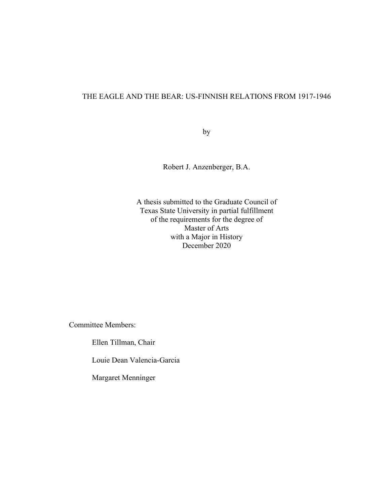## THE EAGLE AND THE BEAR: US-FINNISH RELATIONS FROM 1917-1946

by

Robert J. Anzenberger, B.A.

A thesis submitted to the Graduate Council of Texas State University in partial fulfillment of the requirements for the degree of Master of Arts with a Major in History December 2020

Committee Members:

Ellen Tillman, Chair

Louie Dean Valencia-Garcia

Margaret Menninger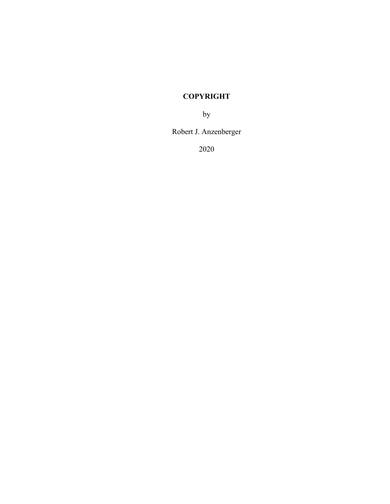# **COPYRIGHT**

by

Robert J. Anzenberger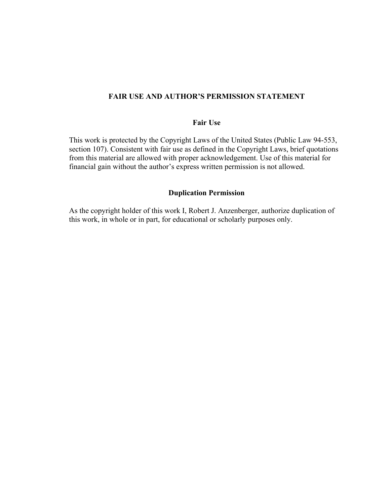# **FAIR USE AND AUTHOR'S PERMISSION STATEMENT**

### **Fair Use**

This work is protected by the Copyright Laws of the United States (Public Law 94-553, section 107). Consistent with fair use as defined in the Copyright Laws, brief quotations from this material are allowed with proper acknowledgement. Use of this material for financial gain without the author's express written permission is not allowed.

## **Duplication Permission**

As the copyright holder of this work I, Robert J. Anzenberger, authorize duplication of this work, in whole or in part, for educational or scholarly purposes only.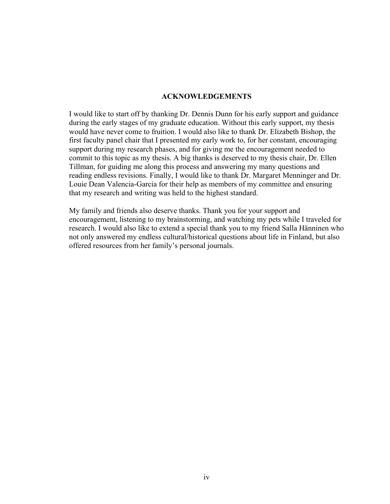#### **ACKNOWLEDGEMENTS**

I would like to start off by thanking Dr. Dennis Dunn for his early support and guidance during the early stages of my graduate education. Without this early support, my thesis would have never come to fruition. I would also like to thank Dr. Elizabeth Bishop, the first faculty panel chair that I presented my early work to, for her constant, encouraging support during my research phases, and for giving me the encouragement needed to commit to this topic as my thesis. A big thanks is deserved to my thesis chair, Dr. Ellen Tillman, for guiding me along this process and answering my many questions and reading endless revisions. Finally, I would like to thank Dr. Margaret Menninger and Dr. Louie Dean Valencia-Garcia for their help as members of my committee and ensuring that my research and writing was held to the highest standard.

My family and friends also deserve thanks. Thank you for your support and encouragement, listening to my brainstorming, and watching my pets while I traveled for research. I would also like to extend a special thank you to my friend Salla Hänninen who not only answered my endless cultural/historical questions about life in Finland, but also offered resources from her family's personal journals.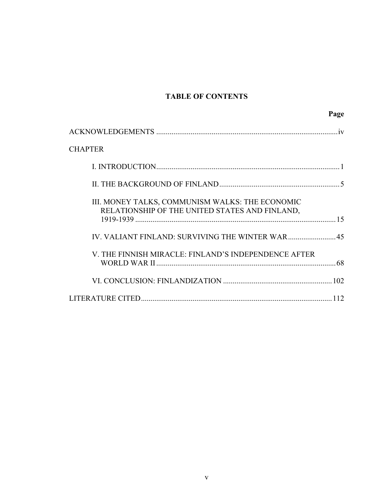# **TABLE OF CONTENTS**

| Page                                                                                              |
|---------------------------------------------------------------------------------------------------|
|                                                                                                   |
| <b>CHAPTER</b>                                                                                    |
|                                                                                                   |
|                                                                                                   |
| III. MONEY TALKS, COMMUNISM WALKS: THE ECONOMIC<br>RELATIONSHIP OF THE UNITED STATES AND FINLAND, |
| IV. VALIANT FINLAND: SURVIVING THE WINTER WAR45                                                   |
| V. THE FINNISH MIRACLE: FINLAND'S INDEPENDENCE AFTER                                              |
|                                                                                                   |
|                                                                                                   |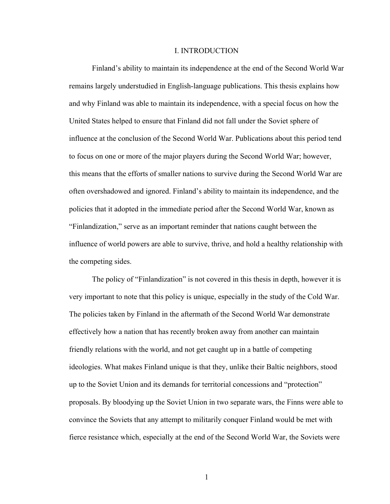#### I. INTRODUCTION

Finland's ability to maintain its independence at the end of the Second World War remains largely understudied in English-language publications. This thesis explains how and why Finland was able to maintain its independence, with a special focus on how the United States helped to ensure that Finland did not fall under the Soviet sphere of influence at the conclusion of the Second World War. Publications about this period tend to focus on one or more of the major players during the Second World War; however, this means that the efforts of smaller nations to survive during the Second World War are often overshadowed and ignored. Finland's ability to maintain its independence, and the policies that it adopted in the immediate period after the Second World War, known as "Finlandization," serve as an important reminder that nations caught between the influence of world powers are able to survive, thrive, and hold a healthy relationship with the competing sides.

The policy of "Finlandization" is not covered in this thesis in depth, however it is very important to note that this policy is unique, especially in the study of the Cold War. The policies taken by Finland in the aftermath of the Second World War demonstrate effectively how a nation that has recently broken away from another can maintain friendly relations with the world, and not get caught up in a battle of competing ideologies. What makes Finland unique is that they, unlike their Baltic neighbors, stood up to the Soviet Union and its demands for territorial concessions and "protection" proposals. By bloodying up the Soviet Union in two separate wars, the Finns were able to convince the Soviets that any attempt to militarily conquer Finland would be met with fierce resistance which, especially at the end of the Second World War, the Soviets were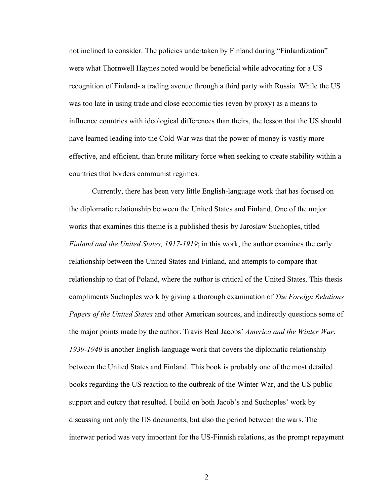not inclined to consider. The policies undertaken by Finland during "Finlandization" were what Thornwell Haynes noted would be beneficial while advocating for a US recognition of Finland- a trading avenue through a third party with Russia. While the US was too late in using trade and close economic ties (even by proxy) as a means to influence countries with ideological differences than theirs, the lesson that the US should have learned leading into the Cold War was that the power of money is vastly more effective, and efficient, than brute military force when seeking to create stability within a countries that borders communist regimes.

Currently, there has been very little English-language work that has focused on the diplomatic relationship between the United States and Finland. One of the major works that examines this theme is a published thesis by Jaroslaw Suchoples, titled *Finland and the United States, 1917-1919*; in this work, the author examines the early relationship between the United States and Finland, and attempts to compare that relationship to that of Poland, where the author is critical of the United States. This thesis compliments Suchoples work by giving a thorough examination of *The Foreign Relations Papers of the United States* and other American sources, and indirectly questions some of the major points made by the author. Travis Beal Jacobs' *America and the Winter War: 1939-1940* is another English-language work that covers the diplomatic relationship between the United States and Finland. This book is probably one of the most detailed books regarding the US reaction to the outbreak of the Winter War, and the US public support and outcry that resulted. I build on both Jacob's and Suchoples' work by discussing not only the US documents, but also the period between the wars. The interwar period was very important for the US-Finnish relations, as the prompt repayment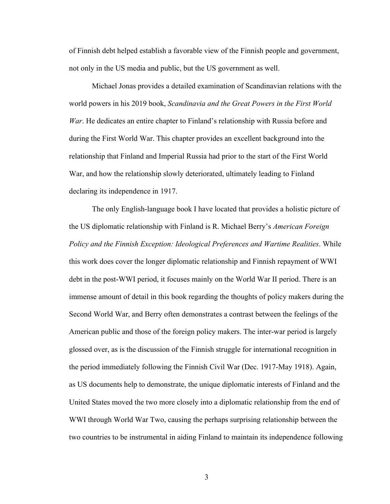of Finnish debt helped establish a favorable view of the Finnish people and government, not only in the US media and public, but the US government as well.

Michael Jonas provides a detailed examination of Scandinavian relations with the world powers in his 2019 book, *Scandinavia and the Great Powers in the First World War*. He dedicates an entire chapter to Finland's relationship with Russia before and during the First World War. This chapter provides an excellent background into the relationship that Finland and Imperial Russia had prior to the start of the First World War, and how the relationship slowly deteriorated, ultimately leading to Finland declaring its independence in 1917.

The only English-language book I have located that provides a holistic picture of the US diplomatic relationship with Finland is R. Michael Berry's *American Foreign Policy and the Finnish Exception: Ideological Preferences and Wartime Realities*. While this work does cover the longer diplomatic relationship and Finnish repayment of WWI debt in the post-WWI period, it focuses mainly on the World War II period. There is an immense amount of detail in this book regarding the thoughts of policy makers during the Second World War, and Berry often demonstrates a contrast between the feelings of the American public and those of the foreign policy makers. The inter-war period is largely glossed over, as is the discussion of the Finnish struggle for international recognition in the period immediately following the Finnish Civil War (Dec. 1917-May 1918). Again, as US documents help to demonstrate, the unique diplomatic interests of Finland and the United States moved the two more closely into a diplomatic relationship from the end of WWI through World War Two, causing the perhaps surprising relationship between the two countries to be instrumental in aiding Finland to maintain its independence following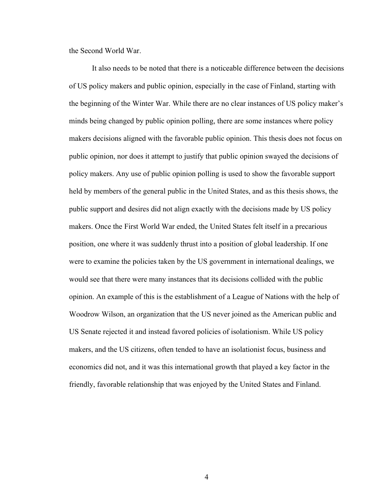the Second World War.

It also needs to be noted that there is a noticeable difference between the decisions of US policy makers and public opinion, especially in the case of Finland, starting with the beginning of the Winter War. While there are no clear instances of US policy maker's minds being changed by public opinion polling, there are some instances where policy makers decisions aligned with the favorable public opinion. This thesis does not focus on public opinion, nor does it attempt to justify that public opinion swayed the decisions of policy makers. Any use of public opinion polling is used to show the favorable support held by members of the general public in the United States, and as this thesis shows, the public support and desires did not align exactly with the decisions made by US policy makers. Once the First World War ended, the United States felt itself in a precarious position, one where it was suddenly thrust into a position of global leadership. If one were to examine the policies taken by the US government in international dealings, we would see that there were many instances that its decisions collided with the public opinion. An example of this is the establishment of a League of Nations with the help of Woodrow Wilson, an organization that the US never joined as the American public and US Senate rejected it and instead favored policies of isolationism. While US policy makers, and the US citizens, often tended to have an isolationist focus, business and economics did not, and it was this international growth that played a key factor in the friendly, favorable relationship that was enjoyed by the United States and Finland.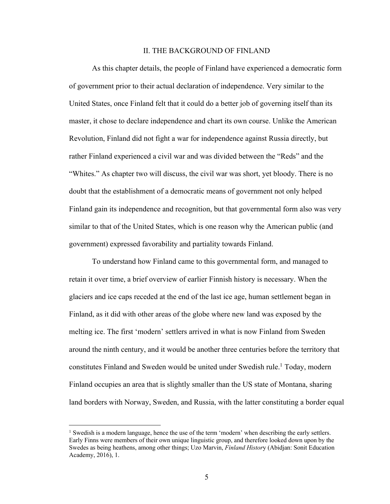#### II. THE BACKGROUND OF FINLAND

As this chapter details, the people of Finland have experienced a democratic form of government prior to their actual declaration of independence. Very similar to the United States, once Finland felt that it could do a better job of governing itself than its master, it chose to declare independence and chart its own course. Unlike the American Revolution, Finland did not fight a war for independence against Russia directly, but rather Finland experienced a civil war and was divided between the "Reds" and the "Whites." As chapter two will discuss, the civil war was short, yet bloody. There is no doubt that the establishment of a democratic means of government not only helped Finland gain its independence and recognition, but that governmental form also was very similar to that of the United States, which is one reason why the American public (and government) expressed favorability and partiality towards Finland.

To understand how Finland came to this governmental form, and managed to retain it over time, a brief overview of earlier Finnish history is necessary. When the glaciers and ice caps receded at the end of the last ice age, human settlement began in Finland, as it did with other areas of the globe where new land was exposed by the melting ice. The first 'modern' settlers arrived in what is now Finland from Sweden around the ninth century, and it would be another three centuries before the territory that constitutes Finland and Sweden would be united under Swedish rule.<sup>1</sup> Today, modern Finland occupies an area that is slightly smaller than the US state of Montana, sharing land borders with Norway, Sweden, and Russia, with the latter constituting a border equal

<sup>1</sup> Swedish is a modern language, hence the use of the term 'modern' when describing the early settlers. Early Finns were members of their own unique linguistic group, and therefore looked down upon by the Swedes as being heathens, among other things; Uzo Marvin, *Finland Histor*y (Abidjan: Sonit Education Academy, 2016), 1.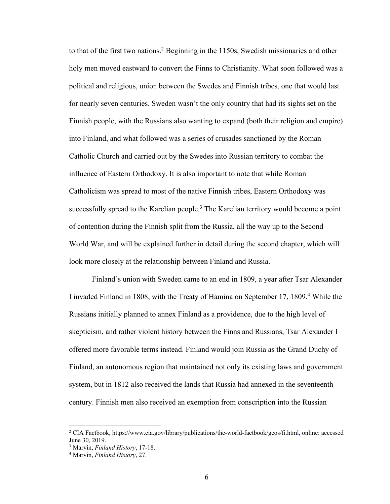to that of the first two nations.<sup>2</sup> Beginning in the 1150s, Swedish missionaries and other holy men moved eastward to convert the Finns to Christianity. What soon followed was a political and religious, union between the Swedes and Finnish tribes, one that would last for nearly seven centuries. Sweden wasn't the only country that had its sights set on the Finnish people, with the Russians also wanting to expand (both their religion and empire) into Finland, and what followed was a series of crusades sanctioned by the Roman Catholic Church and carried out by the Swedes into Russian territory to combat the influence of Eastern Orthodoxy. It is also important to note that while Roman Catholicism was spread to most of the native Finnish tribes, Eastern Orthodoxy was successfully spread to the Karelian people.<sup>3</sup> The Karelian territory would become a point of contention during the Finnish split from the Russia, all the way up to the Second World War, and will be explained further in detail during the second chapter, which will look more closely at the relationship between Finland and Russia.

Finland's union with Sweden came to an end in 1809, a year after Tsar Alexander I invaded Finland in 1808, with the Treaty of Hamina on September 17, 1809.<sup>4</sup> While the Russians initially planned to annex Finland as a providence, due to the high level of skepticism, and rather violent history between the Finns and Russians, Tsar Alexander I offered more favorable terms instead. Finland would join Russia as the Grand Duchy of Finland, an autonomous region that maintained not only its existing laws and government system, but in 1812 also received the lands that Russia had annexed in the seventeenth century. Finnish men also received an exemption from conscription into the Russian

<sup>2</sup> CIA Factbook, https://www.cia.gov/library/publications/the-world-factbook/geos/fi.html, online: accessed June 30, 2019.

<sup>3</sup> Marvin, *Finland History*, 17-18.

<sup>4</sup> Marvin, *Finland History*, 27.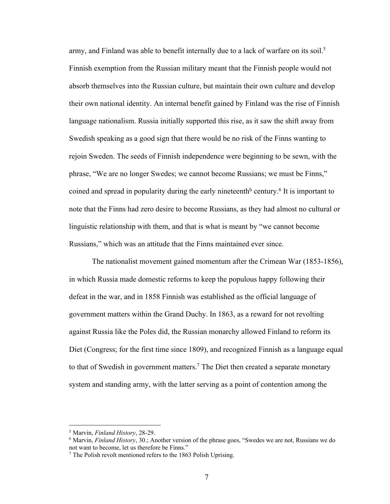army, and Finland was able to benefit internally due to a lack of warfare on its soil.<sup>5</sup> Finnish exemption from the Russian military meant that the Finnish people would not absorb themselves into the Russian culture, but maintain their own culture and develop their own national identity. An internal benefit gained by Finland was the rise of Finnish language nationalism. Russia initially supported this rise, as it saw the shift away from Swedish speaking as a good sign that there would be no risk of the Finns wanting to rejoin Sweden. The seeds of Finnish independence were beginning to be sewn, with the phrase, "We are no longer Swedes; we cannot become Russians; we must be Finns," coined and spread in popularity during the early nineteenth<sup>h</sup> century.<sup>6</sup> It is important to note that the Finns had zero desire to become Russians, as they had almost no cultural or linguistic relationship with them, and that is what is meant by "we cannot become Russians," which was an attitude that the Finns maintained ever since.

The nationalist movement gained momentum after the Crimean War (1853-1856), in which Russia made domestic reforms to keep the populous happy following their defeat in the war, and in 1858 Finnish was established as the official language of government matters within the Grand Duchy. In 1863, as a reward for not revolting against Russia like the Poles did, the Russian monarchy allowed Finland to reform its Diet (Congress; for the first time since 1809), and recognized Finnish as a language equal to that of Swedish in government matters.<sup>7</sup> The Diet then created a separate monetary system and standing army, with the latter serving as a point of contention among the

<sup>5</sup> Marvin, *Finland History*, 28-29.

<sup>6</sup> Marvin, *Finland History*, 30.; Another version of the phrase goes, "Swedes we are not, Russians we do not want to become, let us therefore be Finns."

<sup>7</sup> The Polish revolt mentioned refers to the 1863 Polish Uprising.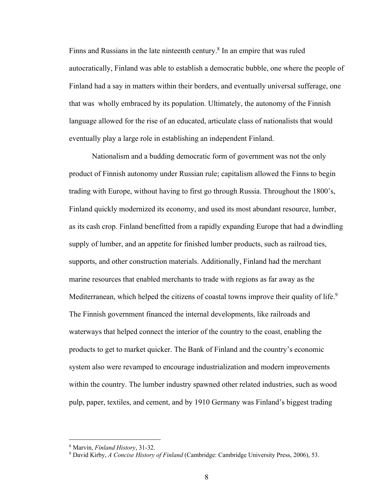Finns and Russians in the late ninteenth century.<sup>8</sup> In an empire that was ruled autocratically, Finland was able to establish a democratic bubble, one where the people of Finland had a say in matters within their borders, and eventually universal sufferage, one that was wholly embraced by its population. Ultimately, the autonomy of the Finnish language allowed for the rise of an educated, articulate class of nationalists that would eventually play a large role in establishing an independent Finland.

Nationalism and a budding democratic form of government was not the only product of Finnish autonomy under Russian rule; capitalism allowed the Finns to begin trading with Europe, without having to first go through Russia. Throughout the 1800's, Finland quickly modernized its economy, and used its most abundant resource, lumber, as its cash crop. Finland benefitted from a rapidly expanding Europe that had a dwindling supply of lumber, and an appetite for finished lumber products, such as railroad ties, supports, and other construction materials. Additionally, Finland had the merchant marine resources that enabled merchants to trade with regions as far away as the Mediterranean, which helped the citizens of coastal towns improve their quality of life.<sup>9</sup> The Finnish government financed the internal developments, like railroads and waterways that helped connect the interior of the country to the coast, enabling the products to get to market quicker. The Bank of Finland and the country's economic system also were revamped to encourage industrialization and modern improvements within the country. The lumber industry spawned other related industries, such as wood pulp, paper, textiles, and cement, and by 1910 Germany was Finland's biggest trading

<sup>8</sup> Marvin, *Finland History*, 31-32.

<sup>9</sup> David Kirby, *A Concise History of Finland* (Cambridge: Cambridge University Press, 2006), 53.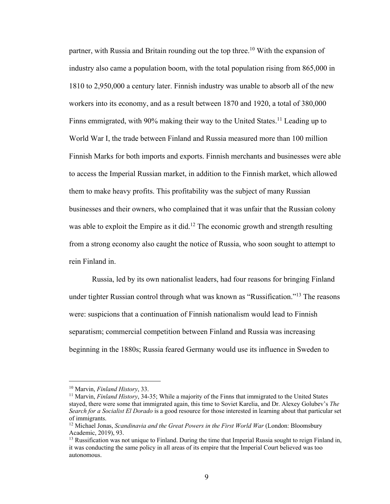partner, with Russia and Britain rounding out the top three.10 With the expansion of industry also came a population boom, with the total population rising from 865,000 in 1810 to 2,950,000 a century later. Finnish industry was unable to absorb all of the new workers into its economy, and as a result between 1870 and 1920, a total of 380,000 Finns emmigrated, with 90% making their way to the United States.<sup>11</sup> Leading up to World War I, the trade between Finland and Russia measured more than 100 million Finnish Marks for both imports and exports. Finnish merchants and businesses were able to access the Imperial Russian market, in addition to the Finnish market, which allowed them to make heavy profits. This profitability was the subject of many Russian businesses and their owners, who complained that it was unfair that the Russian colony was able to exploit the Empire as it did.<sup>12</sup> The economic growth and strength resulting from a strong economy also caught the notice of Russia, who soon sought to attempt to rein Finland in.

Russia, led by its own nationalist leaders, had four reasons for bringing Finland under tighter Russian control through what was known as "Russification."13 The reasons were: suspicions that a continuation of Finnish nationalism would lead to Finnish separatism; commercial competition between Finland and Russia was increasing beginning in the 1880s; Russia feared Germany would use its influence in Sweden to

<sup>10</sup> Marvin, *Finland History*, 33.

<sup>&</sup>lt;sup>11</sup> Marvin, *Finland History*, 34-35; While a majority of the Finns that immigrated to the United States stayed, there were some that immigrated again, this time to Soviet Karelia, and Dr. Alexey Golubev's *The Search for a Socialist El Dorado* is a good resource for those interested in learning about that particular set of immigrants.

<sup>&</sup>lt;sup>12</sup> Michael Jonas, *Scandinavia and the Great Powers in the First World War* (London: Bloomsbury Academic, 2019), 93.

<sup>&</sup>lt;sup>13</sup> Russification was not unique to Finland. During the time that Imperial Russia sought to reign Finland in, it was conducting the same policy in all areas of its empire that the Imperial Court believed was too autonomous.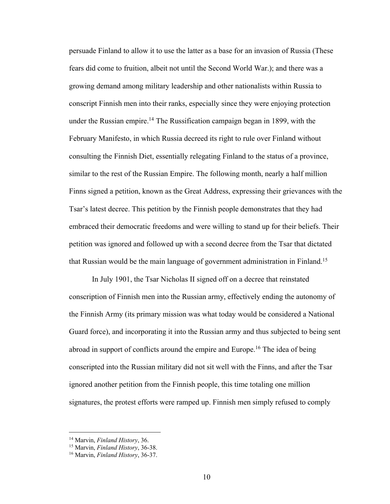persuade Finland to allow it to use the latter as a base for an invasion of Russia (These fears did come to fruition, albeit not until the Second World War.); and there was a growing demand among military leadership and other nationalists within Russia to conscript Finnish men into their ranks, especially since they were enjoying protection under the Russian empire.<sup>14</sup> The Russification campaign began in 1899, with the February Manifesto, in which Russia decreed its right to rule over Finland without consulting the Finnish Diet, essentially relegating Finland to the status of a province, similar to the rest of the Russian Empire. The following month, nearly a half million Finns signed a petition, known as the Great Address, expressing their grievances with the Tsar's latest decree. This petition by the Finnish people demonstrates that they had embraced their democratic freedoms and were willing to stand up for their beliefs. Their petition was ignored and followed up with a second decree from the Tsar that dictated that Russian would be the main language of government administration in Finland.15

In July 1901, the Tsar Nicholas II signed off on a decree that reinstated conscription of Finnish men into the Russian army, effectively ending the autonomy of the Finnish Army (its primary mission was what today would be considered a National Guard force), and incorporating it into the Russian army and thus subjected to being sent abroad in support of conflicts around the empire and Europe.<sup>16</sup> The idea of being conscripted into the Russian military did not sit well with the Finns, and after the Tsar ignored another petition from the Finnish people, this time totaling one million signatures, the protest efforts were ramped up. Finnish men simply refused to comply

<sup>14</sup> Marvin, *Finland History*, 36.

<sup>15</sup> Marvin, *Finland History*, 36-38.

<sup>16</sup> Marvin, *Finland History*, 36-37.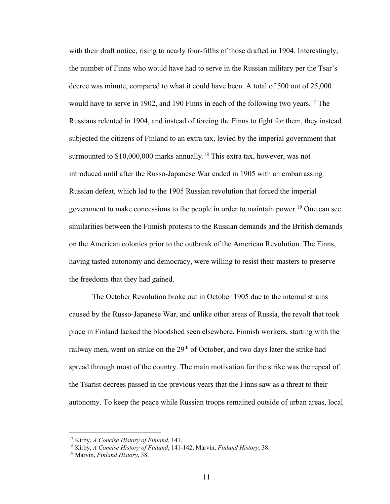with their draft notice, rising to nearly four-fifths of those drafted in 1904. Interestingly, the number of Finns who would have had to serve in the Russian military per the Tsar's decree was minute, compared to what it could have been. A total of 500 out of 25,000 would have to serve in 1902, and 190 Finns in each of the following two years.<sup>17</sup> The Russians relented in 1904, and instead of forcing the Finns to fight for them, they instead subjected the citizens of Finland to an extra tax, levied by the imperial government that surmounted to  $$10,000,000$  marks annually.<sup>18</sup> This extra tax, however, was not introduced until after the Russo-Japanese War ended in 1905 with an embarrassing Russian defeat, which led to the 1905 Russian revolution that forced the imperial government to make concessions to the people in order to maintain power.19 One can see similarities between the Finnish protests to the Russian demands and the British demands on the American colonies prior to the outbreak of the American Revolution. The Finns, having tasted autonomy and democracy, were willing to resist their masters to preserve the freedoms that they had gained.

The October Revolution broke out in October 1905 due to the internal strains caused by the Russo-Japanese War, and unlike other areas of Russia, the revolt that took place in Finland lacked the bloodshed seen elsewhere. Finnish workers, starting with the railway men, went on strike on the 29<sup>th</sup> of October, and two days later the strike had spread through most of the country. The main motivation for the strike was the repeal of the Tsarist decrees passed in the previous years that the Finns saw as a threat to their autonomy. To keep the peace while Russian troops remained outside of urban areas, local

<sup>17</sup> Kirby, *A Concise History of Finland*, 141.

<sup>18</sup> Kirby, *A Concise History of Finland*, 141-142; Marvin, *Finland History*, 38.

<sup>19</sup> Marvin, *Finland History*, 38.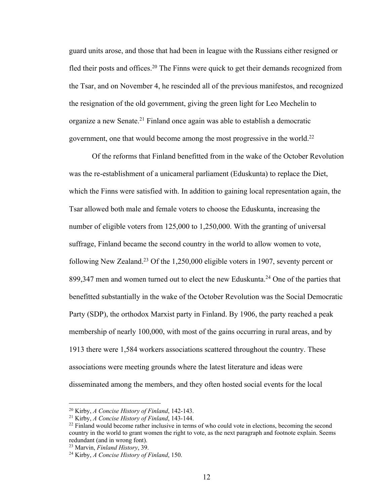guard units arose, and those that had been in league with the Russians either resigned or fled their posts and offices.<sup>20</sup> The Finns were quick to get their demands recognized from the Tsar, and on November 4, he rescinded all of the previous manifestos, and recognized the resignation of the old government, giving the green light for Leo Mechelin to organize a new Senate.21 Finland once again was able to establish a democratic government, one that would become among the most progressive in the world.22

Of the reforms that Finland benefitted from in the wake of the October Revolution was the re-establishment of a unicameral parliament (Eduskunta) to replace the Diet, which the Finns were satisfied with. In addition to gaining local representation again, the Tsar allowed both male and female voters to choose the Eduskunta, increasing the number of eligible voters from 125,000 to 1,250,000. With the granting of universal suffrage, Finland became the second country in the world to allow women to vote, following New Zealand.23 Of the 1,250,000 eligible voters in 1907, seventy percent or 899,347 men and women turned out to elect the new Eduskunta.<sup>24</sup> One of the parties that benefitted substantially in the wake of the October Revolution was the Social Democratic Party (SDP), the orthodox Marxist party in Finland. By 1906, the party reached a peak membership of nearly 100,000, with most of the gains occurring in rural areas, and by 1913 there were 1,584 workers associations scattered throughout the country. These associations were meeting grounds where the latest literature and ideas were disseminated among the members, and they often hosted social events for the local

<sup>20</sup> Kirby, *A Concise History of Finland*, 142-143.

<sup>21</sup> Kirby, *A Concise History of Finland*, 143-144.

 $^{22}$  Finland would become rather inclusive in terms of who could vote in elections, becoming the second country in the world to grant women the right to vote, as the next paragraph and footnote explain. Seems redundant (and in wrong font).

<sup>23</sup> Marvin, *Finland History*, 39.

<sup>24</sup> Kirby, *A Concise History of Finland*, 150.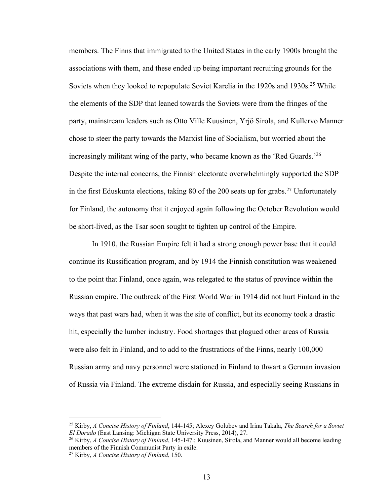members. The Finns that immigrated to the United States in the early 1900s brought the associations with them, and these ended up being important recruiting grounds for the Soviets when they looked to repopulate Soviet Karelia in the 1920s and 1930s.<sup>25</sup> While the elements of the SDP that leaned towards the Soviets were from the fringes of the party, mainstream leaders such as Otto Ville Kuusinen, Yrjö Sirola, and Kullervo Manner chose to steer the party towards the Marxist line of Socialism, but worried about the increasingly militant wing of the party, who became known as the 'Red Guards.<sup>'26</sup> Despite the internal concerns, the Finnish electorate overwhelmingly supported the SDP in the first Eduskunta elections, taking 80 of the 200 seats up for grabs.<sup>27</sup> Unfortunately for Finland, the autonomy that it enjoyed again following the October Revolution would be short-lived, as the Tsar soon sought to tighten up control of the Empire.

In 1910, the Russian Empire felt it had a strong enough power base that it could continue its Russification program, and by 1914 the Finnish constitution was weakened to the point that Finland, once again, was relegated to the status of province within the Russian empire. The outbreak of the First World War in 1914 did not hurt Finland in the ways that past wars had, when it was the site of conflict, but its economy took a drastic hit, especially the lumber industry. Food shortages that plagued other areas of Russia were also felt in Finland, and to add to the frustrations of the Finns, nearly 100,000 Russian army and navy personnel were stationed in Finland to thwart a German invasion of Russia via Finland. The extreme disdain for Russia, and especially seeing Russians in

<sup>25</sup> Kirby, *A Concise History of Finland*, 144-145; Alexey Golubev and Irina Takala, *The Search for a Soviet El Dorado* (East Lansing: Michigan State University Press, 2014), 27.

<sup>26</sup> Kirby, *A Concise History of Finland*, 145-147.; Kuusinen, Sirola, and Manner would all become leading members of the Finnish Communist Party in exile.

<sup>27</sup> Kirby, *A Concise History of Finland*, 150.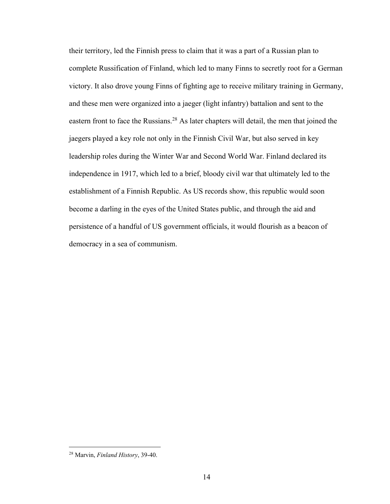their territory, led the Finnish press to claim that it was a part of a Russian plan to complete Russification of Finland, which led to many Finns to secretly root for a German victory. It also drove young Finns of fighting age to receive military training in Germany, and these men were organized into a jaeger (light infantry) battalion and sent to the eastern front to face the Russians.<sup>28</sup> As later chapters will detail, the men that joined the jaegers played a key role not only in the Finnish Civil War, but also served in key leadership roles during the Winter War and Second World War. Finland declared its independence in 1917, which led to a brief, bloody civil war that ultimately led to the establishment of a Finnish Republic. As US records show, this republic would soon become a darling in the eyes of the United States public, and through the aid and persistence of a handful of US government officials, it would flourish as a beacon of democracy in a sea of communism.

<sup>28</sup> Marvin, *Finland History*, 39-40.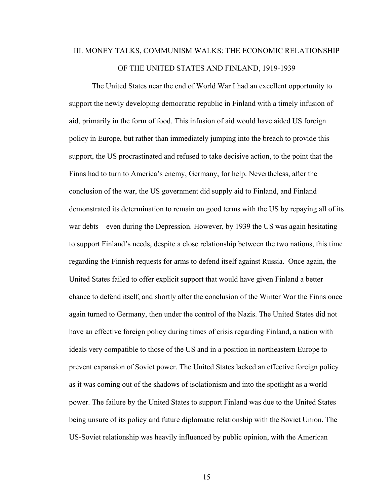# III. MONEY TALKS, COMMUNISM WALKS: THE ECONOMIC RELATIONSHIP OF THE UNITED STATES AND FINLAND, 1919-1939

The United States near the end of World War I had an excellent opportunity to support the newly developing democratic republic in Finland with a timely infusion of aid, primarily in the form of food. This infusion of aid would have aided US foreign policy in Europe, but rather than immediately jumping into the breach to provide this support, the US procrastinated and refused to take decisive action, to the point that the Finns had to turn to America's enemy, Germany, for help. Nevertheless, after the conclusion of the war, the US government did supply aid to Finland, and Finland demonstrated its determination to remain on good terms with the US by repaying all of its war debts—even during the Depression. However, by 1939 the US was again hesitating to support Finland's needs, despite a close relationship between the two nations, this time regarding the Finnish requests for arms to defend itself against Russia. Once again, the United States failed to offer explicit support that would have given Finland a better chance to defend itself, and shortly after the conclusion of the Winter War the Finns once again turned to Germany, then under the control of the Nazis. The United States did not have an effective foreign policy during times of crisis regarding Finland, a nation with ideals very compatible to those of the US and in a position in northeastern Europe to prevent expansion of Soviet power. The United States lacked an effective foreign policy as it was coming out of the shadows of isolationism and into the spotlight as a world power. The failure by the United States to support Finland was due to the United States being unsure of its policy and future diplomatic relationship with the Soviet Union. The US-Soviet relationship was heavily influenced by public opinion, with the American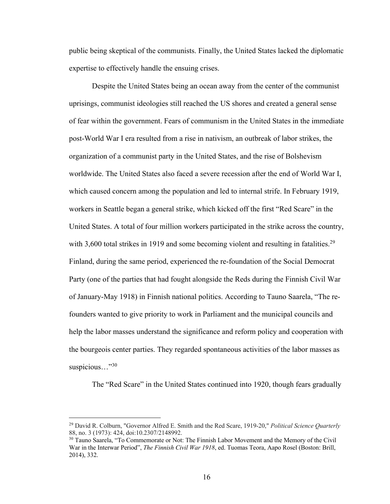public being skeptical of the communists. Finally, the United States lacked the diplomatic expertise to effectively handle the ensuing crises.

Despite the United States being an ocean away from the center of the communist uprisings, communist ideologies still reached the US shores and created a general sense of fear within the government. Fears of communism in the United States in the immediate post-World War I era resulted from a rise in nativism, an outbreak of labor strikes, the organization of a communist party in the United States, and the rise of Bolshevism worldwide. The United States also faced a severe recession after the end of World War I, which caused concern among the population and led to internal strife. In February 1919, workers in Seattle began a general strike, which kicked off the first "Red Scare" in the United States. A total of four million workers participated in the strike across the country, with 3,600 total strikes in 1919 and some becoming violent and resulting in fatalities.<sup>29</sup> Finland, during the same period, experienced the re-foundation of the Social Democrat Party (one of the parties that had fought alongside the Reds during the Finnish Civil War of January-May 1918) in Finnish national politics. According to Tauno Saarela, "The refounders wanted to give priority to work in Parliament and the municipal councils and help the labor masses understand the significance and reform policy and cooperation with the bourgeois center parties. They regarded spontaneous activities of the labor masses as suspicious..."<sup>30</sup>

The "Red Scare" in the United States continued into 1920, though fears gradually

<sup>29</sup> David R. Colburn, "Governor Alfred E. Smith and the Red Scare, 1919-20," *Political Science Quarterly* 88, no. 3 (1973): 424, doi:10.2307/2148992.

<sup>&</sup>lt;sup>30</sup> Tauno Saarela, "To Commemorate or Not: The Finnish Labor Movement and the Memory of the Civil War in the Interwar Period", *The Finnish Civil War 1918*, ed. Tuomas Teora, Aapo Rosel (Boston: Brill, 2014), 332.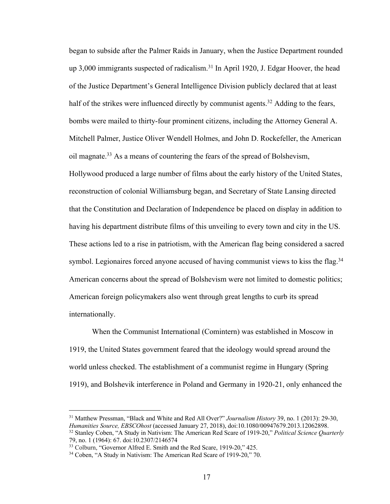began to subside after the Palmer Raids in January, when the Justice Department rounded up  $3,000$  immigrants suspected of radicalism.<sup>31</sup> In April 1920, J. Edgar Hoover, the head of the Justice Department's General Intelligence Division publicly declared that at least half of the strikes were influenced directly by communist agents.<sup>32</sup> Adding to the fears, bombs were mailed to thirty-four prominent citizens, including the Attorney General A. Mitchell Palmer, Justice Oliver Wendell Holmes, and John D. Rockefeller, the American oil magnate.33 As a means of countering the fears of the spread of Bolshevism, Hollywood produced a large number of films about the early history of the United States, reconstruction of colonial Williamsburg began, and Secretary of State Lansing directed that the Constitution and Declaration of Independence be placed on display in addition to having his department distribute films of this unveiling to every town and city in the US. These actions led to a rise in patriotism, with the American flag being considered a sacred symbol. Legionaires forced anyone accused of having communist views to kiss the flag.<sup>34</sup> American concerns about the spread of Bolshevism were not limited to domestic politics; American foreign policymakers also went through great lengths to curb its spread internationally.

When the Communist International (Comintern) was established in Moscow in 1919, the United States government feared that the ideology would spread around the world unless checked. The establishment of a communist regime in Hungary (Spring 1919), and Bolshevik interference in Poland and Germany in 1920-21, only enhanced the

<sup>31</sup> Matthew Pressman, "Black and White and Red All Over?" *Journalism History* 39, no. 1 (2013): 29-30, *Humanities Source, EBSCOhost* (accessed January 27, 2018), doi:10.1080/00947679.2013.12062898. <sup>32</sup> Stanley Coben, "A Study in Nativism: The American Red Scare of 1919-20," *Political Science Quarterly* 79, no. 1 (1964): 67. doi:10.2307/2146574

<sup>&</sup>lt;sup>33</sup> Colburn, "Governor Alfred E. Smith and the Red Scare, 1919-20," 425.

<sup>34</sup> Coben, "A Study in Nativism: The American Red Scare of 1919-20," 70.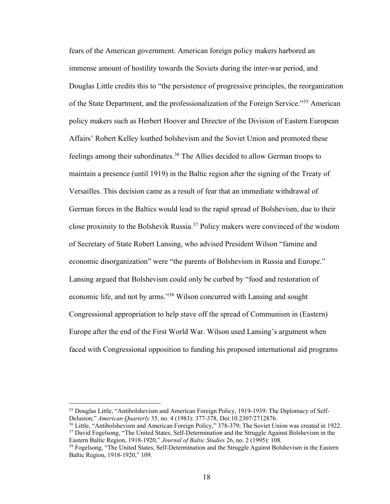fears of the American government. American foreign policy makers harbored an immense amount of hostility towards the Soviets during the inter-war period, and Douglas Little credits this to "the persistence of progressive principles, the reorganization of the State Department, and the professionalization of the Foreign Service."35 American policy makers such as Herbert Hoover and Director of the Division of Eastern European Affairs' Robert Kelley loathed bolshevism and the Soviet Union and promoted these feelings among their subordinates.<sup>36</sup> The Allies decided to allow German troops to maintain a presence (until 1919) in the Baltic region after the signing of the Treaty of Versailles. This decision came as a result of fear that an immediate withdrawal of German forces in the Baltics would lead to the rapid spread of Bolshevism, due to their close proximity to the Bolshevik Russia.37 Policy makers were convinced of the wisdom of Secretary of State Robert Lansing, who advised President Wilson "famine and economic disorganization" were "the parents of Bolshevism in Russia and Europe." Lansing argued that Bolshevism could only be curbed by "food and restoration of economic life, and not by arms."38 Wilson concurred with Lansing and sought Congressional appropriation to help stave off the spread of Communism in (Eastern) Europe after the end of the First World War. Wilson used Lansing's argument when faced with Congressional opposition to funding his proposed international aid programs

<sup>&</sup>lt;sup>35</sup> Douglas Little, "Antibolshevism and American Foreign Policy, 1919-1939: The Diplomacy of Self-Delusion," *American Quarterly* 35, no. 4 (1983): 377-378, Doi:10.2307/2712876.

<sup>&</sup>lt;sup>36</sup> Little, "Antibolshevism and American Foreign Policy," 378-379; The Soviet Union was created in 1922. <sup>37</sup> David Fogelsong, "The United States, Self-Determination and the Struggle Against Bolshevism in the Eastern Baltic Region, 1918-1920," Journal of Baltic Studies 26, no. 2 (1995): 108.

<sup>&</sup>lt;sup>38</sup> Fogelsong, "The United States, Self-Determination and the Struggle Against Bolshevism in the Eastern Baltic Region, 1918-1920," 109.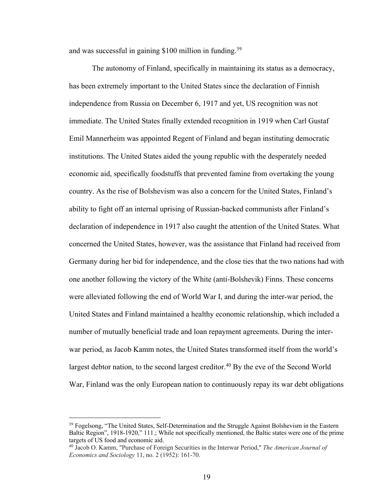and was successful in gaining \$100 million in funding.39

The autonomy of Finland, specifically in maintaining its status as a democracy, has been extremely important to the United States since the declaration of Finnish independence from Russia on December 6, 1917 and yet, US recognition was not immediate. The United States finally extended recognition in 1919 when Carl Gustaf Emil Mannerheim was appointed Regent of Finland and began instituting democratic institutions. The United States aided the young republic with the desperately needed economic aid, specifically foodstuffs that prevented famine from overtaking the young country. As the rise of Bolshevism was also a concern for the United States, Finland's ability to fight off an internal uprising of Russian-backed communists after Finland's declaration of independence in 1917 also caught the attention of the United States. What concerned the United States, however, was the assistance that Finland had received from Germany during her bid for independence, and the close ties that the two nations had with one another following the victory of the White (anti-Bolshevik) Finns. These concerns were alleviated following the end of World War I, and during the inter-war period, the United States and Finland maintained a healthy economic relationship, which included a number of mutually beneficial trade and loan repayment agreements. During the interwar period, as Jacob Kamm notes, the United States transformed itself from the world's largest debtor nation, to the second largest creditor.<sup>40</sup> By the eve of the Second World War, Finland was the only European nation to continuously repay its war debt obligations

<sup>&</sup>lt;sup>39</sup> Fogelsong, "The United States, Self-Determination and the Struggle Against Bolshevism in the Eastern Baltic Region", 1918-1920," 111.; While not specifically mentioned, the Baltic states were one of the prime targets of US food and economic aid.

<sup>40</sup> Jacob O. Kamm, "Purchase of Foreign Securities in the Interwar Period," *The American Journal of Economics and Sociology* 11, no. 2 (1952): 161-70.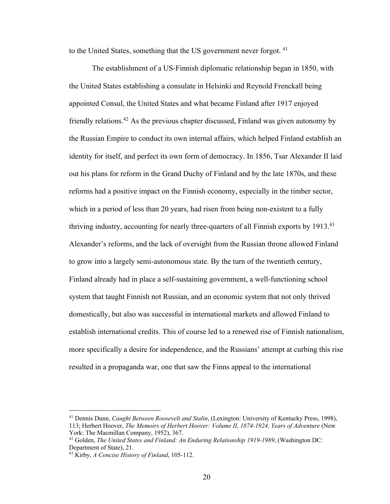to the United States, something that the US government never forgot.<sup>41</sup>

The establishment of a US-Finnish diplomatic relationship began in 1850, with the United States establishing a consulate in Helsinki and Reynold Frenckall being appointed Consul, the United States and what became Finland after 1917 enjoyed friendly relations.42 As the previous chapter discussed, Finland was given autonomy by the Russian Empire to conduct its own internal affairs, which helped Finland establish an identity for itself, and perfect its own form of democracy. In 1856, Tsar Alexander II laid out his plans for reform in the Grand Duchy of Finland and by the late 1870s, and these reforms had a positive impact on the Finnish economy, especially in the timber sector, which in a period of less than 20 years, had risen from being non-existent to a fully thriving industry, accounting for nearly three-quarters of all Finnish exports by 1913.43 Alexander's reforms, and the lack of oversight from the Russian throne allowed Finland to grow into a largely semi-autonomous state. By the turn of the twentieth century, Finland already had in place a self-sustaining government, a well-functioning school system that taught Finnish not Russian, and an economic system that not only thrived domestically, but also was successful in international markets and allowed Finland to establish international credits. This of course led to a renewed rise of Finnish nationalism, more specifically a desire for independence, and the Russians' attempt at curbing this rise resulted in a propaganda war, one that saw the Finns appeal to the international

<sup>41</sup> Dennis Dunn, *Caught Between Roosevelt and Stalin*, (Lexington: University of Kentucky Press, 1998), 113; Herbert Hoover, *The Memoirs of Herbert Hoover: Volume II, 1874-1924, Years of Adventure* (New York: The Macmillan Company, 1952), 367.

<sup>42</sup> Golden, *The United States and Finland: An Enduring Relationship 1919-1989*, (Washington DC: Department of State), 21.

<sup>43</sup> Kirby, *A Concise History of Finland*, 105-112.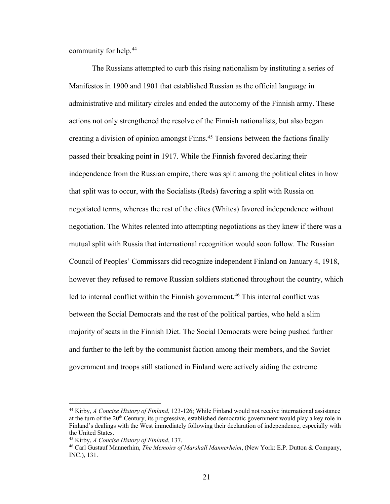community for help.44

The Russians attempted to curb this rising nationalism by instituting a series of Manifestos in 1900 and 1901 that established Russian as the official language in administrative and military circles and ended the autonomy of the Finnish army. These actions not only strengthened the resolve of the Finnish nationalists, but also began creating a division of opinion amongst Finns.<sup>45</sup> Tensions between the factions finally passed their breaking point in 1917. While the Finnish favored declaring their independence from the Russian empire, there was split among the political elites in how that split was to occur, with the Socialists (Reds) favoring a split with Russia on negotiated terms, whereas the rest of the elites (Whites) favored independence without negotiation. The Whites relented into attempting negotiations as they knew if there was a mutual split with Russia that international recognition would soon follow. The Russian Council of Peoples' Commissars did recognize independent Finland on January 4, 1918, however they refused to remove Russian soldiers stationed throughout the country, which led to internal conflict within the Finnish government.<sup>46</sup> This internal conflict was between the Social Democrats and the rest of the political parties, who held a slim majority of seats in the Finnish Diet. The Social Democrats were being pushed further and further to the left by the communist faction among their members, and the Soviet government and troops still stationed in Finland were actively aiding the extreme

<sup>44</sup> Kirby, *A Concise History of Finland*, 123-126; While Finland would not receive international assistance at the turn of the  $20<sup>th</sup>$  Century, its progressive, established democratic government would play a key role in Finland's dealings with the West immediately following their declaration of independence, especially with the United States.

<sup>45</sup> Kirby, *A Concise History of Finland*, 137.

<sup>46</sup> Carl Gustauf Mannerhim, *The Memoirs of Marshall Mannerheim*, (New York: E.P. Dutton & Company, INC.), 131.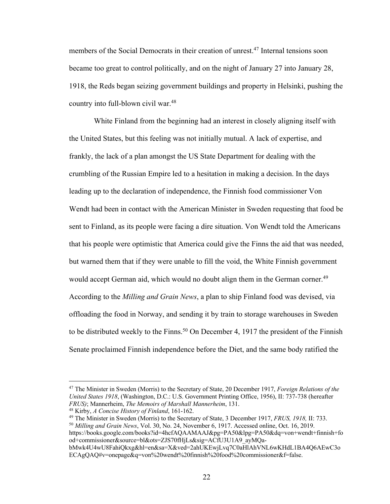members of the Social Democrats in their creation of unrest.47 Internal tensions soon became too great to control politically, and on the night of January 27 into January 28, 1918, the Reds began seizing government buildings and property in Helsinki, pushing the country into full-blown civil war.<sup>48</sup>

White Finland from the beginning had an interest in closely aligning itself with the United States, but this feeling was not initially mutual. A lack of expertise, and frankly, the lack of a plan amongst the US State Department for dealing with the crumbling of the Russian Empire led to a hesitation in making a decision. In the days leading up to the declaration of independence, the Finnish food commissioner Von Wendt had been in contact with the American Minister in Sweden requesting that food be sent to Finland, as its people were facing a dire situation. Von Wendt told the Americans that his people were optimistic that America could give the Finns the aid that was needed, but warned them that if they were unable to fill the void, the White Finnish government would accept German aid, which would no doubt align them in the German corner.<sup>49</sup> According to the *Milling and Grain News*, a plan to ship Finland food was devised, via offloading the food in Norway, and sending it by train to storage warehouses in Sweden to be distributed weekly to the Finns.<sup>50</sup> On December 4, 1917 the president of the Finnish Senate proclaimed Finnish independence before the Diet, and the same body ratified the

<sup>49</sup> The Minister in Sweden (Morris) to the Secretary of State, 3 December 1917, *FRUS, 1918,* II: 733. <sup>50</sup> *Milling and Grain News*, Vol. 30, No. 24, November 6, 1917. Accessed online, Oct. 16, 2019.

https://books.google.com/books?id=4hcfAQAAMAAJ&pg=PA50&lpg=PA50&dq=von+wendt+finnish+fo od+commissioner&source=bl&ots=ZJS70fHjLs&sig=ACfU3U1A9\_ayMQa-

<sup>47</sup> The Minister in Sweden (Morris) to the Secretary of State, 20 December 1917, *Foreign Relations of the United States 1918*, (Washington, D.C.: U.S. Government Printing Office, 1956), II: 737-738 (hereafter *FRUS)*; Mannerheim, *The Memoirs of Marshall Mannerheim*, 131.

<sup>48</sup> Kirby, *A Concise History of Finland*, 161-162.

bMwk4U4wU8FahiQkxg&hl=en&sa=X&ved=2ahUKEwjLvq7C0aHlAhVNL6wKHdL1BA4Q6AEwC3o ECAgQAQ#v=onepage&q=von%20wendt%20finnish%20food%20commissioner&f=false.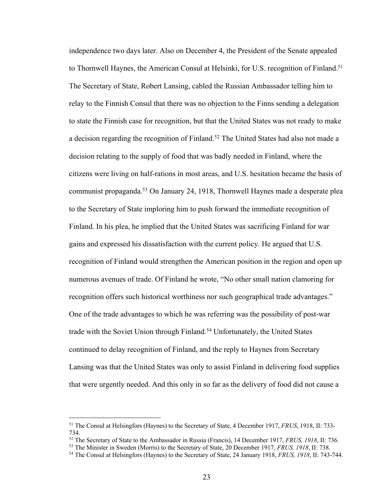independence two days later. Also on December 4, the President of the Senate appealed to Thornwell Haynes, the American Consul at Helsinki, for U.S. recognition of Finland.<sup>51</sup> The Secretary of State, Robert Lansing, cabled the Russian Ambassador telling him to relay to the Finnish Consul that there was no objection to the Finns sending a delegation to state the Finnish case for recognition, but that the United States was not ready to make a decision regarding the recognition of Finland.<sup>52</sup> The United States had also not made a decision relating to the supply of food that was badly needed in Finland, where the citizens were living on half-rations in most areas, and U.S. hesitation became the basis of communist propaganda.<sup>53</sup> On January 24, 1918, Thornwell Haynes made a desperate plea to the Secretary of State imploring him to push forward the immediate recognition of Finland. In his plea, he implied that the United States was sacrificing Finland for war gains and expressed his dissatisfaction with the current policy. He argued that U.S. recognition of Finland would strengthen the American position in the region and open up numerous avenues of trade. Of Finland he wrote, "No other small nation clamoring for recognition offers such historical worthiness nor such geographical trade advantages." One of the trade advantages to which he was referring was the possibility of post-war trade with the Soviet Union through Finland.<sup>54</sup> Unfortunately, the United States continued to delay recognition of Finland, and the reply to Haynes from Secretary Lansing was that the United States was only to assist Finland in delivering food supplies that were urgently needed. And this only in so far as the delivery of food did not cause a

<sup>51</sup> The Consul at Helsingfors (Haynes) to the Secretary of State, 4 December 1917, *FRUS*, 1918, II: 733- 734.

<sup>52</sup> The Secretary of State to the Ambassador in Russia (Francis), 14 December 1917, *FRUS, 1918*, II: 736.

<sup>53</sup> The Minister in Sweden (Morris) to the Secretary of State, 20 December 1917, *FRUS, 1918*, II: 738.

<sup>54</sup> The Consul at Helsingfors (Haynes) to the Secretary of State, 24 January 1918, *FRUS, 1918*, II: 743-744.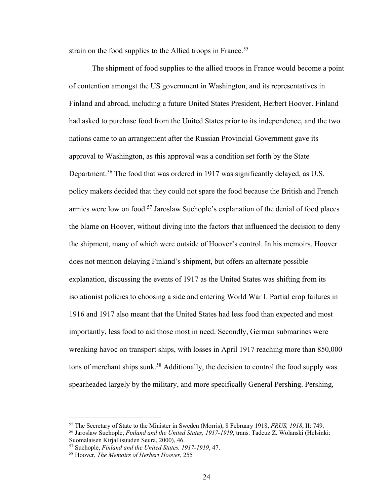strain on the food supplies to the Allied troops in France.<sup>55</sup>

The shipment of food supplies to the allied troops in France would become a point of contention amongst the US government in Washington, and its representatives in Finland and abroad, including a future United States President, Herbert Hoover. Finland had asked to purchase food from the United States prior to its independence, and the two nations came to an arrangement after the Russian Provincial Government gave its approval to Washington, as this approval was a condition set forth by the State Department.<sup>56</sup> The food that was ordered in 1917 was significantly delayed, as U.S. policy makers decided that they could not spare the food because the British and French armies were low on food.57 Jaroslaw Suchople's explanation of the denial of food places the blame on Hoover, without diving into the factors that influenced the decision to deny the shipment, many of which were outside of Hoover's control. In his memoirs, Hoover does not mention delaying Finland's shipment, but offers an alternate possible explanation, discussing the events of 1917 as the United States was shifting from its isolationist policies to choosing a side and entering World War I. Partial crop failures in 1916 and 1917 also meant that the United States had less food than expected and most importantly, less food to aid those most in need. Secondly, German submarines were wreaking havoc on transport ships, with losses in April 1917 reaching more than 850,000 tons of merchant ships sunk.<sup>58</sup> Additionally, the decision to control the food supply was spearheaded largely by the military, and more specifically General Pershing. Pershing,

<sup>55</sup> The Secretary of State to the Minister in Sweden (Morris), 8 February 1918, *FRUS, 1918*, II: 749.

<sup>56</sup> Jaroslaw Suchople, *Finland and the United States, 1917-1919*, trans. Tadeuz Z. Wolanski (Helsinki: Suomalaisen Kirjallisuuden Seura, 2000), 46.

<sup>57</sup> Suchople, *Finland and the United States, 1917-1919*, 47.

<sup>58</sup> Hoover, *The Memoirs of Herbert Hoover*, 255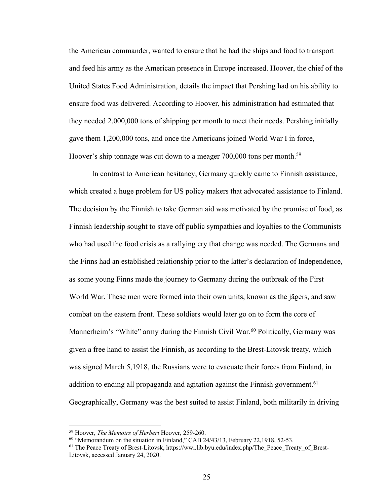the American commander, wanted to ensure that he had the ships and food to transport and feed his army as the American presence in Europe increased. Hoover, the chief of the United States Food Administration, details the impact that Pershing had on his ability to ensure food was delivered. According to Hoover, his administration had estimated that they needed 2,000,000 tons of shipping per month to meet their needs. Pershing initially gave them 1,200,000 tons, and once the Americans joined World War I in force, Hoover's ship tonnage was cut down to a meager  $700,000$  tons per month.<sup>59</sup>

In contrast to American hesitancy, Germany quickly came to Finnish assistance, which created a huge problem for US policy makers that advocated assistance to Finland. The decision by the Finnish to take German aid was motivated by the promise of food, as Finnish leadership sought to stave off public sympathies and loyalties to the Communists who had used the food crisis as a rallying cry that change was needed. The Germans and the Finns had an established relationship prior to the latter's declaration of Independence, as some young Finns made the journey to Germany during the outbreak of the First World War. These men were formed into their own units, known as the jägers, and saw combat on the eastern front. These soldiers would later go on to form the core of Mannerheim's "White" army during the Finnish Civil War.<sup>60</sup> Politically, Germany was given a free hand to assist the Finnish, as according to the Brest-Litovsk treaty, which was signed March 5,1918, the Russians were to evacuate their forces from Finland, in addition to ending all propaganda and agitation against the Finnish government.<sup>61</sup> Geographically, Germany was the best suited to assist Finland, both militarily in driving

<sup>&</sup>lt;sup>59</sup> Hoover, *The Memoirs of Herbert* Hoover, 259-260.<br><sup>60</sup> "Memorandum on the situation in Finland," CAB 24/43/13, February 22,1918, 52-53.

<sup>&</sup>lt;sup>61</sup> The Peace Treaty of Brest-Litovsk, https://wwi.lib.byu.edu/index.php/The\_Peace\_Treaty\_of\_Brest-Litovsk, accessed January 24, 2020.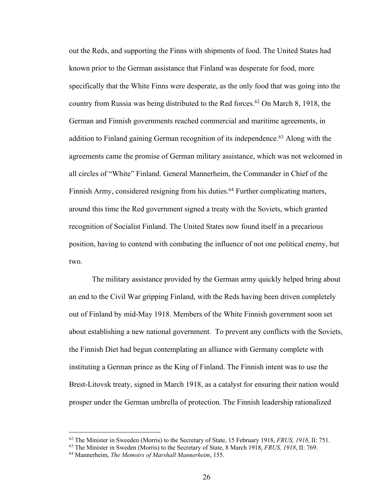out the Reds, and supporting the Finns with shipments of food. The United States had known prior to the German assistance that Finland was desperate for food, more specifically that the White Finns were desperate, as the only food that was going into the country from Russia was being distributed to the Red forces.<sup>62</sup> On March 8, 1918, the German and Finnish governments reached commercial and maritime agreements, in addition to Finland gaining German recognition of its independence.<sup>63</sup> Along with the agreements came the promise of German military assistance, which was not welcomed in all circles of "White" Finland. General Mannerheim, the Commander in Chief of the Finnish Army, considered resigning from his duties.<sup>64</sup> Further complicating matters, around this time the Red government signed a treaty with the Soviets, which granted recognition of Socialist Finland. The United States now found itself in a precarious position, having to contend with combating the influence of not one political enemy, but two.

The military assistance provided by the German army quickly helped bring about an end to the Civil War gripping Finland, with the Reds having been driven completely out of Finland by mid-May 1918. Members of the White Finnish government soon set about establishing a new national government. To prevent any conflicts with the Soviets, the Finnish Diet had begun contemplating an alliance with Germany complete with instituting a German prince as the King of Finland. The Finnish intent was to use the Brest-Litovsk treaty, signed in March 1918, as a catalyst for ensuring their nation would prosper under the German umbrella of protection. The Finnish leadership rationalized

<sup>62</sup> The Minister in Sweeden (Morris) to the Secretary of State, 15 February 1918, *FRUS, 1918*, II: 751.

<sup>63</sup> The Minister in Sweden (Morris) to the Secretary of State, 8 March 1918, *FRUS, 1918*, II: 769.

<sup>64</sup> Mannerheim, *The Memoirs of Marshall Mannerheim*, 155.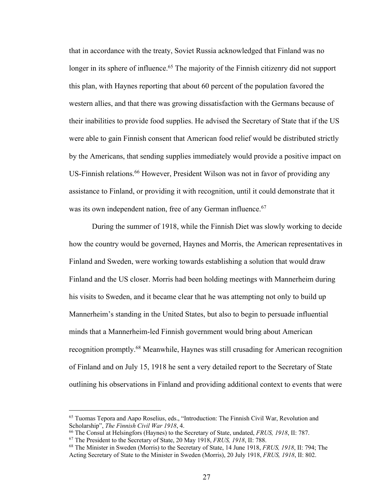that in accordance with the treaty, Soviet Russia acknowledged that Finland was no longer in its sphere of influence.<sup>65</sup> The majority of the Finnish citizenry did not support this plan, with Haynes reporting that about 60 percent of the population favored the western allies, and that there was growing dissatisfaction with the Germans because of their inabilities to provide food supplies. He advised the Secretary of State that if the US were able to gain Finnish consent that American food relief would be distributed strictly by the Americans, that sending supplies immediately would provide a positive impact on US-Finnish relations.<sup>66</sup> However, President Wilson was not in favor of providing any assistance to Finland, or providing it with recognition, until it could demonstrate that it was its own independent nation, free of any German influence.<sup>67</sup>

During the summer of 1918, while the Finnish Diet was slowly working to decide how the country would be governed, Haynes and Morris, the American representatives in Finland and Sweden, were working towards establishing a solution that would draw Finland and the US closer. Morris had been holding meetings with Mannerheim during his visits to Sweden, and it became clear that he was attempting not only to build up Mannerheim's standing in the United States, but also to begin to persuade influential minds that a Mannerheim-led Finnish government would bring about American recognition promptly.<sup>68</sup> Meanwhile, Haynes was still crusading for American recognition of Finland and on July 15, 1918 he sent a very detailed report to the Secretary of State outlining his observations in Finland and providing additional context to events that were

<sup>65</sup> Tuomas Tepora and Aapo Roselius, eds., "Introduction: The Finnish Civil War, Revolution and Scholarship", *The Finnish Civil War 1918*, 4.

<sup>66</sup> The Consul at Helsingfors (Haynes) to the Secretary of State, undated, *FRUS, 1918*, II: 787.

<sup>67</sup> The President to the Secretary of State, 20 May 1918, *FRUS, 1918*, II: 788.

<sup>68</sup> The Minister in Sweden (Morris) to the Secretary of State, 14 June 1918, *FRUS, 1918*, II: 794; The Acting Secretary of State to the Minister in Sweden (Morris), 20 July 1918, *FRUS, 1918*, II: 802.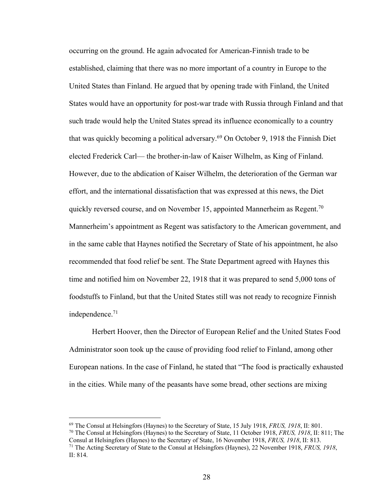occurring on the ground. He again advocated for American-Finnish trade to be established, claiming that there was no more important of a country in Europe to the United States than Finland. He argued that by opening trade with Finland, the United States would have an opportunity for post-war trade with Russia through Finland and that such trade would help the United States spread its influence economically to a country that was quickly becoming a political adversary.<sup>69</sup> On October 9, 1918 the Finnish Diet elected Frederick Carl— the brother-in-law of Kaiser Wilhelm, as King of Finland. However, due to the abdication of Kaiser Wilhelm, the deterioration of the German war effort, and the international dissatisfaction that was expressed at this news, the Diet quickly reversed course, and on November 15, appointed Mannerheim as Regent.<sup>70</sup> Mannerheim's appointment as Regent was satisfactory to the American government, and in the same cable that Haynes notified the Secretary of State of his appointment, he also recommended that food relief be sent. The State Department agreed with Haynes this time and notified him on November 22, 1918 that it was prepared to send 5,000 tons of foodstuffs to Finland, but that the United States still was not ready to recognize Finnish independence.71

Herbert Hoover, then the Director of European Relief and the United States Food Administrator soon took up the cause of providing food relief to Finland, among other European nations. In the case of Finland, he stated that "The food is practically exhausted in the cities. While many of the peasants have some bread, other sections are mixing

<sup>70</sup> The Consul at Helsingfors (Haynes) to the Secretary of State, 11 October 1918, *FRUS, 1918*, II: 811; The Consul at Helsingfors (Haynes) to the Secretary of State, 16 November 1918, *FRUS, 1918*, II: 813.

<sup>69</sup> The Consul at Helsingfors (Haynes) to the Secretary of State, 15 July 1918, *FRUS, 1918*, II: 801.

<sup>71</sup> The Acting Secretary of State to the Consul at Helsingfors (Haynes), 22 November 1918, *FRUS, 1918*, II: 814.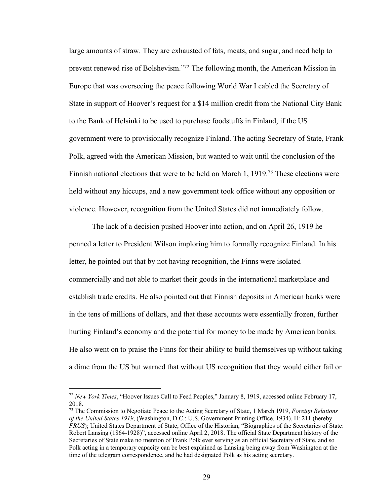large amounts of straw. They are exhausted of fats, meats, and sugar, and need help to prevent renewed rise of Bolshevism."72 The following month, the American Mission in Europe that was overseeing the peace following World War I cabled the Secretary of State in support of Hoover's request for a \$14 million credit from the National City Bank to the Bank of Helsinki to be used to purchase foodstuffs in Finland, if the US government were to provisionally recognize Finland. The acting Secretary of State, Frank Polk, agreed with the American Mission, but wanted to wait until the conclusion of the Finnish national elections that were to be held on March 1, 1919.<sup>73</sup> These elections were held without any hiccups, and a new government took office without any opposition or violence. However, recognition from the United States did not immediately follow.

The lack of a decision pushed Hoover into action, and on April 26, 1919 he penned a letter to President Wilson imploring him to formally recognize Finland. In his letter, he pointed out that by not having recognition, the Finns were isolated commercially and not able to market their goods in the international marketplace and establish trade credits. He also pointed out that Finnish deposits in American banks were in the tens of millions of dollars, and that these accounts were essentially frozen, further hurting Finland's economy and the potential for money to be made by American banks. He also went on to praise the Finns for their ability to build themselves up without taking a dime from the US but warned that without US recognition that they would either fail or

<sup>72</sup> *New York Times*, "Hoover Issues Call to Feed Peoples," January 8, 1919, accessed online February 17, 2018.

<sup>73</sup> The Commission to Negotiate Peace to the Acting Secretary of State, 1 March 1919, *Foreign Relations of the United States 1919*, (Washington, D.C.: U.S. Government Printing Office, 1934), II: 211 (hereby *FRUS*); United States Department of State, Office of the Historian, "Biographies of the Secretaries of State: Robert Lansing (1864-1928)", accessed online April 2, 2018. The official State Department history of the Secretaries of State make no mention of Frank Polk ever serving as an official Secretary of State, and so Polk acting in a temporary capacity can be best explained as Lansing being away from Washington at the time of the telegram correspondence, and he had designated Polk as his acting secretary.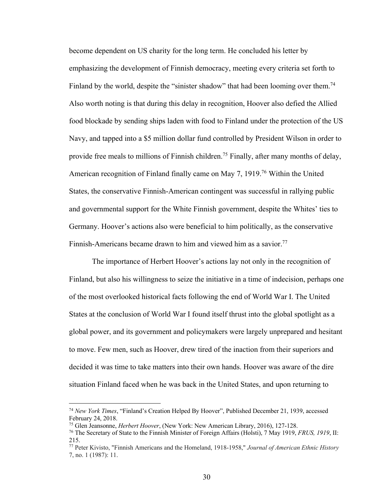become dependent on US charity for the long term. He concluded his letter by emphasizing the development of Finnish democracy, meeting every criteria set forth to Finland by the world, despite the "sinister shadow" that had been looming over them.<sup>74</sup> Also worth noting is that during this delay in recognition, Hoover also defied the Allied food blockade by sending ships laden with food to Finland under the protection of the US Navy, and tapped into a \$5 million dollar fund controlled by President Wilson in order to provide free meals to millions of Finnish children.<sup>75</sup> Finally, after many months of delay, American recognition of Finland finally came on May 7, 1919.76 Within the United States, the conservative Finnish-American contingent was successful in rallying public and governmental support for the White Finnish government, despite the Whites' ties to Germany. Hoover's actions also were beneficial to him politically, as the conservative Finnish-Americans became drawn to him and viewed him as a savior.<sup>77</sup>

The importance of Herbert Hoover's actions lay not only in the recognition of Finland, but also his willingness to seize the initiative in a time of indecision, perhaps one of the most overlooked historical facts following the end of World War I. The United States at the conclusion of World War I found itself thrust into the global spotlight as a global power, and its government and policymakers were largely unprepared and hesitant to move. Few men, such as Hoover, drew tired of the inaction from their superiors and decided it was time to take matters into their own hands. Hoover was aware of the dire situation Finland faced when he was back in the United States, and upon returning to

<sup>74</sup> *New York Times*, "Finland's Creation Helped By Hoover", Published December 21, 1939, accessed February 24, 2018.

<sup>75</sup> Glen Jeansonne, *Herbert Hoover*, (New York: New American Library, 2016), 127-128.

<sup>76</sup> The Secretary of State to the Finnish Minister of Foreign Affairs (Holsti), 7 May 1919, *FRUS, 1919*, II: 215.

<sup>77</sup> Peter Kivisto, "Finnish Americans and the Homeland, 1918-1958," *Journal of American Ethnic History* 7, no. 1 (1987): 11.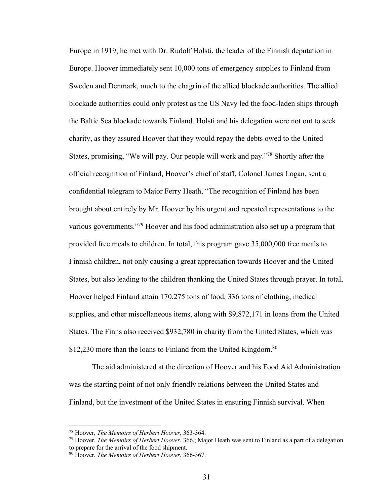Europe in 1919, he met with Dr. Rudolf Holsti, the leader of the Finnish deputation in Europe. Hoover immediately sent 10,000 tons of emergency supplies to Finland from Sweden and Denmark, much to the chagrin of the allied blockade authorities. The allied blockade authorities could only protest as the US Navy led the food-laden ships through the Baltic Sea blockade towards Finland. Holsti and his delegation were not out to seek charity, as they assured Hoover that they would repay the debts owed to the United States, promising, "We will pay. Our people will work and pay."78 Shortly after the official recognition of Finland, Hoover's chief of staff, Colonel James Logan, sent a confidential telegram to Major Ferry Heath, "The recognition of Finland has been brought about entirely by Mr. Hoover by his urgent and repeated representations to the various governments."79 Hoover and his food administration also set up a program that provided free meals to children. In total, this program gave 35,000,000 free meals to Finnish children, not only causing a great appreciation towards Hoover and the United States, but also leading to the children thanking the United States through prayer. In total, Hoover helped Finland attain 170,275 tons of food, 336 tons of clothing, medical supplies, and other miscellaneous items, along with \$9,872,171 in loans from the United States. The Finns also received \$932,780 in charity from the United States, which was \$12,230 more than the loans to Finland from the United Kingdom.<sup>80</sup>

The aid administered at the direction of Hoover and his Food Aid Administration was the starting point of not only friendly relations between the United States and Finland, but the investment of the United States in ensuring Finnish survival. When

<sup>78</sup> Hoover, *The Memoirs of Herbert Hoover*, 363-364.

<sup>79</sup> Hoover, *The Memoirs of Herbert Hoover*, 366.; Major Heath was sent to Finland as a part of a delegation to prepare for the arrival of the food shipment.

<sup>80</sup> Hoover, *The Memoirs of Herbert Hoover*, 366-367.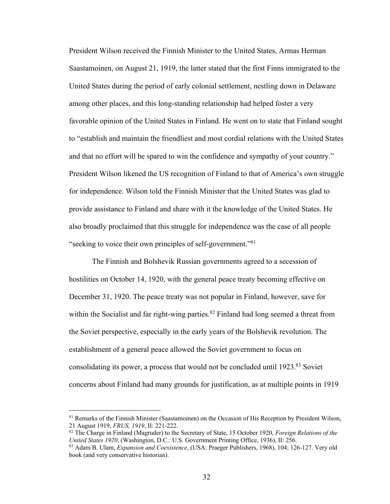President Wilson received the Finnish Minister to the United States, Armas Herman Saastamoinen, on August 21, 1919, the latter stated that the first Finns immigrated to the United States during the period of early colonial settlement, nestling down in Delaware among other places, and this long-standing relationship had helped foster a very favorable opinion of the United States in Finland. He went on to state that Finland sought to "establish and maintain the friendliest and most cordial relations with the United States and that no effort will be spared to win the confidence and sympathy of your country." President Wilson likened the US recognition of Finland to that of America's own struggle for independence. Wilson told the Finnish Minister that the United States was glad to provide assistance to Finland and share with it the knowledge of the United States. He also broadly proclaimed that this struggle for independence was the case of all people "seeking to voice their own principles of self-government."81

The Finnish and Bolshevik Russian governments agreed to a secession of hostilities on October 14, 1920, with the general peace treaty becoming effective on December 31, 1920. The peace treaty was not popular in Finland, however, save for within the Socialist and far right-wing parties.<sup>82</sup> Finland had long seemed a threat from the Soviet perspective, especially in the early years of the Bolshevik revolution. The establishment of a general peace allowed the Soviet government to focus on consolidating its power, a process that would not be concluded until 1923.83 Soviet concerns about Finland had many grounds for justification, as at multiple points in 1919

<sup>81</sup> Remarks of the Finnish Minister (Saastamoinen) on the Occasion of His Reception by President Wilson, 21 August 1919, *FRUS, 1919*, II: 221-222.

<sup>82</sup> The Charge in Finland (Magruder) to the Secretary of State, 15 October 1920, *Foreign Relations of the United States 1920*, (Washington, D.C.: U.S. Government Printing Office, 1936), II: 256.

<sup>83</sup> Adam B. Ulam, *Expansion and Coexistence*, (USA: Praeger Publishers, 1968), 104; 126-127. Very old book (and very conservative historian).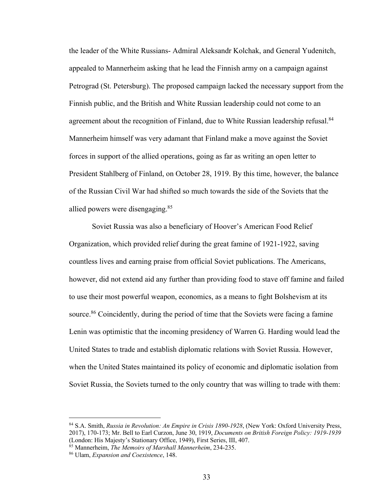the leader of the White Russians- Admiral Aleksandr Kolchak, and General Yudenitch, appealed to Mannerheim asking that he lead the Finnish army on a campaign against Petrograd (St. Petersburg). The proposed campaign lacked the necessary support from the Finnish public, and the British and White Russian leadership could not come to an agreement about the recognition of Finland, due to White Russian leadership refusal.<sup>84</sup> Mannerheim himself was very adamant that Finland make a move against the Soviet forces in support of the allied operations, going as far as writing an open letter to President Stahlberg of Finland, on October 28, 1919. By this time, however, the balance of the Russian Civil War had shifted so much towards the side of the Soviets that the allied powers were disengaging.85

Soviet Russia was also a beneficiary of Hoover's American Food Relief Organization, which provided relief during the great famine of 1921-1922, saving countless lives and earning praise from official Soviet publications. The Americans, however, did not extend aid any further than providing food to stave off famine and failed to use their most powerful weapon, economics, as a means to fight Bolshevism at its source.<sup>86</sup> Coincidently, during the period of time that the Soviets were facing a famine Lenin was optimistic that the incoming presidency of Warren G. Harding would lead the United States to trade and establish diplomatic relations with Soviet Russia. However, when the United States maintained its policy of economic and diplomatic isolation from Soviet Russia, the Soviets turned to the only country that was willing to trade with them:

<sup>84</sup> S.A. Smith, *Russia in Revolution: An Empire in Crisis 1890-1928*, (New York: Oxford University Press, 2017), 170-173; Mr. Bell to Earl Curzon, June 30, 1919, *Documents on British Foreign Policy: 1919-1939* (London: His Majesty's Stationary Office, 1949), First Series, III, 407.

<sup>85</sup> Mannerheim, *The Memoirs of Marshall Mannerheim*, 234-235.

<sup>86</sup> Ulam, *Expansion and Coexistence*, 148.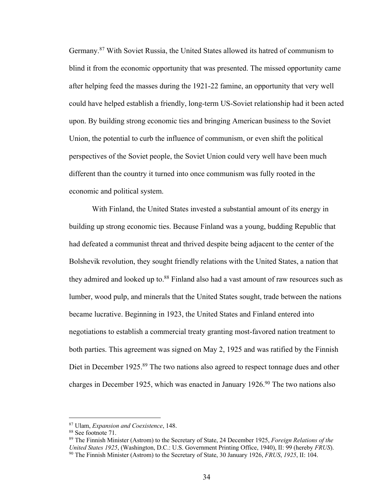Germany.87 With Soviet Russia, the United States allowed its hatred of communism to blind it from the economic opportunity that was presented. The missed opportunity came after helping feed the masses during the 1921-22 famine, an opportunity that very well could have helped establish a friendly, long-term US-Soviet relationship had it been acted upon. By building strong economic ties and bringing American business to the Soviet Union, the potential to curb the influence of communism, or even shift the political perspectives of the Soviet people, the Soviet Union could very well have been much different than the country it turned into once communism was fully rooted in the economic and political system.

With Finland, the United States invested a substantial amount of its energy in building up strong economic ties. Because Finland was a young, budding Republic that had defeated a communist threat and thrived despite being adjacent to the center of the Bolshevik revolution, they sought friendly relations with the United States, a nation that they admired and looked up to.<sup>88</sup> Finland also had a vast amount of raw resources such as lumber, wood pulp, and minerals that the United States sought, trade between the nations became lucrative. Beginning in 1923, the United States and Finland entered into negotiations to establish a commercial treaty granting most-favored nation treatment to both parties. This agreement was signed on May 2, 1925 and was ratified by the Finnish Diet in December 1925.<sup>89</sup> The two nations also agreed to respect tonnage dues and other charges in December 1925, which was enacted in January 1926.<sup>90</sup> The two nations also

<sup>87</sup> Ulam, *Expansion and Coexistence*, 148.

<sup>88</sup> See footnote 71.

<sup>89</sup> The Finnish Minister (Astrom) to the Secretary of State, 24 December 1925, *Foreign Relations of the United States 1925*, (Washington, D.C.: U.S. Government Printing Office, 1940), II: 99 (hereby *FRUS*). <sup>90</sup> The Finnish Minister (Astrom) to the Secretary of State, 30 January 1926, *FRUS*, *1925*, II: 104.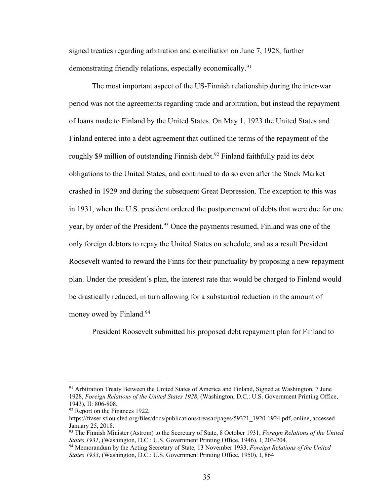signed treaties regarding arbitration and conciliation on June 7, 1928, further demonstrating friendly relations, especially economically.<sup>91</sup>

The most important aspect of the US-Finnish relationship during the inter-war period was not the agreements regarding trade and arbitration, but instead the repayment of loans made to Finland by the United States. On May 1, 1923 the United States and Finland entered into a debt agreement that outlined the terms of the repayment of the roughly \$9 million of outstanding Finnish debt.<sup>92</sup> Finland faithfully paid its debt obligations to the United States, and continued to do so even after the Stock Market crashed in 1929 and during the subsequent Great Depression. The exception to this was in 1931, when the U.S. president ordered the postponement of debts that were due for one year, by order of the President.<sup>93</sup> Once the payments resumed, Finland was one of the only foreign debtors to repay the United States on schedule, and as a result President Roosevelt wanted to reward the Finns for their punctuality by proposing a new repayment plan. Under the president's plan, the interest rate that would be charged to Finland would be drastically reduced, in turn allowing for a substantial reduction in the amount of money owed by Finland.<sup>94</sup>

President Roosevelt submitted his proposed debt repayment plan for Finland to

<sup>&</sup>lt;sup>91</sup> Arbitration Treaty Between the United States of America and Finland, Signed at Washington, 7 June 1928, *Foreign Relations of the United States 1928*, (Washington, D.C.: U.S. Government Printing Office, 1943), II: 806-808.

<sup>&</sup>lt;sup>92</sup> Report on the Finances 1922,

https://fraser.stlouisfed.org/files/docs/publications/treasar/pages/59321\_1920-1924.pdf, online, accessed January 25, 2018.

<sup>93</sup> The Finnish Minister (Astrom) to the Secretary of State, 8 October 1931, *Foreign Relations of the United States 1931*, (Washington, D.C.: U.S. Government Printing Office, 1946), I, 203-204.

<sup>94</sup> Memorandum by the Acting Secretary of State, 13 November 1933, *Foreign Relations of the United States 1933*, (Washington, D.C.: U.S. Government Printing Office, 1950), I, 864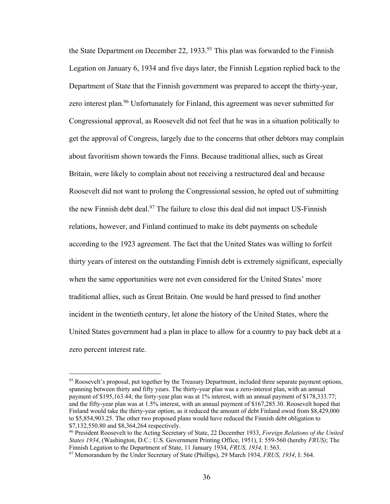the State Department on December 22, 1933.<sup>95</sup> This plan was forwarded to the Finnish Legation on January 6, 1934 and five days later, the Finnish Legation replied back to the Department of State that the Finnish government was prepared to accept the thirty-year, zero interest plan.<sup>96</sup> Unfortunately for Finland, this agreement was never submitted for Congressional approval, as Roosevelt did not feel that he was in a situation politically to get the approval of Congress, largely due to the concerns that other debtors may complain about favoritism shown towards the Finns. Because traditional allies, such as Great Britain, were likely to complain about not receiving a restructured deal and because Roosevelt did not want to prolong the Congressional session, he opted out of submitting the new Finnish debt deal.<sup>97</sup> The failure to close this deal did not impact US-Finnish relations, however, and Finland continued to make its debt payments on schedule according to the 1923 agreement. The fact that the United States was willing to forfeit thirty years of interest on the outstanding Finnish debt is extremely significant, especially when the same opportunities were not even considered for the United States' more traditional allies, such as Great Britain. One would be hard pressed to find another incident in the twentieth century, let alone the history of the United States, where the United States government had a plan in place to allow for a country to pay back debt at a zero percent interest rate.

<sup>&</sup>lt;sup>95</sup> Roosevelt's proposal, put together by the Treasury Department, included three separate payment options, spanning between thirty and fifty years. The thirty-year plan was a zero-interest plan, with an annual payment of \$195,163.44; the forty-year plan was at 1% interest, with an annual payment of \$178,333.77; and the fifty-year plan was at 1.5% interest, with an annual payment of \$167,285.30. Roosevelt hoped that Finland would take the thirty-year option, as it reduced the amount of debt Finland owed from \$8,429,000 to \$5,854,903.25. The other two proposed plans would have reduced the Finnish debt obligation to \$7,132,550.80 and \$8,364,264 respectively.

<sup>96</sup> President Roosevelt to the Acting Secretary of State, 22 December 1933, *Foreign Relations of the United States 1934*, (Washington, D.C.: U.S. Government Printing Office, 1951), I: 559-560 (hereby *FRUS)*; The Finnish Legation to the Department of State, 11 January 1934, *FRUS, 1934,* I: 563.

<sup>97</sup> Memorandum by the Under Secretary of State (Phillips), 29 March 1934, *FRUS, 1934*, I: 564.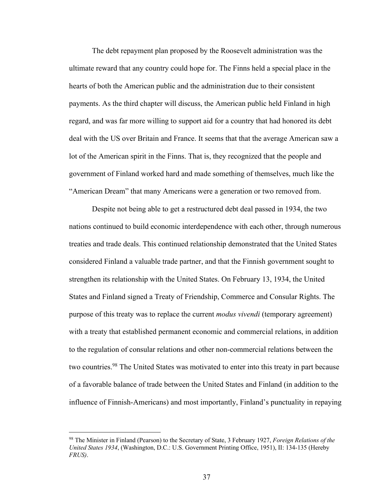The debt repayment plan proposed by the Roosevelt administration was the ultimate reward that any country could hope for. The Finns held a special place in the hearts of both the American public and the administration due to their consistent payments. As the third chapter will discuss, the American public held Finland in high regard, and was far more willing to support aid for a country that had honored its debt deal with the US over Britain and France. It seems that that the average American saw a lot of the American spirit in the Finns. That is, they recognized that the people and government of Finland worked hard and made something of themselves, much like the "American Dream" that many Americans were a generation or two removed from.

Despite not being able to get a restructured debt deal passed in 1934, the two nations continued to build economic interdependence with each other, through numerous treaties and trade deals. This continued relationship demonstrated that the United States considered Finland a valuable trade partner, and that the Finnish government sought to strengthen its relationship with the United States. On February 13, 1934, the United States and Finland signed a Treaty of Friendship, Commerce and Consular Rights. The purpose of this treaty was to replace the current *modus vivendi* (temporary agreement) with a treaty that established permanent economic and commercial relations, in addition to the regulation of consular relations and other non-commercial relations between the two countries.<sup>98</sup> The United States was motivated to enter into this treaty in part because of a favorable balance of trade between the United States and Finland (in addition to the influence of Finnish-Americans) and most importantly, Finland's punctuality in repaying

<sup>98</sup> The Minister in Finland (Pearson) to the Secretary of State, 3 February 1927, *Foreign Relations of the United States 1934*, (Washington, D.C.: U.S. Government Printing Office, 1951), II: 134-135 (Hereby *FRUS)*.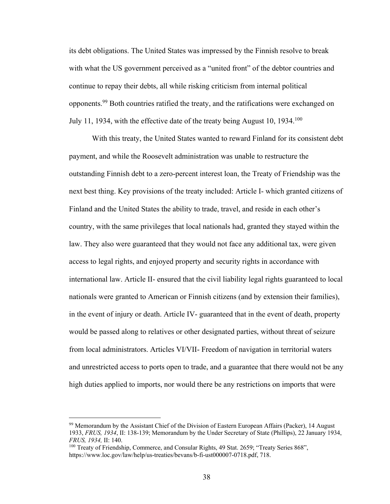its debt obligations. The United States was impressed by the Finnish resolve to break with what the US government perceived as a "united front" of the debtor countries and continue to repay their debts, all while risking criticism from internal political opponents.99 Both countries ratified the treaty, and the ratifications were exchanged on July 11, 1934, with the effective date of the treaty being August 10, 1934.100

With this treaty, the United States wanted to reward Finland for its consistent debt payment, and while the Roosevelt administration was unable to restructure the outstanding Finnish debt to a zero-percent interest loan, the Treaty of Friendship was the next best thing. Key provisions of the treaty included: Article I- which granted citizens of Finland and the United States the ability to trade, travel, and reside in each other's country, with the same privileges that local nationals had, granted they stayed within the law. They also were guaranteed that they would not face any additional tax, were given access to legal rights, and enjoyed property and security rights in accordance with international law. Article II- ensured that the civil liability legal rights guaranteed to local nationals were granted to American or Finnish citizens (and by extension their families), in the event of injury or death. Article IV- guaranteed that in the event of death, property would be passed along to relatives or other designated parties, without threat of seizure from local administrators. Articles VI/VII- Freedom of navigation in territorial waters and unrestricted access to ports open to trade, and a guarantee that there would not be any high duties applied to imports, nor would there be any restrictions on imports that were

<sup>99</sup> Memorandum by the Assistant Chief of the Division of Eastern European Affairs (Packer), 14 August 1933, *FRUS, 1934*, II: 138-139; Memorandum by the Under Secretary of State (Phillips), 22 January 1934, *FRUS, 1934,* II: 140.

<sup>&</sup>lt;sup>100</sup> Treaty of Friendship, Commerce, and Consular Rights, 49 Stat. 2659; "Treaty Series 868", https://www.loc.gov/law/help/us-treaties/bevans/b-fi-ust000007-0718.pdf, 718.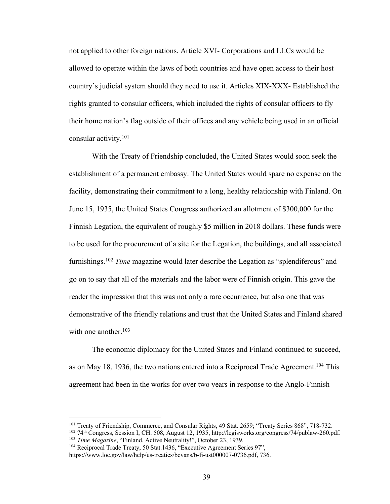not applied to other foreign nations. Article XVI- Corporations and LLCs would be allowed to operate within the laws of both countries and have open access to their host country's judicial system should they need to use it. Articles XIX-XXX- Established the rights granted to consular officers, which included the rights of consular officers to fly their home nation's flag outside of their offices and any vehicle being used in an official consular activity.101

With the Treaty of Friendship concluded, the United States would soon seek the establishment of a permanent embassy. The United States would spare no expense on the facility, demonstrating their commitment to a long, healthy relationship with Finland. On June 15, 1935, the United States Congress authorized an allotment of \$300,000 for the Finnish Legation, the equivalent of roughly \$5 million in 2018 dollars. These funds were to be used for the procurement of a site for the Legation, the buildings, and all associated furnishings.102 *Time* magazine would later describe the Legation as "splendiferous" and go on to say that all of the materials and the labor were of Finnish origin. This gave the reader the impression that this was not only a rare occurrence, but also one that was demonstrative of the friendly relations and trust that the United States and Finland shared with one another. $103$ 

The economic diplomacy for the United States and Finland continued to succeed, as on May 18, 1936, the two nations entered into a Reciprocal Trade Agreement.<sup>104</sup> This agreement had been in the works for over two years in response to the Anglo-Finnish

<sup>&</sup>lt;sup>101</sup> Treaty of Friendship, Commerce, and Consular Rights, 49 Stat. 2659; "Treaty Series 868", 718-732.

<sup>102</sup> 74th Congress, Session I, CH. 508, August 12, 1935, http://legisworks.org/congress/74/publaw-260.pdf. <sup>103</sup> *Time Magazine*, "Finland. Active Neutrality!", October 23, 1939.

<sup>&</sup>lt;sup>104</sup> Reciprocal Trade Treaty, 50 Stat.1436, "Executive Agreement Series 97",

https://www.loc.gov/law/help/us-treaties/bevans/b-fi-ust000007-0736.pdf, 736.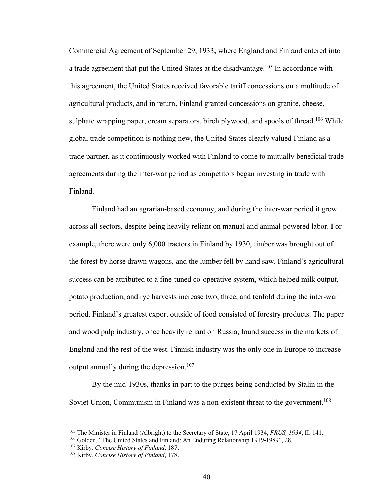Commercial Agreement of September 29, 1933, where England and Finland entered into a trade agreement that put the United States at the disadvantage.<sup>105</sup> In accordance with this agreement, the United States received favorable tariff concessions on a multitude of agricultural products, and in return, Finland granted concessions on granite, cheese, sulphate wrapping paper, cream separators, birch plywood, and spools of thread.<sup>106</sup> While global trade competition is nothing new, the United States clearly valued Finland as a trade partner, as it continuously worked with Finland to come to mutually beneficial trade agreements during the inter-war period as competitors began investing in trade with Finland.

Finland had an agrarian-based economy, and during the inter-war period it grew across all sectors, despite being heavily reliant on manual and animal-powered labor. For example, there were only 6,000 tractors in Finland by 1930, timber was brought out of the forest by horse drawn wagons, and the lumber fell by hand saw. Finland's agricultural success can be attributed to a fine-tuned co-operative system, which helped milk output, potato production, and rye harvests increase two, three, and tenfold during the inter-war period. Finland's greatest export outside of food consisted of forestry products. The paper and wood pulp industry, once heavily reliant on Russia, found success in the markets of England and the rest of the west. Finnish industry was the only one in Europe to increase output annually during the depression.<sup>107</sup>

By the mid-1930s, thanks in part to the purges being conducted by Stalin in the Soviet Union, Communism in Finland was a non-existent threat to the government.<sup>108</sup>

<sup>105</sup> The Minister in Finland (Albright) to the Secretary of State, 17 April 1934, *FRUS, 1934*, II: 141.

<sup>106</sup> Golden, "The United States and Finland: An Enduring Relationship 1919-1989", 28.

<sup>107</sup> Kirby*, Concise History of Finland*, 187.

<sup>108</sup> Kirby*, Concise History of Finland*, 178.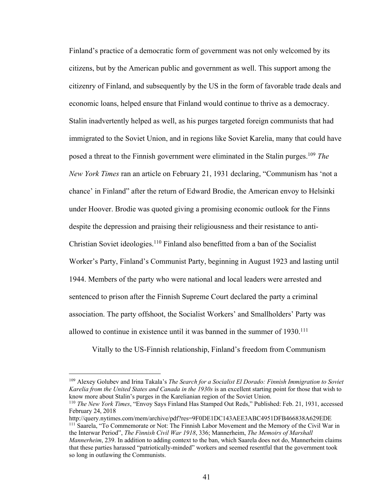Finland's practice of a democratic form of government was not only welcomed by its citizens, but by the American public and government as well. This support among the citizenry of Finland, and subsequently by the US in the form of favorable trade deals and economic loans, helped ensure that Finland would continue to thrive as a democracy. Stalin inadvertently helped as well, as his purges targeted foreign communists that had immigrated to the Soviet Union, and in regions like Soviet Karelia, many that could have posed a threat to the Finnish government were eliminated in the Stalin purges.109 *The New York Times* ran an article on February 21, 1931 declaring, "Communism has 'not a chance' in Finland" after the return of Edward Brodie, the American envoy to Helsinki under Hoover. Brodie was quoted giving a promising economic outlook for the Finns despite the depression and praising their religiousness and their resistance to anti-Christian Soviet ideologies.<sup>110</sup> Finland also benefitted from a ban of the Socialist Worker's Party, Finland's Communist Party, beginning in August 1923 and lasting until 1944. Members of the party who were national and local leaders were arrested and sentenced to prison after the Finnish Supreme Court declared the party a criminal association. The party offshoot, the Socialist Workers' and Smallholders' Party was allowed to continue in existence until it was banned in the summer of 1930.111

Vitally to the US-Finnish relationship, Finland's freedom from Communism

<sup>109</sup> Alexey Golubev and Irina Takala's *The Search for a Socialist El Dorado: Finnish Immigration to Soviet Karelia from the United States and Canada in the 1930s* is an excellent starting point for those that wish to know more about Stalin's purges in the Karelianian region of the Soviet Union.

<sup>110</sup> *The New York Times*, "Envoy Says Finland Has Stamped Out Reds," Published: Feb. 21, 1931, accessed February 24, 2018

http://query.nytimes.com/mem/archive/pdf?res=9F0DE1DC143AEE3ABC4951DFB466838A629EDE <sup>111</sup> Saarela, "To Commemorate or Not: The Finnish Labor Movement and the Memory of the Civil War in the Interwar Period", *The Finnish Civil War 1918*, 336; Mannerheim, *The Memoirs of Marshall Mannerheim*, 239. In addition to adding context to the ban, which Saarela does not do, Mannerheim claims that these parties harassed "patriotically-minded" workers and seemed resentful that the government took so long in outlawing the Communists.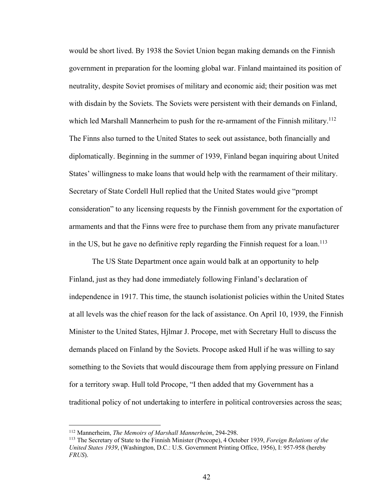would be short lived. By 1938 the Soviet Union began making demands on the Finnish government in preparation for the looming global war. Finland maintained its position of neutrality, despite Soviet promises of military and economic aid; their position was met with disdain by the Soviets. The Soviets were persistent with their demands on Finland, which led Marshall Mannerheim to push for the re-armament of the Finnish military.<sup>112</sup> The Finns also turned to the United States to seek out assistance, both financially and diplomatically. Beginning in the summer of 1939, Finland began inquiring about United States' willingness to make loans that would help with the rearmament of their military. Secretary of State Cordell Hull replied that the United States would give "prompt consideration" to any licensing requests by the Finnish government for the exportation of armaments and that the Finns were free to purchase them from any private manufacturer in the US, but he gave no definitive reply regarding the Finnish request for a loan.<sup>113</sup>

The US State Department once again would balk at an opportunity to help Finland, just as they had done immediately following Finland's declaration of independence in 1917. This time, the staunch isolationist policies within the United States at all levels was the chief reason for the lack of assistance. On April 10, 1939, the Finnish Minister to the United States, Hjlmar J. Procope, met with Secretary Hull to discuss the demands placed on Finland by the Soviets. Procope asked Hull if he was willing to say something to the Soviets that would discourage them from applying pressure on Finland for a territory swap. Hull told Procope, "I then added that my Government has a traditional policy of not undertaking to interfere in political controversies across the seas;

<sup>112</sup> Mannerheim, *The Memoirs of Marshall Mannerheim*, 294-298.

<sup>113</sup> The Secretary of State to the Finnish Minister (Procope), 4 October 1939, *Foreign Relations of the United States 1939*, (Washington, D.C.: U.S. Government Printing Office, 1956), I: 957-958 (hereby *FRUS*).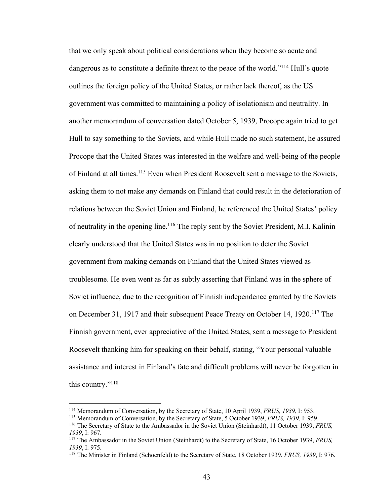that we only speak about political considerations when they become so acute and dangerous as to constitute a definite threat to the peace of the world."<sup>114</sup> Hull's quote outlines the foreign policy of the United States, or rather lack thereof, as the US government was committed to maintaining a policy of isolationism and neutrality. In another memorandum of conversation dated October 5, 1939, Procope again tried to get Hull to say something to the Soviets, and while Hull made no such statement, he assured Procope that the United States was interested in the welfare and well-being of the people of Finland at all times.<sup>115</sup> Even when President Roosevelt sent a message to the Soviets, asking them to not make any demands on Finland that could result in the deterioration of relations between the Soviet Union and Finland, he referenced the United States' policy of neutrality in the opening line.<sup>116</sup> The reply sent by the Soviet President, M.I. Kalinin clearly understood that the United States was in no position to deter the Soviet government from making demands on Finland that the United States viewed as troublesome. He even went as far as subtly asserting that Finland was in the sphere of Soviet influence, due to the recognition of Finnish independence granted by the Soviets on December 31, 1917 and their subsequent Peace Treaty on October 14, 1920.<sup>117</sup> The Finnish government, ever appreciative of the United States, sent a message to President Roosevelt thanking him for speaking on their behalf, stating, "Your personal valuable assistance and interest in Finland's fate and difficult problems will never be forgotten in this country."118

<sup>114</sup> Memorandum of Conversation, by the Secretary of State, 10 April 1939, *FRUS, 1939*, I: 953.

<sup>115</sup> Memorandum of Conversation, by the Secretary of State, 5 October 1939, *FRUS, 1939*, I: 959.

<sup>116</sup> The Secretary of State to the Ambassador in the Soviet Union (Steinhardt), 11 October 1939, *FRUS, 1939*, I: 967.

<sup>117</sup> The Ambassador in the Soviet Union (Steinhardt) to the Secretary of State, 16 October 1939, *FRUS, 1939*, I: 975.

<sup>118</sup> The Minister in Finland (Schoenfeld) to the Secretary of State, 18 October 1939, *FRUS, 1939*, I: 976.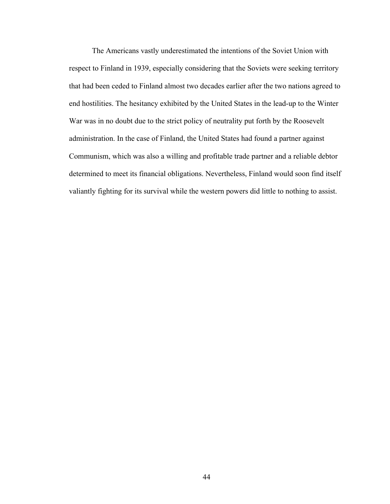The Americans vastly underestimated the intentions of the Soviet Union with respect to Finland in 1939, especially considering that the Soviets were seeking territory that had been ceded to Finland almost two decades earlier after the two nations agreed to end hostilities. The hesitancy exhibited by the United States in the lead-up to the Winter War was in no doubt due to the strict policy of neutrality put forth by the Roosevelt administration. In the case of Finland, the United States had found a partner against Communism, which was also a willing and profitable trade partner and a reliable debtor determined to meet its financial obligations. Nevertheless, Finland would soon find itself valiantly fighting for its survival while the western powers did little to nothing to assist.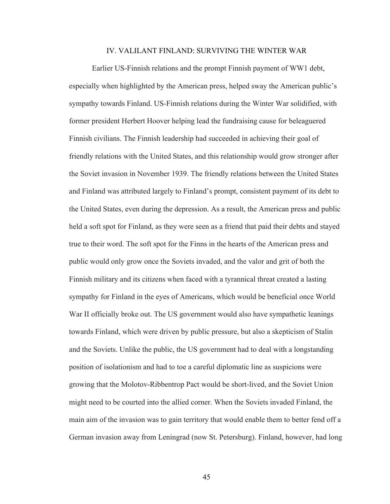## IV. VALILANT FINLAND: SURVIVING THE WINTER WAR

Earlier US-Finnish relations and the prompt Finnish payment of WW1 debt, especially when highlighted by the American press, helped sway the American public's sympathy towards Finland. US-Finnish relations during the Winter War solidified, with former president Herbert Hoover helping lead the fundraising cause for beleaguered Finnish civilians. The Finnish leadership had succeeded in achieving their goal of friendly relations with the United States, and this relationship would grow stronger after the Soviet invasion in November 1939. The friendly relations between the United States and Finland was attributed largely to Finland's prompt, consistent payment of its debt to the United States, even during the depression. As a result, the American press and public held a soft spot for Finland, as they were seen as a friend that paid their debts and stayed true to their word. The soft spot for the Finns in the hearts of the American press and public would only grow once the Soviets invaded, and the valor and grit of both the Finnish military and its citizens when faced with a tyrannical threat created a lasting sympathy for Finland in the eyes of Americans, which would be beneficial once World War II officially broke out. The US government would also have sympathetic leanings towards Finland, which were driven by public pressure, but also a skepticism of Stalin and the Soviets. Unlike the public, the US government had to deal with a longstanding position of isolationism and had to toe a careful diplomatic line as suspicions were growing that the Molotov-Ribbentrop Pact would be short-lived, and the Soviet Union might need to be courted into the allied corner. When the Soviets invaded Finland, the main aim of the invasion was to gain territory that would enable them to better fend off a German invasion away from Leningrad (now St. Petersburg). Finland, however, had long

45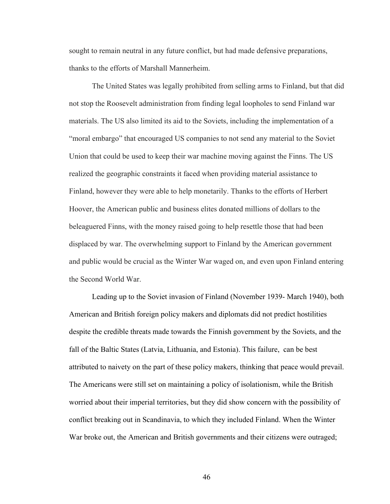sought to remain neutral in any future conflict, but had made defensive preparations, thanks to the efforts of Marshall Mannerheim.

The United States was legally prohibited from selling arms to Finland, but that did not stop the Roosevelt administration from finding legal loopholes to send Finland war materials. The US also limited its aid to the Soviets, including the implementation of a "moral embargo" that encouraged US companies to not send any material to the Soviet Union that could be used to keep their war machine moving against the Finns. The US realized the geographic constraints it faced when providing material assistance to Finland, however they were able to help monetarily. Thanks to the efforts of Herbert Hoover, the American public and business elites donated millions of dollars to the beleaguered Finns, with the money raised going to help resettle those that had been displaced by war. The overwhelming support to Finland by the American government and public would be crucial as the Winter War waged on, and even upon Finland entering the Second World War.

Leading up to the Soviet invasion of Finland (November 1939- March 1940), both American and British foreign policy makers and diplomats did not predict hostilities despite the credible threats made towards the Finnish government by the Soviets, and the fall of the Baltic States (Latvia, Lithuania, and Estonia). This failure, can be best attributed to naivety on the part of these policy makers, thinking that peace would prevail. The Americans were still set on maintaining a policy of isolationism, while the British worried about their imperial territories, but they did show concern with the possibility of conflict breaking out in Scandinavia, to which they included Finland. When the Winter War broke out, the American and British governments and their citizens were outraged;

46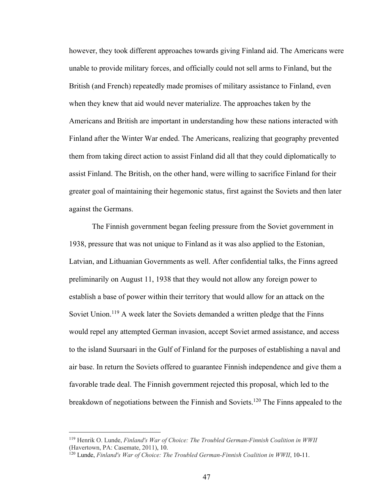however, they took different approaches towards giving Finland aid. The Americans were unable to provide military forces, and officially could not sell arms to Finland, but the British (and French) repeatedly made promises of military assistance to Finland, even when they knew that aid would never materialize. The approaches taken by the Americans and British are important in understanding how these nations interacted with Finland after the Winter War ended. The Americans, realizing that geography prevented them from taking direct action to assist Finland did all that they could diplomatically to assist Finland. The British, on the other hand, were willing to sacrifice Finland for their greater goal of maintaining their hegemonic status, first against the Soviets and then later against the Germans.

The Finnish government began feeling pressure from the Soviet government in 1938, pressure that was not unique to Finland as it was also applied to the Estonian, Latvian, and Lithuanian Governments as well. After confidential talks, the Finns agreed preliminarily on August 11, 1938 that they would not allow any foreign power to establish a base of power within their territory that would allow for an attack on the Soviet Union.<sup>119</sup> A week later the Soviets demanded a written pledge that the Finns would repel any attempted German invasion, accept Soviet armed assistance, and access to the island Suursaari in the Gulf of Finland for the purposes of establishing a naval and air base. In return the Soviets offered to guarantee Finnish independence and give them a favorable trade deal. The Finnish government rejected this proposal, which led to the breakdown of negotiations between the Finnish and Soviets.<sup>120</sup> The Finns appealed to the

<sup>119</sup> Henrik O. Lunde, *Finland's War of Choice: The Troubled German-Finnish Coalition in WWII* (Havertown, PA: Casemate, 2011), 10.

<sup>120</sup> Lunde, *Finland's War of Choice: The Troubled German-Finnish Coalition in WWII*, 10-11.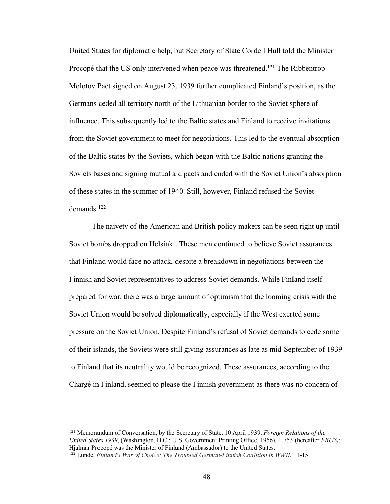United States for diplomatic help, but Secretary of State Cordell Hull told the Minister Procopé that the US only intervened when peace was threatened.<sup>121</sup> The Ribbentrop-Molotov Pact signed on August 23, 1939 further complicated Finland's position, as the Germans ceded all territory north of the Lithuanian border to the Soviet sphere of influence. This subsequently led to the Baltic states and Finland to receive invitations from the Soviet government to meet for negotiations. This led to the eventual absorption of the Baltic states by the Soviets, which began with the Baltic nations granting the Soviets bases and signing mutual aid pacts and ended with the Soviet Union's absorption of these states in the summer of 1940. Still, however, Finland refused the Soviet demands.122

The naivety of the American and British policy makers can be seen right up until Soviet bombs dropped on Helsinki. These men continued to believe Soviet assurances that Finland would face no attack, despite a breakdown in negotiations between the Finnish and Soviet representatives to address Soviet demands. While Finland itself prepared for war, there was a large amount of optimism that the looming crisis with the Soviet Union would be solved diplomatically, especially if the West exerted some pressure on the Soviet Union. Despite Finland's refusal of Soviet demands to cede some of their islands, the Soviets were still giving assurances as late as mid-September of 1939 to Finland that its neutrality would be recognized. These assurances, according to the Chargé in Finland, seemed to please the Finnish government as there was no concern of

<sup>121</sup> Memorandum of Conversation, by the Secretary of State, 10 April 1939, *Foreign Relations of the United States 1939*, (Washington, D.C.: U.S. Government Printing Office, 1956), I: 753 (hereafter *FRUS)*; Hjalmar Procopé was the Minister of Finland (Ambassador) to the United States.

<sup>122</sup> Lunde, *Finland's War of Choice: The Troubled German-Finnish Coalition in WWII*, 11-15.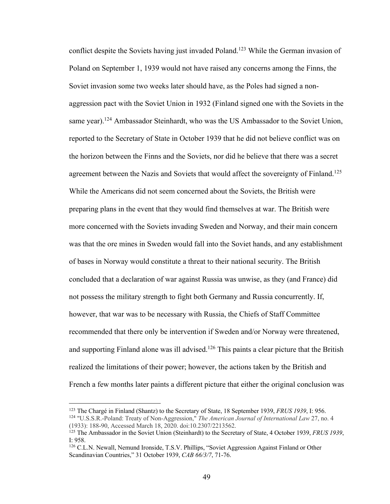conflict despite the Soviets having just invaded Poland.<sup>123</sup> While the German invasion of Poland on September 1, 1939 would not have raised any concerns among the Finns, the Soviet invasion some two weeks later should have, as the Poles had signed a nonaggression pact with the Soviet Union in 1932 (Finland signed one with the Soviets in the same year).<sup>124</sup> Ambassador Steinhardt, who was the US Ambassador to the Soviet Union, reported to the Secretary of State in October 1939 that he did not believe conflict was on the horizon between the Finns and the Soviets, nor did he believe that there was a secret agreement between the Nazis and Soviets that would affect the sovereignty of Finland.<sup>125</sup> While the Americans did not seem concerned about the Soviets, the British were preparing plans in the event that they would find themselves at war. The British were more concerned with the Soviets invading Sweden and Norway, and their main concern was that the ore mines in Sweden would fall into the Soviet hands, and any establishment of bases in Norway would constitute a threat to their national security. The British concluded that a declaration of war against Russia was unwise, as they (and France) did not possess the military strength to fight both Germany and Russia concurrently. If, however, that war was to be necessary with Russia, the Chiefs of Staff Committee recommended that there only be intervention if Sweden and/or Norway were threatened, and supporting Finland alone was ill advised.<sup>126</sup> This paints a clear picture that the British realized the limitations of their power; however, the actions taken by the British and French a few months later paints a different picture that either the original conclusion was

<sup>123</sup> The Chargé in Finland (Shantz) to the Secretary of State, 18 September 1939, *FRUS 1939*, I: 956. <sup>124</sup> "U.S.S.R.-Poland: Treaty of Non-Aggression," *The American Journal of International Law* 27, no. 4

<sup>(1933): 188-90,</sup> Accessed March 18, 2020. doi:10.2307/2213562.

<sup>125</sup> The Ambassador in the Soviet Union (Steinhardt) to the Secretary of State, 4 October 1939, *FRUS 1939*, I: 958.

<sup>126</sup> C.L.N. Newall, Nemund Ironside, T.S.V. Phillips, "Soviet Aggression Against Finland or Other Scandinavian Countries," 31 October 1939, *CAB 66/3/7*, 71-76.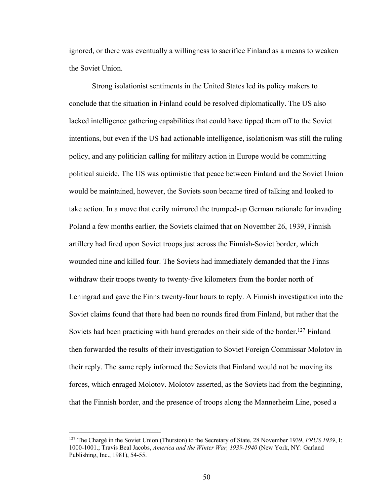ignored, or there was eventually a willingness to sacrifice Finland as a means to weaken the Soviet Union.

Strong isolationist sentiments in the United States led its policy makers to conclude that the situation in Finland could be resolved diplomatically. The US also lacked intelligence gathering capabilities that could have tipped them off to the Soviet intentions, but even if the US had actionable intelligence, isolationism was still the ruling policy, and any politician calling for military action in Europe would be committing political suicide. The US was optimistic that peace between Finland and the Soviet Union would be maintained, however, the Soviets soon became tired of talking and looked to take action. In a move that eerily mirrored the trumped-up German rationale for invading Poland a few months earlier, the Soviets claimed that on November 26, 1939, Finnish artillery had fired upon Soviet troops just across the Finnish-Soviet border, which wounded nine and killed four. The Soviets had immediately demanded that the Finns withdraw their troops twenty to twenty-five kilometers from the border north of Leningrad and gave the Finns twenty-four hours to reply. A Finnish investigation into the Soviet claims found that there had been no rounds fired from Finland, but rather that the Soviets had been practicing with hand grenades on their side of the border.<sup>127</sup> Finland then forwarded the results of their investigation to Soviet Foreign Commissar Molotov in their reply. The same reply informed the Soviets that Finland would not be moving its forces, which enraged Molotov. Molotov asserted, as the Soviets had from the beginning, that the Finnish border, and the presence of troops along the Mannerheim Line, posed a

<sup>127</sup> The Chargé in the Soviet Union (Thurston) to the Secretary of State, 28 November 1939, *FRUS 1939*, I: 1000-1001.; Travis Beal Jacobs, *America and the Winter War, 1939-1940* (New York, NY: Garland Publishing, Inc., 1981), 54-55.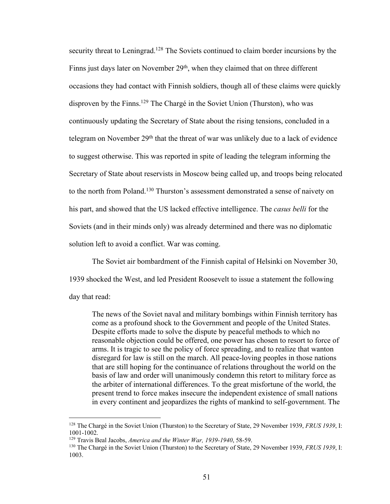security threat to Leningrad.<sup>128</sup> The Soviets continued to claim border incursions by the Finns just days later on November 29<sup>th</sup>, when they claimed that on three different occasions they had contact with Finnish soldiers, though all of these claims were quickly disproven by the Finns.<sup>129</sup> The Chargé in the Soviet Union (Thurston), who was continuously updating the Secretary of State about the rising tensions, concluded in a telegram on November  $29<sup>th</sup>$  that the threat of war was unlikely due to a lack of evidence to suggest otherwise. This was reported in spite of leading the telegram informing the Secretary of State about reservists in Moscow being called up, and troops being relocated to the north from Poland.<sup>130</sup> Thurston's assessment demonstrated a sense of naivety on his part, and showed that the US lacked effective intelligence. The *casus belli* for the Soviets (and in their minds only) was already determined and there was no diplomatic solution left to avoid a conflict. War was coming.

The Soviet air bombardment of the Finnish capital of Helsinki on November 30, 1939 shocked the West, and led President Roosevelt to issue a statement the following day that read:

The news of the Soviet naval and military bombings within Finnish territory has come as a profound shock to the Government and people of the United States. Despite efforts made to solve the dispute by peaceful methods to which no reasonable objection could be offered, one power has chosen to resort to force of arms. It is tragic to see the policy of force spreading, and to realize that wanton disregard for law is still on the march. All peace-loving peoples in those nations that are still hoping for the continuance of relations throughout the world on the basis of law and order will unanimously condemn this retort to military force as the arbiter of international differences. To the great misfortune of the world, the present trend to force makes insecure the independent existence of small nations in every continent and jeopardizes the rights of mankind to self-government. The

<sup>128</sup> The Chargé in the Soviet Union (Thurston) to the Secretary of State, 29 November 1939, *FRUS 1939*, I: 1001-1002.

<sup>129</sup> Travis Beal Jacobs, *America and the Winter War, 1939-1940*, 58-59.

<sup>130</sup> The Chargé in the Soviet Union (Thurston) to the Secretary of State, 29 November 1939, *FRUS 1939*, I: 1003.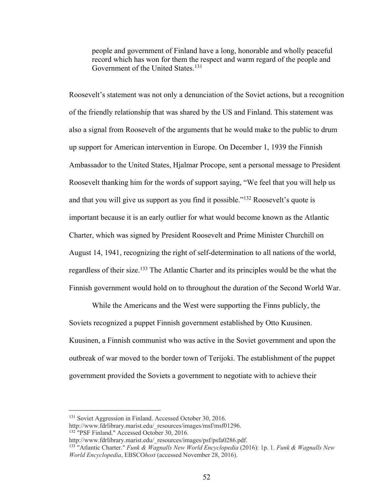people and government of Finland have a long, honorable and wholly peaceful record which has won for them the respect and warm regard of the people and Government of the United States.<sup>131</sup>

Roosevelt's statement was not only a denunciation of the Soviet actions, but a recognition of the friendly relationship that was shared by the US and Finland. This statement was also a signal from Roosevelt of the arguments that he would make to the public to drum up support for American intervention in Europe. On December 1, 1939 the Finnish Ambassador to the United States, Hjalmar Procope, sent a personal message to President Roosevelt thanking him for the words of support saying, "We feel that you will help us and that you will give us support as you find it possible."132 Roosevelt's quote is important because it is an early outlier for what would become known as the Atlantic Charter, which was signed by President Roosevelt and Prime Minister Churchill on August 14, 1941, recognizing the right of self-determination to all nations of the world, regardless of their size.133 The Atlantic Charter and its principles would be the what the Finnish government would hold on to throughout the duration of the Second World War.

While the Americans and the West were supporting the Finns publicly, the Soviets recognized a puppet Finnish government established by Otto Kuusinen. Kuusinen, a Finnish communist who was active in the Soviet government and upon the outbreak of war moved to the border town of Terijoki. The establishment of the puppet government provided the Soviets a government to negotiate with to achieve their

<sup>132</sup> "PSF Finland." Accessed October 30, 2016.

<sup>&</sup>lt;sup>131</sup> Soviet Aggression in Finland. Accessed October 30, 2016.

http://www.fdrlibrary.marist.edu/\_resources/images/msf/msf01296.

http://www.fdrlibrary.marist.edu/\_resources/images/psf/psfa0286.pdf.

<sup>133</sup> "Atlantic Charter." *Funk & Wagnalls New World Encyclopedia* (2016): 1p. 1. *Funk & Wagnalls New World Encyclopedia*, EBSCO*host* (accessed November 28, 2016).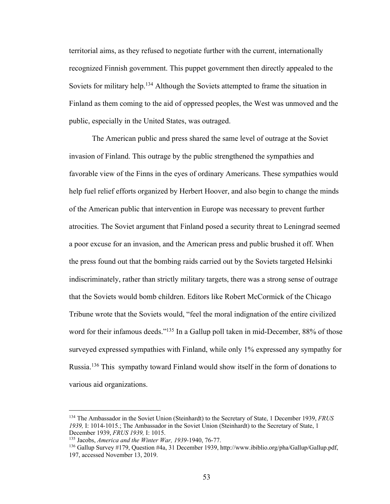territorial aims, as they refused to negotiate further with the current, internationally recognized Finnish government. This puppet government then directly appealed to the Soviets for military help.<sup>134</sup> Although the Soviets attempted to frame the situation in Finland as them coming to the aid of oppressed peoples, the West was unmoved and the public, especially in the United States, was outraged.

The American public and press shared the same level of outrage at the Soviet invasion of Finland. This outrage by the public strengthened the sympathies and favorable view of the Finns in the eyes of ordinary Americans. These sympathies would help fuel relief efforts organized by Herbert Hoover, and also begin to change the minds of the American public that intervention in Europe was necessary to prevent further atrocities. The Soviet argument that Finland posed a security threat to Leningrad seemed a poor excuse for an invasion, and the American press and public brushed it off. When the press found out that the bombing raids carried out by the Soviets targeted Helsinki indiscriminately, rather than strictly military targets, there was a strong sense of outrage that the Soviets would bomb children. Editors like Robert McCormick of the Chicago Tribune wrote that the Soviets would, "feel the moral indignation of the entire civilized word for their infamous deeds."<sup>135</sup> In a Gallup poll taken in mid-December, 88% of those surveyed expressed sympathies with Finland, while only 1% expressed any sympathy for Russia.136 This sympathy toward Finland would show itself in the form of donations to various aid organizations.

<sup>134</sup> The Ambassador in the Soviet Union (Steinhardt) to the Secretary of State, 1 December 1939, *FRUS 1939,* I: 1014-1015.; The Ambassador in the Soviet Union (Steinhardt) to the Secretary of State, 1 December 1939, *FRUS 1939,* I: 1015.

<sup>&</sup>lt;sup>136</sup> Gallup Survey #179, Question #4a, 31 December 1939, http://www.ibiblio.org/pha/Gallup/Gallup.pdf, 197, accessed November 13, 2019.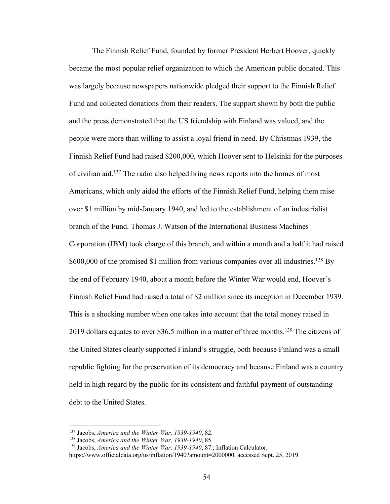The Finnish Relief Fund, founded by former President Herbert Hoover, quickly became the most popular relief organization to which the American public donated. This was largely because newspapers nationwide pledged their support to the Finnish Relief Fund and collected donations from their readers. The support shown by both the public and the press demonstrated that the US friendship with Finland was valued, and the people were more than willing to assist a loyal friend in need. By Christmas 1939, the Finnish Relief Fund had raised \$200,000, which Hoover sent to Helsinki for the purposes of civilian aid.137 The radio also helped bring news reports into the homes of most Americans, which only aided the efforts of the Finnish Relief Fund, helping them raise over \$1 million by mid-January 1940, and led to the establishment of an industrialist branch of the Fund. Thomas J. Watson of the International Business Machines Corporation (IBM) took charge of this branch, and within a month and a half it had raised \$600,000 of the promised \$1 million from various companies over all industries.<sup>138</sup> By the end of February 1940, about a month before the Winter War would end, Hoover's Finnish Relief Fund had raised a total of \$2 million since its inception in December 1939. This is a shocking number when one takes into account that the total money raised in 2019 dollars equates to over \$36.5 million in a matter of three months.<sup>139</sup> The citizens of the United States clearly supported Finland's struggle, both because Finland was a small republic fighting for the preservation of its democracy and because Finland was a country held in high regard by the public for its consistent and faithful payment of outstanding debt to the United States.

<sup>137</sup> Jacobs, *America and the Winter War, 1939-1940*, 82.

<sup>138</sup> Jacobs, *America and the Winter War, 1939-1940*, 85.

<sup>139</sup> Jacobs, *America and the Winter War, 1939-1940*, 87.; Inflation Calculator,

https://www.officialdata.org/us/inflation/1940?amount=2000000, accessed Sept. 25, 2019.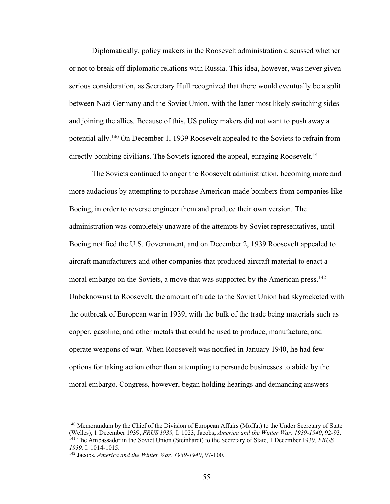Diplomatically, policy makers in the Roosevelt administration discussed whether or not to break off diplomatic relations with Russia. This idea, however, was never given serious consideration, as Secretary Hull recognized that there would eventually be a split between Nazi Germany and the Soviet Union, with the latter most likely switching sides and joining the allies. Because of this, US policy makers did not want to push away a potential ally.140 On December 1, 1939 Roosevelt appealed to the Soviets to refrain from directly bombing civilians. The Soviets ignored the appeal, enraging Roosevelt.<sup>141</sup>

The Soviets continued to anger the Roosevelt administration, becoming more and more audacious by attempting to purchase American-made bombers from companies like Boeing, in order to reverse engineer them and produce their own version. The administration was completely unaware of the attempts by Soviet representatives, until Boeing notified the U.S. Government, and on December 2, 1939 Roosevelt appealed to aircraft manufacturers and other companies that produced aircraft material to enact a moral embargo on the Soviets, a move that was supported by the American press.<sup>142</sup> Unbeknownst to Roosevelt, the amount of trade to the Soviet Union had skyrocketed with the outbreak of European war in 1939, with the bulk of the trade being materials such as copper, gasoline, and other metals that could be used to produce, manufacture, and operate weapons of war. When Roosevelt was notified in January 1940, he had few options for taking action other than attempting to persuade businesses to abide by the moral embargo. Congress, however, began holding hearings and demanding answers

<sup>140</sup> Memorandum by the Chief of the Division of European Affairs (Moffat) to the Under Secretary of State (Welles), 1 December 1939, *FRUS 1939,* I: 1023; Jacobs, *America and the Winter War, 1939-1940*, 92-93. <sup>141</sup> The Ambassador in the Soviet Union (Steinhardt) to the Secretary of State, 1 December 1939, *FRUS 1939,* I: 1014-1015.

<sup>142</sup> Jacobs, *America and the Winter War, 1939-1940*, 97-100.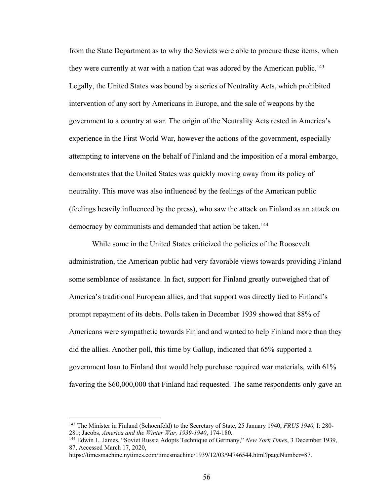from the State Department as to why the Soviets were able to procure these items, when they were currently at war with a nation that was adored by the American public.<sup>143</sup> Legally, the United States was bound by a series of Neutrality Acts, which prohibited intervention of any sort by Americans in Europe, and the sale of weapons by the government to a country at war. The origin of the Neutrality Acts rested in America's experience in the First World War, however the actions of the government, especially attempting to intervene on the behalf of Finland and the imposition of a moral embargo, demonstrates that the United States was quickly moving away from its policy of neutrality. This move was also influenced by the feelings of the American public (feelings heavily influenced by the press), who saw the attack on Finland as an attack on democracy by communists and demanded that action be taken.<sup>144</sup>

While some in the United States criticized the policies of the Roosevelt administration, the American public had very favorable views towards providing Finland some semblance of assistance. In fact, support for Finland greatly outweighed that of America's traditional European allies, and that support was directly tied to Finland's prompt repayment of its debts. Polls taken in December 1939 showed that 88% of Americans were sympathetic towards Finland and wanted to help Finland more than they did the allies. Another poll, this time by Gallup, indicated that 65% supported a government loan to Finland that would help purchase required war materials, with 61% favoring the \$60,000,000 that Finland had requested. The same respondents only gave an

<sup>143</sup> The Minister in Finland (Schoenfeld) to the Secretary of State, 25 January 1940, *FRUS 1940,* I: 280- 281; Jacobs, *America and the Winter War, 1939-1940*, 174-180.

<sup>144</sup> Edwin L. James, "Soviet Russia Adopts Technique of Germany," *New York Times*, 3 December 1939, 87, Accessed March 17, 2020,

https://timesmachine.nytimes.com/timesmachine/1939/12/03/94746544.html?pageNumber=87.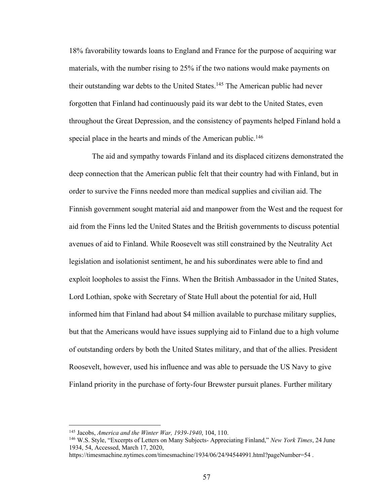18% favorability towards loans to England and France for the purpose of acquiring war materials, with the number rising to 25% if the two nations would make payments on their outstanding war debts to the United States.<sup>145</sup> The American public had never forgotten that Finland had continuously paid its war debt to the United States, even throughout the Great Depression, and the consistency of payments helped Finland hold a special place in the hearts and minds of the American public.<sup>146</sup>

The aid and sympathy towards Finland and its displaced citizens demonstrated the deep connection that the American public felt that their country had with Finland, but in order to survive the Finns needed more than medical supplies and civilian aid. The Finnish government sought material aid and manpower from the West and the request for aid from the Finns led the United States and the British governments to discuss potential avenues of aid to Finland. While Roosevelt was still constrained by the Neutrality Act legislation and isolationist sentiment, he and his subordinates were able to find and exploit loopholes to assist the Finns. When the British Ambassador in the United States, Lord Lothian, spoke with Secretary of State Hull about the potential for aid, Hull informed him that Finland had about \$4 million available to purchase military supplies, but that the Americans would have issues supplying aid to Finland due to a high volume of outstanding orders by both the United States military, and that of the allies. President Roosevelt, however, used his influence and was able to persuade the US Navy to give Finland priority in the purchase of forty-four Brewster pursuit planes. Further military

<sup>145</sup> Jacobs, *America and the Winter War, 1939-1940*, 104, 110.

<sup>146</sup> W.S. Style, "Excerpts of Letters on Many Subjects- Appreciating Finland," *New York Times*, 24 June 1934, 54, Accessed, March 17, 2020,

https://timesmachine.nytimes.com/timesmachine/1934/06/24/94544991.html?pageNumber=54 .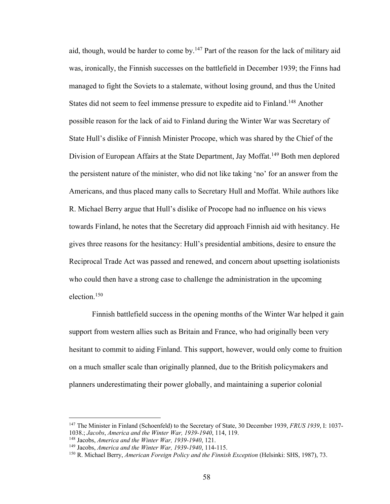aid, though, would be harder to come by.<sup>147</sup> Part of the reason for the lack of military aid was, ironically, the Finnish successes on the battlefield in December 1939; the Finns had managed to fight the Soviets to a stalemate, without losing ground, and thus the United States did not seem to feel immense pressure to expedite aid to Finland.148 Another possible reason for the lack of aid to Finland during the Winter War was Secretary of State Hull's dislike of Finnish Minister Procope, which was shared by the Chief of the Division of European Affairs at the State Department, Jay Moffat.<sup>149</sup> Both men deplored the persistent nature of the minister, who did not like taking 'no' for an answer from the Americans, and thus placed many calls to Secretary Hull and Moffat. While authors like R. Michael Berry argue that Hull's dislike of Procope had no influence on his views towards Finland, he notes that the Secretary did approach Finnish aid with hesitancy. He gives three reasons for the hesitancy: Hull's presidential ambitions, desire to ensure the Reciprocal Trade Act was passed and renewed, and concern about upsetting isolationists who could then have a strong case to challenge the administration in the upcoming election.150

Finnish battlefield success in the opening months of the Winter War helped it gain support from western allies such as Britain and France, who had originally been very hesitant to commit to aiding Finland. This support, however, would only come to fruition on a much smaller scale than originally planned, due to the British policymakers and planners underestimating their power globally, and maintaining a superior colonial

<sup>147</sup> The Minister in Finland (Schoenfeld) to the Secretary of State, 30 December 1939, *FRUS 1939*, I: 1037- 1038.; *Jacobs*, *America and the Winter War, 1939-1940*, 114, 119.

<sup>148</sup> Jacobs, *America and the Winter War, 1939-1940*, 121.

<sup>149</sup> Jacobs, *America and the Winter War, 1939-1940*, 114-115.

<sup>150</sup> R. Michael Berry, *American Foreign Policy and the Finnish Exception* (Helsinki: SHS, 1987), 73.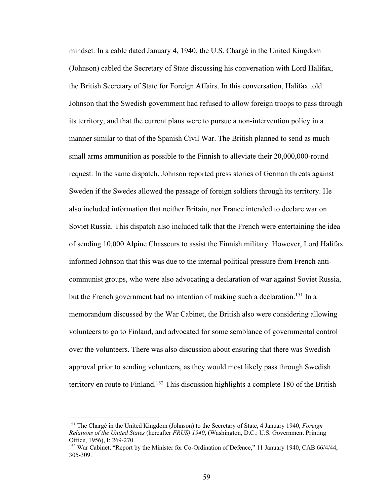mindset. In a cable dated January 4, 1940, the U.S. Chargé in the United Kingdom (Johnson) cabled the Secretary of State discussing his conversation with Lord Halifax, the British Secretary of State for Foreign Affairs. In this conversation, Halifax told Johnson that the Swedish government had refused to allow foreign troops to pass through its territory, and that the current plans were to pursue a non-intervention policy in a manner similar to that of the Spanish Civil War. The British planned to send as much small arms ammunition as possible to the Finnish to alleviate their 20,000,000-round request. In the same dispatch, Johnson reported press stories of German threats against Sweden if the Swedes allowed the passage of foreign soldiers through its territory. He also included information that neither Britain, nor France intended to declare war on Soviet Russia. This dispatch also included talk that the French were entertaining the idea of sending 10,000 Alpine Chasseurs to assist the Finnish military. However, Lord Halifax informed Johnson that this was due to the internal political pressure from French anticommunist groups, who were also advocating a declaration of war against Soviet Russia, but the French government had no intention of making such a declaration.<sup>151</sup> In a memorandum discussed by the War Cabinet, the British also were considering allowing volunteers to go to Finland, and advocated for some semblance of governmental control over the volunteers. There was also discussion about ensuring that there was Swedish approval prior to sending volunteers, as they would most likely pass through Swedish territory en route to Finland.152 This discussion highlights a complete 180 of the British

<sup>151</sup> The Chargé in the United Kingdom (Johnson) to the Secretary of State, 4 January 1940, *Foreign Relations of the United States* (hereafter *FRUS) 1940*, (Washington, D.C.: U.S. Government Printing Office, 1956), I: 269-270.

<sup>&</sup>lt;sup>152</sup> War Cabinet, "Report by the Minister for Co-Ordination of Defence," 11 January 1940, CAB 66/4/44, 305-309.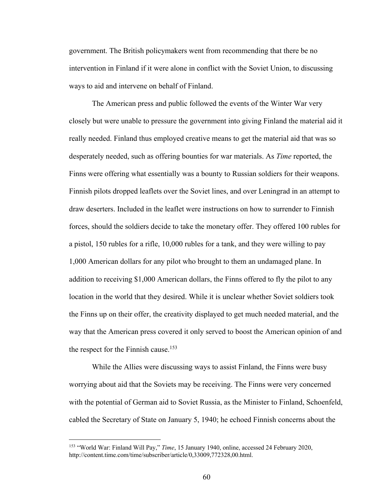government. The British policymakers went from recommending that there be no intervention in Finland if it were alone in conflict with the Soviet Union, to discussing ways to aid and intervene on behalf of Finland.

The American press and public followed the events of the Winter War very closely but were unable to pressure the government into giving Finland the material aid it really needed. Finland thus employed creative means to get the material aid that was so desperately needed, such as offering bounties for war materials. As *Time* reported, the Finns were offering what essentially was a bounty to Russian soldiers for their weapons. Finnish pilots dropped leaflets over the Soviet lines, and over Leningrad in an attempt to draw deserters. Included in the leaflet were instructions on how to surrender to Finnish forces, should the soldiers decide to take the monetary offer. They offered 100 rubles for a pistol, 150 rubles for a rifle, 10,000 rubles for a tank, and they were willing to pay 1,000 American dollars for any pilot who brought to them an undamaged plane. In addition to receiving \$1,000 American dollars, the Finns offered to fly the pilot to any location in the world that they desired. While it is unclear whether Soviet soldiers took the Finns up on their offer, the creativity displayed to get much needed material, and the way that the American press covered it only served to boost the American opinion of and the respect for the Finnish cause.<sup>153</sup>

While the Allies were discussing ways to assist Finland, the Finns were busy worrying about aid that the Soviets may be receiving. The Finns were very concerned with the potential of German aid to Soviet Russia, as the Minister to Finland, Schoenfeld, cabled the Secretary of State on January 5, 1940; he echoed Finnish concerns about the

<sup>153</sup> "World War: Finland Will Pay," *Time*, 15 January 1940, online, accessed 24 February 2020, http://content.time.com/time/subscriber/article/0,33009,772328,00.html.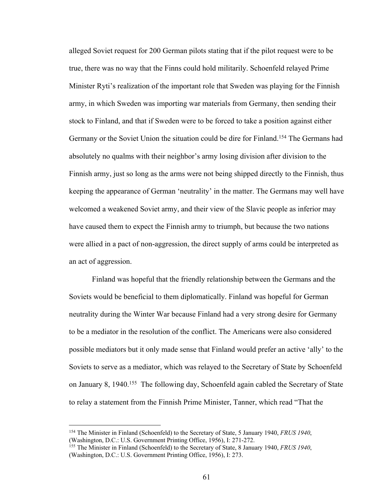alleged Soviet request for 200 German pilots stating that if the pilot request were to be true, there was no way that the Finns could hold militarily. Schoenfeld relayed Prime Minister Ryti's realization of the important role that Sweden was playing for the Finnish army, in which Sweden was importing war materials from Germany, then sending their stock to Finland, and that if Sweden were to be forced to take a position against either Germany or the Soviet Union the situation could be dire for Finland.154 The Germans had absolutely no qualms with their neighbor's army losing division after division to the Finnish army, just so long as the arms were not being shipped directly to the Finnish, thus keeping the appearance of German 'neutrality' in the matter. The Germans may well have welcomed a weakened Soviet army, and their view of the Slavic people as inferior may have caused them to expect the Finnish army to triumph, but because the two nations were allied in a pact of non-aggression, the direct supply of arms could be interpreted as an act of aggression.

Finland was hopeful that the friendly relationship between the Germans and the Soviets would be beneficial to them diplomatically. Finland was hopeful for German neutrality during the Winter War because Finland had a very strong desire for Germany to be a mediator in the resolution of the conflict. The Americans were also considered possible mediators but it only made sense that Finland would prefer an active 'ally' to the Soviets to serve as a mediator, which was relayed to the Secretary of State by Schoenfeld on January 8, 1940.<sup>155</sup> The following day, Schoenfeld again cabled the Secretary of State to relay a statement from the Finnish Prime Minister, Tanner, which read "That the

<sup>154</sup> The Minister in Finland (Schoenfeld) to the Secretary of State, 5 January 1940, *FRUS 1940*, (Washington, D.C.: U.S. Government Printing Office, 1956), I: 271-272.

<sup>155</sup> The Minister in Finland (Schoenfeld) to the Secretary of State, 8 January 1940, *FRUS 1940*, (Washington, D.C.: U.S. Government Printing Office, 1956), I: 273.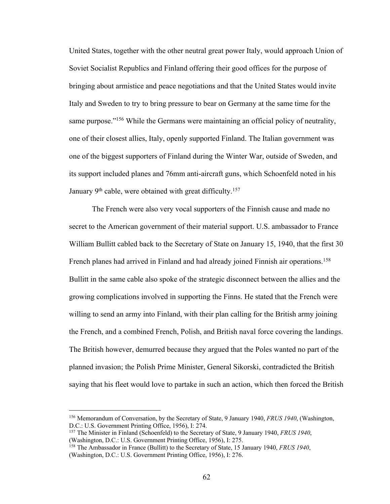United States, together with the other neutral great power Italy, would approach Union of Soviet Socialist Republics and Finland offering their good offices for the purpose of bringing about armistice and peace negotiations and that the United States would invite Italy and Sweden to try to bring pressure to bear on Germany at the same time for the same purpose."<sup>156</sup> While the Germans were maintaining an official policy of neutrality, one of their closest allies, Italy, openly supported Finland. The Italian government was one of the biggest supporters of Finland during the Winter War, outside of Sweden, and its support included planes and 76mm anti-aircraft guns, which Schoenfeld noted in his January  $9<sup>th</sup>$  cable, were obtained with great difficulty.<sup>157</sup>

The French were also very vocal supporters of the Finnish cause and made no secret to the American government of their material support. U.S. ambassador to France William Bullitt cabled back to the Secretary of State on January 15, 1940, that the first 30 French planes had arrived in Finland and had already joined Finnish air operations.<sup>158</sup> Bullitt in the same cable also spoke of the strategic disconnect between the allies and the growing complications involved in supporting the Finns. He stated that the French were willing to send an army into Finland, with their plan calling for the British army joining the French, and a combined French, Polish, and British naval force covering the landings. The British however, demurred because they argued that the Poles wanted no part of the planned invasion; the Polish Prime Minister, General Sikorski, contradicted the British saying that his fleet would love to partake in such an action, which then forced the British

<sup>156</sup> Memorandum of Conversation, by the Secretary of State, 9 January 1940, *FRUS 1940*, (Washington, D.C.: U.S. Government Printing Office, 1956), I: 274.

<sup>157</sup> The Minister in Finland (Schoenfeld) to the Secretary of State, 9 January 1940, *FRUS 1940*, (Washington, D.C.: U.S. Government Printing Office, 1956), I: 275.

<sup>158</sup> The Ambassador in France (Bullitt) to the Secretary of State, 15 January 1940, *FRUS 1940*, (Washington, D.C.: U.S. Government Printing Office, 1956), I: 276.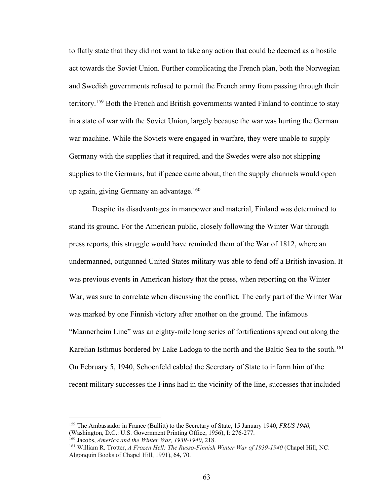to flatly state that they did not want to take any action that could be deemed as a hostile act towards the Soviet Union. Further complicating the French plan, both the Norwegian and Swedish governments refused to permit the French army from passing through their territory.159 Both the French and British governments wanted Finland to continue to stay in a state of war with the Soviet Union, largely because the war was hurting the German war machine. While the Soviets were engaged in warfare, they were unable to supply Germany with the supplies that it required, and the Swedes were also not shipping supplies to the Germans, but if peace came about, then the supply channels would open up again, giving Germany an advantage. $160$ 

Despite its disadvantages in manpower and material, Finland was determined to stand its ground. For the American public, closely following the Winter War through press reports, this struggle would have reminded them of the War of 1812, where an undermanned, outgunned United States military was able to fend off a British invasion. It was previous events in American history that the press, when reporting on the Winter War, was sure to correlate when discussing the conflict. The early part of the Winter War was marked by one Finnish victory after another on the ground. The infamous "Mannerheim Line" was an eighty-mile long series of fortifications spread out along the Karelian Isthmus bordered by Lake Ladoga to the north and the Baltic Sea to the south.<sup>161</sup> On February 5, 1940, Schoenfeld cabled the Secretary of State to inform him of the recent military successes the Finns had in the vicinity of the line, successes that included

<sup>159</sup> The Ambassador in France (Bullitt) to the Secretary of State, 15 January 1940, *FRUS 1940*, (Washington, D.C.: U.S. Government Printing Office, 1956), I: 276-277. <sup>160</sup> Jacobs, *America and the Winter War, 1939-1940*, 218.

<sup>161</sup> William R. Trotter, *A Frozen Hell: The Russo-Finnish Winter War of 1939-1940* (Chapel Hill, NC: Algonquin Books of Chapel Hill, 1991), 64, 70.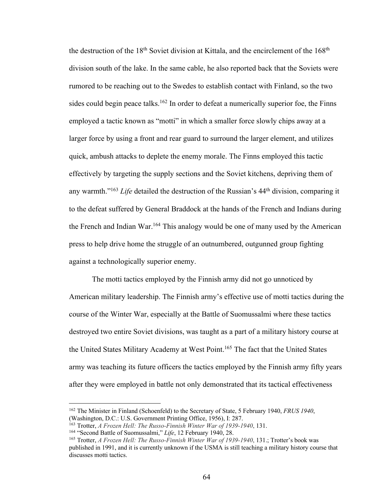the destruction of the 18<sup>th</sup> Soviet division at Kittala, and the encirclement of the 168<sup>th</sup> division south of the lake. In the same cable, he also reported back that the Soviets were rumored to be reaching out to the Swedes to establish contact with Finland, so the two sides could begin peace talks.<sup>162</sup> In order to defeat a numerically superior foe, the Finns employed a tactic known as "motti" in which a smaller force slowly chips away at a larger force by using a front and rear guard to surround the larger element, and utilizes quick, ambush attacks to deplete the enemy morale. The Finns employed this tactic effectively by targeting the supply sections and the Soviet kitchens, depriving them of any warmth."163 *Life* detailed the destruction of the Russian's 44th division, comparing it to the defeat suffered by General Braddock at the hands of the French and Indians during the French and Indian War.<sup>164</sup> This analogy would be one of many used by the American press to help drive home the struggle of an outnumbered, outgunned group fighting against a technologically superior enemy.

The motti tactics employed by the Finnish army did not go unnoticed by American military leadership. The Finnish army's effective use of motti tactics during the course of the Winter War, especially at the Battle of Suomussalmi where these tactics destroyed two entire Soviet divisions, was taught as a part of a military history course at the United States Military Academy at West Point.<sup>165</sup> The fact that the United States army was teaching its future officers the tactics employed by the Finnish army fifty years after they were employed in battle not only demonstrated that its tactical effectiveness

<sup>162</sup> The Minister in Finland (Schoenfeld) to the Secretary of State, 5 February 1940, *FRUS 1940*, (Washington, D.C.: U.S. Government Printing Office, 1956), I: 287.

<sup>163</sup> Trotter, *A Frozen Hell: The Russo-Finnish Winter War of 1939-1940*, 131.

<sup>164</sup> "Second Battle of Suomussalmi," *Life*, 12 February 1940, 28.

<sup>165</sup> Trotter, *A Frozen Hell: The Russo-Finnish Winter War of 1939-1940*, 131.; Trotter's book was published in 1991, and it is currently unknown if the USMA is still teaching a military history course that discusses motti tactics.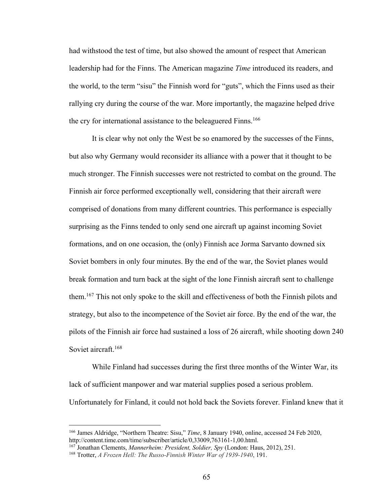had withstood the test of time, but also showed the amount of respect that American leadership had for the Finns. The American magazine *Time* introduced its readers, and the world, to the term "sisu" the Finnish word for "guts", which the Finns used as their rallying cry during the course of the war. More importantly, the magazine helped drive the cry for international assistance to the beleaguered Finns.<sup>166</sup>

It is clear why not only the West be so enamored by the successes of the Finns, but also why Germany would reconsider its alliance with a power that it thought to be much stronger. The Finnish successes were not restricted to combat on the ground. The Finnish air force performed exceptionally well, considering that their aircraft were comprised of donations from many different countries. This performance is especially surprising as the Finns tended to only send one aircraft up against incoming Soviet formations, and on one occasion, the (only) Finnish ace Jorma Sarvanto downed six Soviet bombers in only four minutes. By the end of the war, the Soviet planes would break formation and turn back at the sight of the lone Finnish aircraft sent to challenge them.167 This not only spoke to the skill and effectiveness of both the Finnish pilots and strategy, but also to the incompetence of the Soviet air force. By the end of the war, the pilots of the Finnish air force had sustained a loss of 26 aircraft, while shooting down 240 Soviet aircraft.<sup>168</sup>

While Finland had successes during the first three months of the Winter War, its lack of sufficient manpower and war material supplies posed a serious problem. Unfortunately for Finland, it could not hold back the Soviets forever. Finland knew that it

<sup>166</sup> James Aldridge, "Northern Theatre: Sisu," *Time*, 8 January 1940, online, accessed 24 Feb 2020, http://content.time.com/time/subscriber/article/0,33009,763161-1,00.html.

<sup>167</sup> Jonathan Clements, *Mannerheim: President, Soldier, Spy* (London: Haus, 2012), 251.

<sup>168</sup> Trotter, *A Frozen Hell: The Russo-Finnish Winter War of 1939-1940*, 191.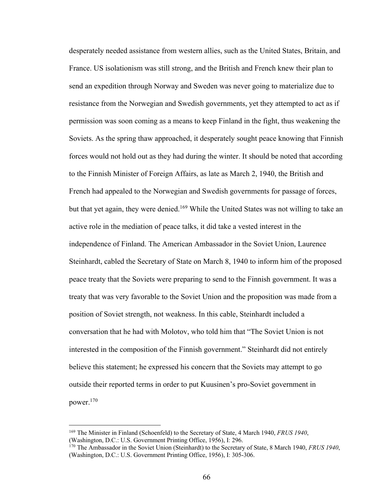desperately needed assistance from western allies, such as the United States, Britain, and France. US isolationism was still strong, and the British and French knew their plan to send an expedition through Norway and Sweden was never going to materialize due to resistance from the Norwegian and Swedish governments, yet they attempted to act as if permission was soon coming as a means to keep Finland in the fight, thus weakening the Soviets. As the spring thaw approached, it desperately sought peace knowing that Finnish forces would not hold out as they had during the winter. It should be noted that according to the Finnish Minister of Foreign Affairs, as late as March 2, 1940, the British and French had appealed to the Norwegian and Swedish governments for passage of forces, but that yet again, they were denied.<sup>169</sup> While the United States was not willing to take an active role in the mediation of peace talks, it did take a vested interest in the independence of Finland. The American Ambassador in the Soviet Union, Laurence Steinhardt, cabled the Secretary of State on March 8, 1940 to inform him of the proposed peace treaty that the Soviets were preparing to send to the Finnish government. It was a treaty that was very favorable to the Soviet Union and the proposition was made from a position of Soviet strength, not weakness. In this cable, Steinhardt included a conversation that he had with Molotov, who told him that "The Soviet Union is not interested in the composition of the Finnish government." Steinhardt did not entirely believe this statement; he expressed his concern that the Soviets may attempt to go outside their reported terms in order to put Kuusinen's pro-Soviet government in power.170

<sup>169</sup> The Minister in Finland (Schoenfeld) to the Secretary of State, 4 March 1940, *FRUS 1940*, (Washington, D.C.: U.S. Government Printing Office, 1956), I: 296.

<sup>170</sup> The Ambassador in the Soviet Union (Steinhardt) to the Secretary of State, 8 March 1940, *FRUS 1940*, (Washington, D.C.: U.S. Government Printing Office, 1956), I: 305-306.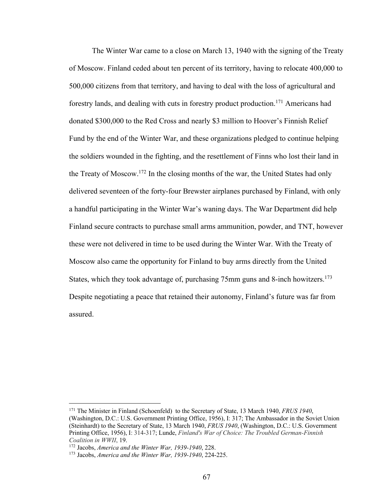The Winter War came to a close on March 13, 1940 with the signing of the Treaty of Moscow. Finland ceded about ten percent of its territory, having to relocate 400,000 to 500,000 citizens from that territory, and having to deal with the loss of agricultural and forestry lands, and dealing with cuts in forestry product production.<sup>171</sup> Americans had donated \$300,000 to the Red Cross and nearly \$3 million to Hoover's Finnish Relief Fund by the end of the Winter War, and these organizations pledged to continue helping the soldiers wounded in the fighting, and the resettlement of Finns who lost their land in the Treaty of Moscow.172 In the closing months of the war, the United States had only delivered seventeen of the forty-four Brewster airplanes purchased by Finland, with only a handful participating in the Winter War's waning days. The War Department did help Finland secure contracts to purchase small arms ammunition, powder, and TNT, however these were not delivered in time to be used during the Winter War. With the Treaty of Moscow also came the opportunity for Finland to buy arms directly from the United States, which they took advantage of, purchasing 75mm guns and 8-inch howitzers.<sup>173</sup> Despite negotiating a peace that retained their autonomy, Finland's future was far from assured.

<sup>171</sup> The Minister in Finland (Schoenfeld) to the Secretary of State, 13 March 1940, *FRUS 1940*, (Washington, D.C.: U.S. Government Printing Office, 1956), I: 317; The Ambassador in the Soviet Union (Steinhardt) to the Secretary of State, 13 March 1940, *FRUS 1940*, (Washington, D.C.: U.S. Government Printing Office, 1956), I: 314-317; Lunde, *Finland's War of Choice: The Troubled German-Finnish Coalition in WWII*, 19.

<sup>172</sup> Jacobs, *America and the Winter War, 1939-1940*, 228.

<sup>173</sup> Jacobs, *America and the Winter War, 1939-1940*, 224-225.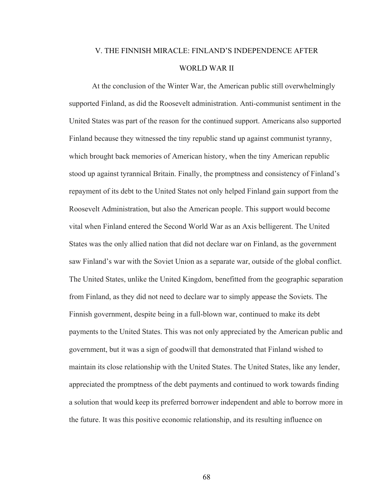## V. THE FINNISH MIRACLE: FINLAND'S INDEPENDENCE AFTER WORLD WAR II

At the conclusion of the Winter War, the American public still overwhelmingly supported Finland, as did the Roosevelt administration. Anti-communist sentiment in the United States was part of the reason for the continued support. Americans also supported Finland because they witnessed the tiny republic stand up against communist tyranny, which brought back memories of American history, when the tiny American republic stood up against tyrannical Britain. Finally, the promptness and consistency of Finland's repayment of its debt to the United States not only helped Finland gain support from the Roosevelt Administration, but also the American people. This support would become vital when Finland entered the Second World War as an Axis belligerent. The United States was the only allied nation that did not declare war on Finland, as the government saw Finland's war with the Soviet Union as a separate war, outside of the global conflict. The United States, unlike the United Kingdom, benefitted from the geographic separation from Finland, as they did not need to declare war to simply appease the Soviets. The Finnish government, despite being in a full-blown war, continued to make its debt payments to the United States. This was not only appreciated by the American public and government, but it was a sign of goodwill that demonstrated that Finland wished to maintain its close relationship with the United States. The United States, like any lender, appreciated the promptness of the debt payments and continued to work towards finding a solution that would keep its preferred borrower independent and able to borrow more in the future. It was this positive economic relationship, and its resulting influence on

68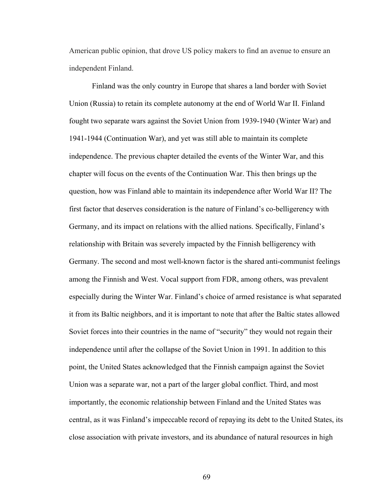American public opinion, that drove US policy makers to find an avenue to ensure an independent Finland.

Finland was the only country in Europe that shares a land border with Soviet Union (Russia) to retain its complete autonomy at the end of World War II. Finland fought two separate wars against the Soviet Union from 1939-1940 (Winter War) and 1941-1944 (Continuation War), and yet was still able to maintain its complete independence. The previous chapter detailed the events of the Winter War, and this chapter will focus on the events of the Continuation War. This then brings up the question, how was Finland able to maintain its independence after World War II? The first factor that deserves consideration is the nature of Finland's co-belligerency with Germany, and its impact on relations with the allied nations. Specifically, Finland's relationship with Britain was severely impacted by the Finnish belligerency with Germany. The second and most well-known factor is the shared anti-communist feelings among the Finnish and West. Vocal support from FDR, among others, was prevalent especially during the Winter War. Finland's choice of armed resistance is what separated it from its Baltic neighbors, and it is important to note that after the Baltic states allowed Soviet forces into their countries in the name of "security" they would not regain their independence until after the collapse of the Soviet Union in 1991. In addition to this point, the United States acknowledged that the Finnish campaign against the Soviet Union was a separate war, not a part of the larger global conflict. Third, and most importantly, the economic relationship between Finland and the United States was central, as it was Finland's impeccable record of repaying its debt to the United States, its close association with private investors, and its abundance of natural resources in high

69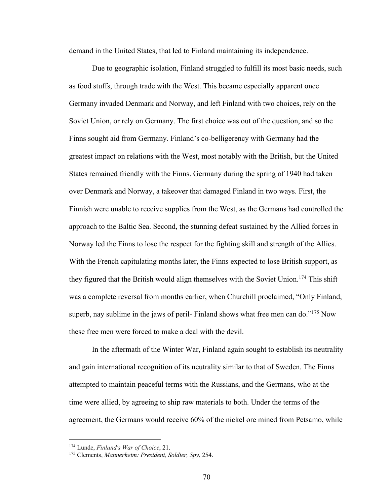demand in the United States, that led to Finland maintaining its independence.

Due to geographic isolation, Finland struggled to fulfill its most basic needs, such as food stuffs, through trade with the West. This became especially apparent once Germany invaded Denmark and Norway, and left Finland with two choices, rely on the Soviet Union, or rely on Germany. The first choice was out of the question, and so the Finns sought aid from Germany. Finland's co-belligerency with Germany had the greatest impact on relations with the West, most notably with the British, but the United States remained friendly with the Finns. Germany during the spring of 1940 had taken over Denmark and Norway, a takeover that damaged Finland in two ways. First, the Finnish were unable to receive supplies from the West, as the Germans had controlled the approach to the Baltic Sea. Second, the stunning defeat sustained by the Allied forces in Norway led the Finns to lose the respect for the fighting skill and strength of the Allies. With the French capitulating months later, the Finns expected to lose British support, as they figured that the British would align themselves with the Soviet Union.<sup>174</sup> This shift was a complete reversal from months earlier, when Churchill proclaimed, "Only Finland, superb, nay sublime in the jaws of peril- Finland shows what free men can do."<sup>175</sup> Now these free men were forced to make a deal with the devil.

In the aftermath of the Winter War, Finland again sought to establish its neutrality and gain international recognition of its neutrality similar to that of Sweden. The Finns attempted to maintain peaceful terms with the Russians, and the Germans, who at the time were allied, by agreeing to ship raw materials to both. Under the terms of the agreement, the Germans would receive 60% of the nickel ore mined from Petsamo, while

<sup>174</sup> Lunde, *Finland's War of Choice*, 21.

<sup>175</sup> Clements, *Mannerheim: President, Soldier, Spy*, 254.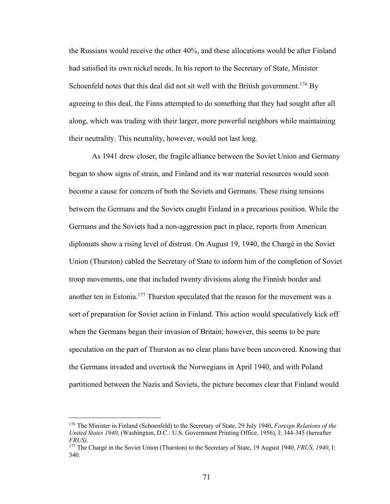the Russians would receive the other 40%, and these allocations would be after Finland had satisfied its own nickel needs. In his report to the Secretary of State, Minister Schoenfeld notes that this deal did not sit well with the British government.<sup>176</sup> By agreeing to this deal, the Finns attempted to do something that they had sought after all along, which was trading with their larger, more powerful neighbors while maintaining their neutrality. This neutrality, however, would not last long.

As 1941 drew closer, the fragile alliance between the Soviet Union and Germany began to show signs of strain, and Finland and its war material resources would soon become a cause for concern of both the Soviets and Germans. These rising tensions between the Germans and the Soviets caught Finland in a precarious position. While the Germans and the Soviets had a non-aggression pact in place, reports from American diplomats show a rising level of distrust. On August 19, 1940, the Chargé in the Soviet Union (Thurston) cabled the Secretary of State to inform him of the completion of Soviet troop movements, one that included twenty divisions along the Finnish border and another ten in Estonia.177 Thurston speculated that the reason for the movement was a sort of preparation for Soviet action in Finland. This action would speculatively kick off when the Germans began their invasion of Britain; however, this seems to be pure speculation on the part of Thurston as no clear plans have been uncovered. Knowing that the Germans invaded and overtook the Norwegians in April 1940, and with Poland partitioned between the Nazis and Soviets, the picture becomes clear that Finland would

<sup>176</sup> The Minister in Finland (Schoenfeld) to the Secretary of State, 29 July 1940, *Foreign Relations of the United States 1940*, (Washington, D.C.: U.S. Government Printing Office, 1956), I: 344-345 (hereafter *FRUS)*.

<sup>177</sup> The Chargé in the Soviet Union (Thurston) to the Secretary of State, 19 August 1940, *FRUS, 1940*, I: 340.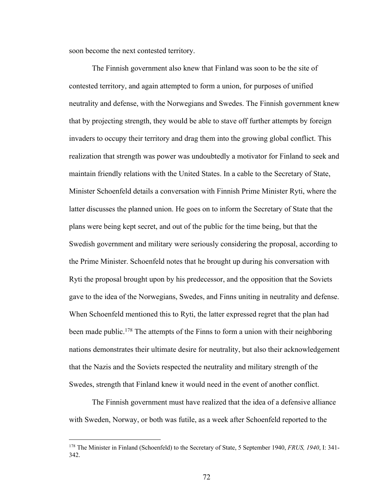soon become the next contested territory.

The Finnish government also knew that Finland was soon to be the site of contested territory, and again attempted to form a union, for purposes of unified neutrality and defense, with the Norwegians and Swedes. The Finnish government knew that by projecting strength, they would be able to stave off further attempts by foreign invaders to occupy their territory and drag them into the growing global conflict. This realization that strength was power was undoubtedly a motivator for Finland to seek and maintain friendly relations with the United States. In a cable to the Secretary of State, Minister Schoenfeld details a conversation with Finnish Prime Minister Ryti, where the latter discusses the planned union. He goes on to inform the Secretary of State that the plans were being kept secret, and out of the public for the time being, but that the Swedish government and military were seriously considering the proposal, according to the Prime Minister. Schoenfeld notes that he brought up during his conversation with Ryti the proposal brought upon by his predecessor, and the opposition that the Soviets gave to the idea of the Norwegians, Swedes, and Finns uniting in neutrality and defense. When Schoenfeld mentioned this to Ryti, the latter expressed regret that the plan had been made public.<sup>178</sup> The attempts of the Finns to form a union with their neighboring nations demonstrates their ultimate desire for neutrality, but also their acknowledgement that the Nazis and the Soviets respected the neutrality and military strength of the Swedes, strength that Finland knew it would need in the event of another conflict.

The Finnish government must have realized that the idea of a defensive alliance with Sweden, Norway, or both was futile, as a week after Schoenfeld reported to the

<sup>178</sup> The Minister in Finland (Schoenfeld) to the Secretary of State, 5 September 1940, *FRUS, 1940*, I: 341- 342.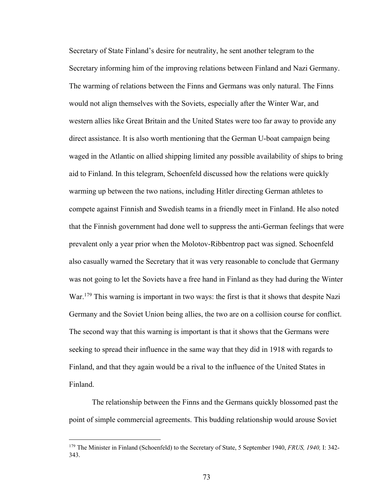Secretary of State Finland's desire for neutrality, he sent another telegram to the Secretary informing him of the improving relations between Finland and Nazi Germany. The warming of relations between the Finns and Germans was only natural. The Finns would not align themselves with the Soviets, especially after the Winter War, and western allies like Great Britain and the United States were too far away to provide any direct assistance. It is also worth mentioning that the German U-boat campaign being waged in the Atlantic on allied shipping limited any possible availability of ships to bring aid to Finland. In this telegram, Schoenfeld discussed how the relations were quickly warming up between the two nations, including Hitler directing German athletes to compete against Finnish and Swedish teams in a friendly meet in Finland. He also noted that the Finnish government had done well to suppress the anti-German feelings that were prevalent only a year prior when the Molotov-Ribbentrop pact was signed. Schoenfeld also casually warned the Secretary that it was very reasonable to conclude that Germany was not going to let the Soviets have a free hand in Finland as they had during the Winter War.<sup>179</sup> This warning is important in two ways: the first is that it shows that despite Nazi Germany and the Soviet Union being allies, the two are on a collision course for conflict. The second way that this warning is important is that it shows that the Germans were seeking to spread their influence in the same way that they did in 1918 with regards to Finland, and that they again would be a rival to the influence of the United States in Finland.

The relationship between the Finns and the Germans quickly blossomed past the point of simple commercial agreements. This budding relationship would arouse Soviet

<sup>179</sup> The Minister in Finland (Schoenfeld) to the Secretary of State, 5 September 1940, *FRUS, 1940,* I: 342- 343.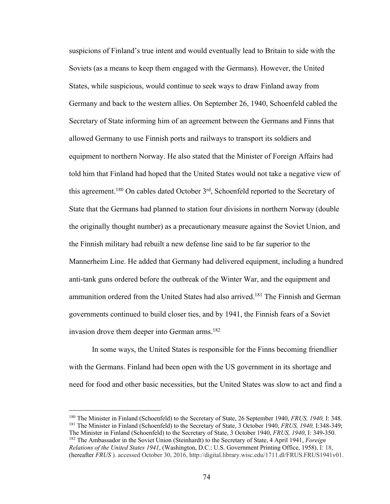suspicions of Finland's true intent and would eventually lead to Britain to side with the Soviets (as a means to keep them engaged with the Germans). However, the United States, while suspicious, would continue to seek ways to draw Finland away from Germany and back to the western allies. On September 26, 1940, Schoenfeld cabled the Secretary of State informing him of an agreement between the Germans and Finns that allowed Germany to use Finnish ports and railways to transport its soldiers and equipment to northern Norway. He also stated that the Minister of Foreign Affairs had told him that Finland had hoped that the United States would not take a negative view of this agreement.<sup>180</sup> On cables dated October 3<sup>rd</sup>, Schoenfeld reported to the Secretary of State that the Germans had planned to station four divisions in northern Norway (double the originally thought number) as a precautionary measure against the Soviet Union, and the Finnish military had rebuilt a new defense line said to be far superior to the Mannerheim Line. He added that Germany had delivered equipment, including a hundred anti-tank guns ordered before the outbreak of the Winter War, and the equipment and ammunition ordered from the United States had also arrived.<sup>181</sup> The Finnish and German governments continued to build closer ties, and by 1941, the Finnish fears of a Soviet invasion drove them deeper into German arms.<sup>182</sup>

In some ways, the United States is responsible for the Finns becoming friendlier with the Germans. Finland had been open with the US government in its shortage and need for food and other basic necessities, but the United States was slow to act and find a

<sup>180</sup> The Minister in Finland (Schoenfeld) to the Secretary of State, 26 September 1940, *FRUS, 1940,* I: 348. <sup>181</sup> The Minister in Finland (Schoenfeld) to the Secretary of State, 3 October 1940, *FRUS, 1940,* I:348-349; The Minister in Finland (Schoenfeld) to the Secretary of State, 3 October 1940, *FRUS, 1940*, I: 349-350. <sup>182</sup> The Ambassador in the Soviet Union (Steinhardt) to the Secretary of State, 4 April 1941, *Foreign Relations of the United States 1941*, (Washington, D.C.: U.S. Government Printing Office, 1958), I: 18, (hereafter *FRUS* ). accessed October 30, 2016, http://digital.library.wisc.edu/1711.dl/FRUS.FRUS1941v01.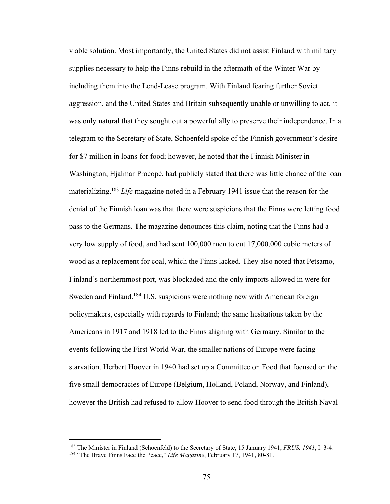viable solution. Most importantly, the United States did not assist Finland with military supplies necessary to help the Finns rebuild in the aftermath of the Winter War by including them into the Lend-Lease program. With Finland fearing further Soviet aggression, and the United States and Britain subsequently unable or unwilling to act, it was only natural that they sought out a powerful ally to preserve their independence. In a telegram to the Secretary of State, Schoenfeld spoke of the Finnish government's desire for \$7 million in loans for food; however, he noted that the Finnish Minister in Washington, Hjalmar Procopé, had publicly stated that there was little chance of the loan materializing.183 *Life* magazine noted in a February 1941 issue that the reason for the denial of the Finnish loan was that there were suspicions that the Finns were letting food pass to the Germans. The magazine denounces this claim, noting that the Finns had a very low supply of food, and had sent 100,000 men to cut 17,000,000 cubic meters of wood as a replacement for coal, which the Finns lacked. They also noted that Petsamo, Finland's northernmost port, was blockaded and the only imports allowed in were for Sweden and Finland.<sup>184</sup> U.S. suspicions were nothing new with American foreign policymakers, especially with regards to Finland; the same hesitations taken by the Americans in 1917 and 1918 led to the Finns aligning with Germany. Similar to the events following the First World War, the smaller nations of Europe were facing starvation. Herbert Hoover in 1940 had set up a Committee on Food that focused on the five small democracies of Europe (Belgium, Holland, Poland, Norway, and Finland), however the British had refused to allow Hoover to send food through the British Naval

<sup>183</sup> The Minister in Finland (Schoenfeld) to the Secretary of State, 15 January 1941, *FRUS, 1941*, I: 3-4. <sup>184</sup> "The Brave Finns Face the Peace," *Life Magazine*, February 17, 1941, 80-81.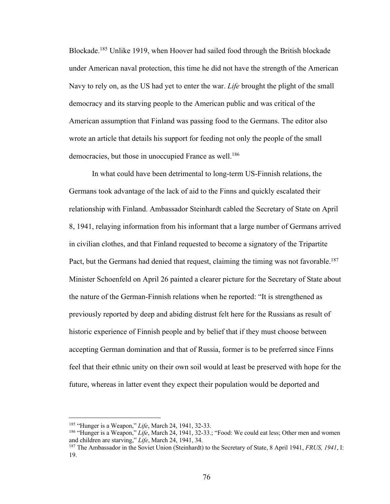Blockade.185 Unlike 1919, when Hoover had sailed food through the British blockade under American naval protection, this time he did not have the strength of the American Navy to rely on, as the US had yet to enter the war. *Life* brought the plight of the small democracy and its starving people to the American public and was critical of the American assumption that Finland was passing food to the Germans. The editor also wrote an article that details his support for feeding not only the people of the small democracies, but those in unoccupied France as well.<sup>186</sup>

In what could have been detrimental to long-term US-Finnish relations, the Germans took advantage of the lack of aid to the Finns and quickly escalated their relationship with Finland. Ambassador Steinhardt cabled the Secretary of State on April 8, 1941, relaying information from his informant that a large number of Germans arrived in civilian clothes, and that Finland requested to become a signatory of the Tripartite Pact, but the Germans had denied that request, claiming the timing was not favorable.<sup>187</sup> Minister Schoenfeld on April 26 painted a clearer picture for the Secretary of State about the nature of the German-Finnish relations when he reported: "It is strengthened as previously reported by deep and abiding distrust felt here for the Russians as result of historic experience of Finnish people and by belief that if they must choose between accepting German domination and that of Russia, former is to be preferred since Finns feel that their ethnic unity on their own soil would at least be preserved with hope for the future, whereas in latter event they expect their population would be deported and

<sup>185</sup> "Hunger is a Weapon," *Life*, March 24, 1941, 32-33.

<sup>186</sup> "Hunger is a Weapon," *Life*, March 24, 1941, 32-33.; "Food: We could eat less; Other men and women and children are starving," *Life*, March 24, 1941, 34.

<sup>187</sup> The Ambassador in the Soviet Union (Steinhardt) to the Secretary of State, 8 April 1941, *FRUS, 1941*, I: 19.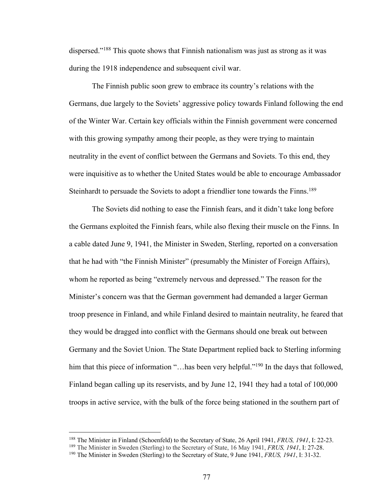dispersed."188 This quote shows that Finnish nationalism was just as strong as it was during the 1918 independence and subsequent civil war.

The Finnish public soon grew to embrace its country's relations with the Germans, due largely to the Soviets' aggressive policy towards Finland following the end of the Winter War. Certain key officials within the Finnish government were concerned with this growing sympathy among their people, as they were trying to maintain neutrality in the event of conflict between the Germans and Soviets. To this end, they were inquisitive as to whether the United States would be able to encourage Ambassador Steinhardt to persuade the Soviets to adopt a friendlier tone towards the Finns.189

The Soviets did nothing to ease the Finnish fears, and it didn't take long before the Germans exploited the Finnish fears, while also flexing their muscle on the Finns. In a cable dated June 9, 1941, the Minister in Sweden, Sterling, reported on a conversation that he had with "the Finnish Minister" (presumably the Minister of Foreign Affairs), whom he reported as being "extremely nervous and depressed." The reason for the Minister's concern was that the German government had demanded a larger German troop presence in Finland, and while Finland desired to maintain neutrality, he feared that they would be dragged into conflict with the Germans should one break out between Germany and the Soviet Union. The State Department replied back to Sterling informing him that this piece of information "... has been very helpful."<sup>190</sup> In the days that followed, Finland began calling up its reservists, and by June 12, 1941 they had a total of 100,000 troops in active service, with the bulk of the force being stationed in the southern part of

<sup>188</sup> The Minister in Finland (Schoenfeld) to the Secretary of State, 26 April 1941, *FRUS, 1941*, I: 22-23.

<sup>189</sup> The Minister in Sweden (Sterling) to the Secretary of State, 16 May 1941, *FRUS, 1941*, I: 27-28.

<sup>190</sup> The Minister in Sweden (Sterling) to the Secretary of State, 9 June 1941, *FRUS, 1941*, I: 31-32.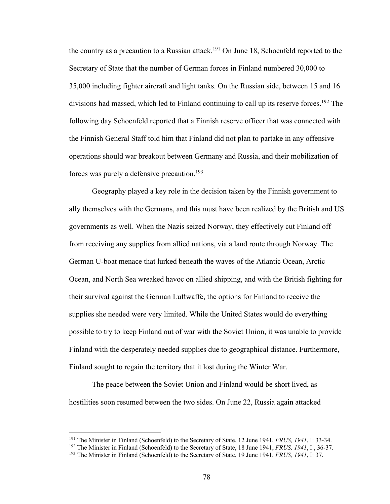the country as a precaution to a Russian attack.<sup>191</sup> On June 18, Schoenfeld reported to the Secretary of State that the number of German forces in Finland numbered 30,000 to 35,000 including fighter aircraft and light tanks. On the Russian side, between 15 and 16 divisions had massed, which led to Finland continuing to call up its reserve forces.<sup>192</sup> The following day Schoenfeld reported that a Finnish reserve officer that was connected with the Finnish General Staff told him that Finland did not plan to partake in any offensive operations should war breakout between Germany and Russia, and their mobilization of forces was purely a defensive precaution.<sup>193</sup>

Geography played a key role in the decision taken by the Finnish government to ally themselves with the Germans, and this must have been realized by the British and US governments as well. When the Nazis seized Norway, they effectively cut Finland off from receiving any supplies from allied nations, via a land route through Norway. The German U-boat menace that lurked beneath the waves of the Atlantic Ocean, Arctic Ocean, and North Sea wreaked havoc on allied shipping, and with the British fighting for their survival against the German Luftwaffe, the options for Finland to receive the supplies she needed were very limited. While the United States would do everything possible to try to keep Finland out of war with the Soviet Union, it was unable to provide Finland with the desperately needed supplies due to geographical distance. Furthermore, Finland sought to regain the territory that it lost during the Winter War.

The peace between the Soviet Union and Finland would be short lived, as hostilities soon resumed between the two sides. On June 22, Russia again attacked

<sup>191</sup> The Minister in Finland (Schoenfeld) to the Secretary of State, 12 June 1941, *FRUS, 1941*, I: 33-34.

<sup>192</sup> The Minister in Finland (Schoenfeld) to the Secretary of State, 18 June 1941, *FRUS, 1941*, I:, 36-37.

<sup>193</sup> The Minister in Finland (Schoenfeld) to the Secretary of State, 19 June 1941, *FRUS, 1941*, I: 37.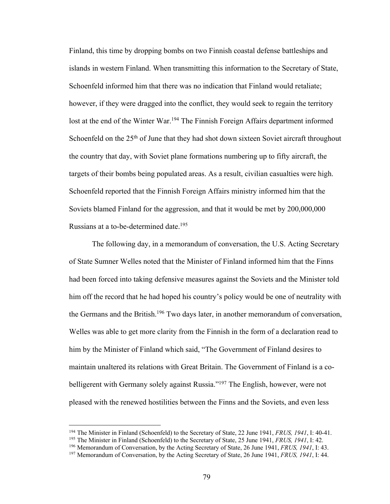Finland, this time by dropping bombs on two Finnish coastal defense battleships and islands in western Finland. When transmitting this information to the Secretary of State, Schoenfeld informed him that there was no indication that Finland would retaliate; however, if they were dragged into the conflict, they would seek to regain the territory lost at the end of the Winter War.<sup>194</sup> The Finnish Foreign Affairs department informed Schoenfeld on the 25<sup>th</sup> of June that they had shot down sixteen Soviet aircraft throughout the country that day, with Soviet plane formations numbering up to fifty aircraft, the targets of their bombs being populated areas. As a result, civilian casualties were high. Schoenfeld reported that the Finnish Foreign Affairs ministry informed him that the Soviets blamed Finland for the aggression, and that it would be met by 200,000,000 Russians at a to-be-determined date.<sup>195</sup>

The following day, in a memorandum of conversation, the U.S. Acting Secretary of State Sumner Welles noted that the Minister of Finland informed him that the Finns had been forced into taking defensive measures against the Soviets and the Minister told him off the record that he had hoped his country's policy would be one of neutrality with the Germans and the British.<sup>196</sup> Two days later, in another memorandum of conversation, Welles was able to get more clarity from the Finnish in the form of a declaration read to him by the Minister of Finland which said, "The Government of Finland desires to maintain unaltered its relations with Great Britain. The Government of Finland is a cobelligerent with Germany solely against Russia."<sup>197</sup> The English, however, were not pleased with the renewed hostilities between the Finns and the Soviets, and even less

<sup>194</sup> The Minister in Finland (Schoenfeld) to the Secretary of State, 22 June 1941, *FRUS, 1941*, I: 40-41.

<sup>195</sup> The Minister in Finland (Schoenfeld) to the Secretary of State, 25 June 1941, *FRUS, 1941*, I: 42.

<sup>196</sup> Memorandum of Conversation, by the Acting Secretary of State, 26 June 1941, *FRUS, 1941*, I: 43.

<sup>197</sup> Memorandum of Conversation, by the Acting Secretary of State, 26 June 1941, *FRUS, 1941*, I: 44.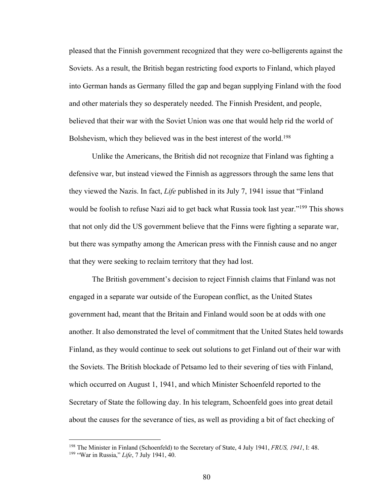pleased that the Finnish government recognized that they were co-belligerents against the Soviets. As a result, the British began restricting food exports to Finland, which played into German hands as Germany filled the gap and began supplying Finland with the food and other materials they so desperately needed. The Finnish President, and people, believed that their war with the Soviet Union was one that would help rid the world of Bolshevism, which they believed was in the best interest of the world.<sup>198</sup>

Unlike the Americans, the British did not recognize that Finland was fighting a defensive war, but instead viewed the Finnish as aggressors through the same lens that they viewed the Nazis. In fact, *Life* published in its July 7, 1941 issue that "Finland would be foolish to refuse Nazi aid to get back what Russia took last year."<sup>199</sup> This shows that not only did the US government believe that the Finns were fighting a separate war, but there was sympathy among the American press with the Finnish cause and no anger that they were seeking to reclaim territory that they had lost.

The British government's decision to reject Finnish claims that Finland was not engaged in a separate war outside of the European conflict, as the United States government had, meant that the Britain and Finland would soon be at odds with one another. It also demonstrated the level of commitment that the United States held towards Finland, as they would continue to seek out solutions to get Finland out of their war with the Soviets. The British blockade of Petsamo led to their severing of ties with Finland, which occurred on August 1, 1941, and which Minister Schoenfeld reported to the Secretary of State the following day. In his telegram, Schoenfeld goes into great detail about the causes for the severance of ties, as well as providing a bit of fact checking of

<sup>198</sup> The Minister in Finland (Schoenfeld) to the Secretary of State, 4 July 1941, *FRUS, 1941*, I: 48. <sup>199</sup> "War in Russia," *Life*, 7 July 1941, 40.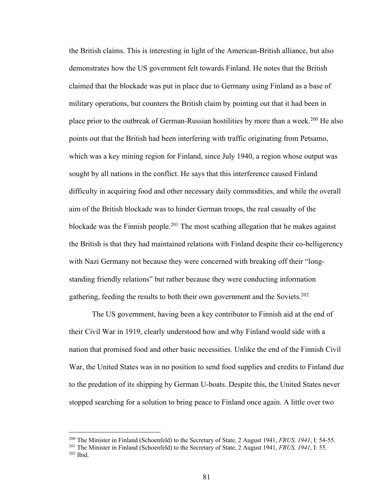the British claims. This is interesting in light of the American-British alliance, but also demonstrates how the US government felt towards Finland. He notes that the British claimed that the blockade was put in place due to Germany using Finland as a base of military operations, but counters the British claim by pointing out that it had been in place prior to the outbreak of German-Russian hostilities by more than a week.<sup>200</sup> He also points out that the British had been interfering with traffic originating from Petsamo, which was a key mining region for Finland, since July 1940, a region whose output was sought by all nations in the conflict. He says that this interference caused Finland difficulty in acquiring food and other necessary daily commodities, and while the overall aim of the British blockade was to hinder German troops, the real casualty of the blockade was the Finnish people.<sup>201</sup> The most scathing allegation that he makes against the British is that they had maintained relations with Finland despite their co-belligerency with Nazi Germany not because they were concerned with breaking off their "longstanding friendly relations" but rather because they were conducting information gathering, feeding the results to both their own government and the Soviets.<sup>202</sup>

The US government, having been a key contributor to Finnish aid at the end of their Civil War in 1919, clearly understood how and why Finland would side with a nation that promised food and other basic necessities. Unlike the end of the Finnish Civil War, the United States was in no position to send food supplies and credits to Finland due to the predation of its shipping by German U-boats. Despite this, the United States never stopped searching for a solution to bring peace to Finland once again. A little over two

<sup>200</sup> The Minister in Finland (Schoenfeld) to the Secretary of State, 2 August 1941, *FRUS, 1941*, I: 54-55.

<sup>201</sup> The Minister in Finland (Schoenfeld) to the Secretary of State, 2 August 1941, *FRUS, 1941*, I: 55. <sup>202</sup> Ibid.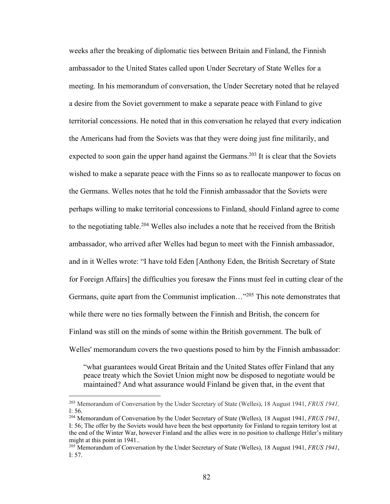weeks after the breaking of diplomatic ties between Britain and Finland, the Finnish ambassador to the United States called upon Under Secretary of State Welles for a meeting. In his memorandum of conversation, the Under Secretary noted that he relayed a desire from the Soviet government to make a separate peace with Finland to give territorial concessions. He noted that in this conversation he relayed that every indication the Americans had from the Soviets was that they were doing just fine militarily, and expected to soon gain the upper hand against the Germans.<sup>203</sup> It is clear that the Soviets wished to make a separate peace with the Finns so as to reallocate manpower to focus on the Germans. Welles notes that he told the Finnish ambassador that the Soviets were perhaps willing to make territorial concessions to Finland, should Finland agree to come to the negotiating table.<sup>204</sup> Welles also includes a note that he received from the British ambassador, who arrived after Welles had begun to meet with the Finnish ambassador, and in it Welles wrote: "I have told Eden [Anthony Eden, the British Secretary of State for Foreign Affairs] the difficulties you foresaw the Finns must feel in cutting clear of the Germans, quite apart from the Communist implication…"205 This note demonstrates that while there were no ties formally between the Finnish and British, the concern for Finland was still on the minds of some within the British government. The bulk of Welles' memorandum covers the two questions posed to him by the Finnish ambassador:

"what guarantees would Great Britain and the United States offer Finland that any peace treaty which the Soviet Union might now be disposed to negotiate would be maintained? And what assurance would Finland be given that, in the event that

<sup>203</sup> Memorandum of Conversation by the Under Secretary of State (Welles), 18 August 1941, *FRUS 1941,* I: 56.

<sup>204</sup> Memorandum of Conversation by the Under Secretary of State (Welles), 18 August 1941, *FRUS 1941*, I: 56; The offer by the Soviets would have been the best opportunity for Finland to regain territory lost at the end of the Winter War, however Finland and the allies were in no position to challenge Hitler's military might at this point in 1941..

<sup>205</sup> Memorandum of Conversation by the Under Secretary of State (Welles), 18 August 1941, *FRUS 1941*, I: 57.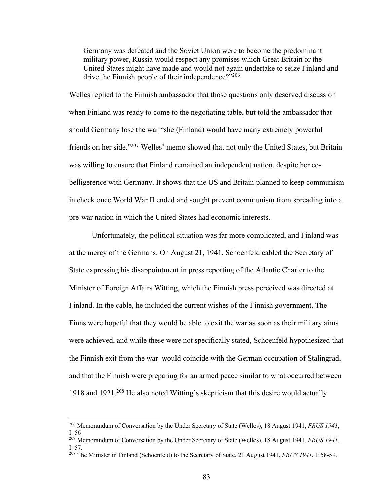Germany was defeated and the Soviet Union were to become the predominant military power, Russia would respect any promises which Great Britain or the United States might have made and would not again undertake to seize Finland and drive the Finnish people of their independence?"<sup>206</sup>

Welles replied to the Finnish ambassador that those questions only deserved discussion when Finland was ready to come to the negotiating table, but told the ambassador that should Germany lose the war "she (Finland) would have many extremely powerful friends on her side."207 Welles' memo showed that not only the United States, but Britain was willing to ensure that Finland remained an independent nation, despite her cobelligerence with Germany. It shows that the US and Britain planned to keep communism in check once World War II ended and sought prevent communism from spreading into a pre-war nation in which the United States had economic interests.

Unfortunately, the political situation was far more complicated, and Finland was at the mercy of the Germans. On August 21, 1941, Schoenfeld cabled the Secretary of State expressing his disappointment in press reporting of the Atlantic Charter to the Minister of Foreign Affairs Witting, which the Finnish press perceived was directed at Finland. In the cable, he included the current wishes of the Finnish government. The Finns were hopeful that they would be able to exit the war as soon as their military aims were achieved, and while these were not specifically stated, Schoenfeld hypothesized that the Finnish exit from the war would coincide with the German occupation of Stalingrad, and that the Finnish were preparing for an armed peace similar to what occurred between 1918 and 1921.208 He also noted Witting's skepticism that this desire would actually

<sup>206</sup> Memorandum of Conversation by the Under Secretary of State (Welles), 18 August 1941, *FRUS 1941*, I: 56

<sup>207</sup> Memorandum of Conversation by the Under Secretary of State (Welles), 18 August 1941, *FRUS 1941*, I: 57.

<sup>208</sup> The Minister in Finland (Schoenfeld) to the Secretary of State, 21 August 1941, *FRUS 1941*, I: 58-59.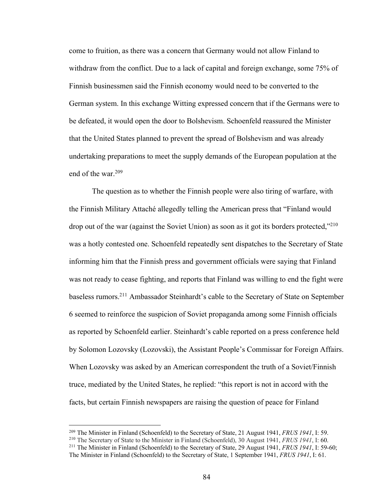come to fruition, as there was a concern that Germany would not allow Finland to withdraw from the conflict. Due to a lack of capital and foreign exchange, some 75% of Finnish businessmen said the Finnish economy would need to be converted to the German system. In this exchange Witting expressed concern that if the Germans were to be defeated, it would open the door to Bolshevism. Schoenfeld reassured the Minister that the United States planned to prevent the spread of Bolshevism and was already undertaking preparations to meet the supply demands of the European population at the end of the war. $209$ 

The question as to whether the Finnish people were also tiring of warfare, with the Finnish Military Attaché allegedly telling the American press that "Finland would drop out of the war (against the Soviet Union) as soon as it got its borders protected,"<sup>210</sup> was a hotly contested one. Schoenfeld repeatedly sent dispatches to the Secretary of State informing him that the Finnish press and government officials were saying that Finland was not ready to cease fighting, and reports that Finland was willing to end the fight were baseless rumors.211 Ambassador Steinhardt's cable to the Secretary of State on September 6 seemed to reinforce the suspicion of Soviet propaganda among some Finnish officials as reported by Schoenfeld earlier. Steinhardt's cable reported on a press conference held by Solomon Lozovsky (Lozovski), the Assistant People's Commissar for Foreign Affairs. When Lozovsky was asked by an American correspondent the truth of a Soviet/Finnish truce, mediated by the United States, he replied: "this report is not in accord with the facts, but certain Finnish newspapers are raising the question of peace for Finland

<sup>209</sup> The Minister in Finland (Schoenfeld) to the Secretary of State, 21 August 1941, *FRUS 1941*, I: 59.

<sup>210</sup> The Secretary of State to the Minister in Finland (Schoenfeld), 30 August 1941, *FRUS 1941*, I: 60.

<sup>211</sup> The Minister in Finland (Schoenfeld) to the Secretary of State, 29 August 1941, *FRUS 1941*, I: 59-60; The Minister in Finland (Schoenfeld) to the Secretary of State, 1 September 1941, *FRUS 1941*, I: 61.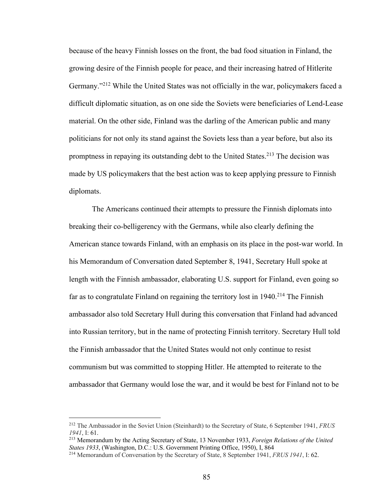because of the heavy Finnish losses on the front, the bad food situation in Finland, the growing desire of the Finnish people for peace, and their increasing hatred of Hitlerite Germany."<sup>212</sup> While the United States was not officially in the war, policymakers faced a difficult diplomatic situation, as on one side the Soviets were beneficiaries of Lend-Lease material. On the other side, Finland was the darling of the American public and many politicians for not only its stand against the Soviets less than a year before, but also its promptness in repaying its outstanding debt to the United States.<sup>213</sup> The decision was made by US policymakers that the best action was to keep applying pressure to Finnish diplomats.

The Americans continued their attempts to pressure the Finnish diplomats into breaking their co-belligerency with the Germans, while also clearly defining the American stance towards Finland, with an emphasis on its place in the post-war world. In his Memorandum of Conversation dated September 8, 1941, Secretary Hull spoke at length with the Finnish ambassador, elaborating U.S. support for Finland, even going so far as to congratulate Finland on regaining the territory lost in  $1940<sup>214</sup>$  The Finnish ambassador also told Secretary Hull during this conversation that Finland had advanced into Russian territory, but in the name of protecting Finnish territory. Secretary Hull told the Finnish ambassador that the United States would not only continue to resist communism but was committed to stopping Hitler. He attempted to reiterate to the ambassador that Germany would lose the war, and it would be best for Finland not to be

<sup>212</sup> The Ambassador in the Soviet Union (Steinhardt) to the Secretary of State, 6 September 1941, *FRUS 1941*, I: 61.

<sup>213</sup> Memorandum by the Acting Secretary of State, 13 November 1933, *Foreign Relations of the United States 1933*, (Washington, D.C.: U.S. Government Printing Office, 1950), I, 864

<sup>214</sup> Memorandum of Conversation by the Secretary of State, 8 September 1941, *FRUS 1941*, I: 62.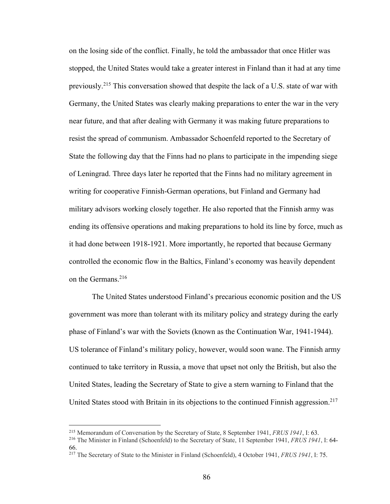on the losing side of the conflict. Finally, he told the ambassador that once Hitler was stopped, the United States would take a greater interest in Finland than it had at any time previously.215 This conversation showed that despite the lack of a U.S. state of war with Germany, the United States was clearly making preparations to enter the war in the very near future, and that after dealing with Germany it was making future preparations to resist the spread of communism. Ambassador Schoenfeld reported to the Secretary of State the following day that the Finns had no plans to participate in the impending siege of Leningrad. Three days later he reported that the Finns had no military agreement in writing for cooperative Finnish-German operations, but Finland and Germany had military advisors working closely together. He also reported that the Finnish army was ending its offensive operations and making preparations to hold its line by force, much as it had done between 1918-1921. More importantly, he reported that because Germany controlled the economic flow in the Baltics, Finland's economy was heavily dependent on the Germans.216

The United States understood Finland's precarious economic position and the US government was more than tolerant with its military policy and strategy during the early phase of Finland's war with the Soviets (known as the Continuation War, 1941-1944). US tolerance of Finland's military policy, however, would soon wane. The Finnish army continued to take territory in Russia, a move that upset not only the British, but also the United States, leading the Secretary of State to give a stern warning to Finland that the United States stood with Britain in its objections to the continued Finnish aggression.<sup>217</sup>

<sup>215</sup> Memorandum of Conversation by the Secretary of State, 8 September 1941, *FRUS 1941*, I: 63.

<sup>216</sup> The Minister in Finland (Schoenfeld) to the Secretary of State, 11 September 1941, *FRUS 1941*, I: 64- 66.

<sup>217</sup> The Secretary of State to the Minister in Finland (Schoenfeld), 4 October 1941, *FRUS 1941*, I: 75.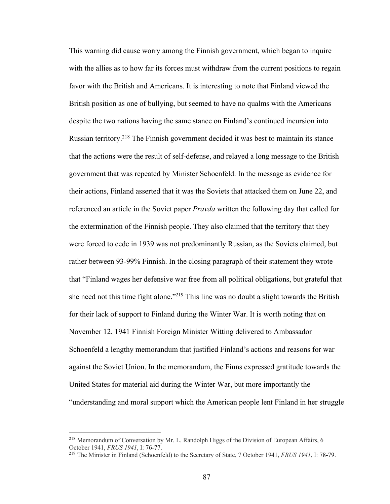This warning did cause worry among the Finnish government, which began to inquire with the allies as to how far its forces must withdraw from the current positions to regain favor with the British and Americans. It is interesting to note that Finland viewed the British position as one of bullying, but seemed to have no qualms with the Americans despite the two nations having the same stance on Finland's continued incursion into Russian territory.218 The Finnish government decided it was best to maintain its stance that the actions were the result of self-defense, and relayed a long message to the British government that was repeated by Minister Schoenfeld. In the message as evidence for their actions, Finland asserted that it was the Soviets that attacked them on June 22, and referenced an article in the Soviet paper *Pravda* written the following day that called for the extermination of the Finnish people. They also claimed that the territory that they were forced to cede in 1939 was not predominantly Russian, as the Soviets claimed, but rather between 93-99% Finnish. In the closing paragraph of their statement they wrote that "Finland wages her defensive war free from all political obligations, but grateful that she need not this time fight alone."219 This line was no doubt a slight towards the British for their lack of support to Finland during the Winter War. It is worth noting that on November 12, 1941 Finnish Foreign Minister Witting delivered to Ambassador Schoenfeld a lengthy memorandum that justified Finland's actions and reasons for war against the Soviet Union. In the memorandum, the Finns expressed gratitude towards the United States for material aid during the Winter War, but more importantly the "understanding and moral support which the American people lent Finland in her struggle

<sup>&</sup>lt;sup>218</sup> Memorandum of Conversation by Mr. L. Randolph Higgs of the Division of European Affairs, 6 October 1941, *FRUS 1941*, I: 76-77.

<sup>219</sup> The Minister in Finland (Schoenfeld) to the Secretary of State, 7 October 1941, *FRUS 1941*, I: 78-79.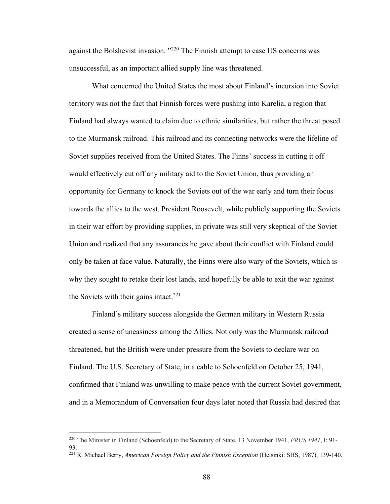against the Bolshevist invasion. "220 The Finnish attempt to ease US concerns was unsuccessful, as an important allied supply line was threatened.

What concerned the United States the most about Finland's incursion into Soviet territory was not the fact that Finnish forces were pushing into Karelia, a region that Finland had always wanted to claim due to ethnic similarities, but rather the threat posed to the Murmansk railroad. This railroad and its connecting networks were the lifeline of Soviet supplies received from the United States. The Finns' success in cutting it off would effectively cut off any military aid to the Soviet Union, thus providing an opportunity for Germany to knock the Soviets out of the war early and turn their focus towards the allies to the west. President Roosevelt, while publicly supporting the Soviets in their war effort by providing supplies, in private was still very skeptical of the Soviet Union and realized that any assurances he gave about their conflict with Finland could only be taken at face value. Naturally, the Finns were also wary of the Soviets, which is why they sought to retake their lost lands, and hopefully be able to exit the war against the Soviets with their gains intact. $221$ 

Finland's military success alongside the German military in Western Russia created a sense of uneasiness among the Allies. Not only was the Murmansk railroad threatened, but the British were under pressure from the Soviets to declare war on Finland. The U.S. Secretary of State, in a cable to Schoenfeld on October 25, 1941, confirmed that Finland was unwilling to make peace with the current Soviet government, and in a Memorandum of Conversation four days later noted that Russia had desired that

<sup>220</sup> The Minister in Finland (Schoenfeld) to the Secretary of State, 13 November 1941, *FRUS 1941*, I: 91- 93.

<sup>&</sup>lt;sup>221</sup> R. Michael Berry, American Foreign Policy and the Finnish Exception (Helsinki: SHS, 1987), 139-140.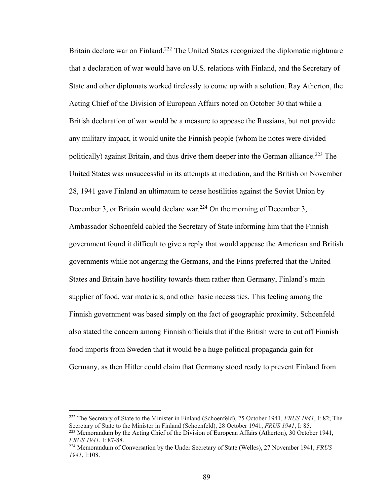Britain declare war on Finland.<sup>222</sup> The United States recognized the diplomatic nightmare that a declaration of war would have on U.S. relations with Finland, and the Secretary of State and other diplomats worked tirelessly to come up with a solution. Ray Atherton, the Acting Chief of the Division of European Affairs noted on October 30 that while a British declaration of war would be a measure to appease the Russians, but not provide any military impact, it would unite the Finnish people (whom he notes were divided politically) against Britain, and thus drive them deeper into the German alliance.<sup>223</sup> The United States was unsuccessful in its attempts at mediation, and the British on November 28, 1941 gave Finland an ultimatum to cease hostilities against the Soviet Union by December 3, or Britain would declare war.<sup>224</sup> On the morning of December 3, Ambassador Schoenfeld cabled the Secretary of State informing him that the Finnish government found it difficult to give a reply that would appease the American and British governments while not angering the Germans, and the Finns preferred that the United States and Britain have hostility towards them rather than Germany, Finland's main supplier of food, war materials, and other basic necessities. This feeling among the Finnish government was based simply on the fact of geographic proximity. Schoenfeld also stated the concern among Finnish officials that if the British were to cut off Finnish food imports from Sweden that it would be a huge political propaganda gain for Germany, as then Hitler could claim that Germany stood ready to prevent Finland from

<sup>222</sup> The Secretary of State to the Minister in Finland (Schoenfeld), 25 October 1941, *FRUS 1941*, I: 82; The Secretary of State to the Minister in Finland (Schoenfeld), 28 October 1941, *FRUS 1941*, I: 85. <sup>223</sup> Memorandum by the Acting Chief of the Division of European Affairs (Atherton), 30 October 1941,

*FRUS 1941*, I: 87-88.

<sup>224</sup> Memorandum of Conversation by the Under Secretary of State (Welles), 27 November 1941, *FRUS 1941*, I:108.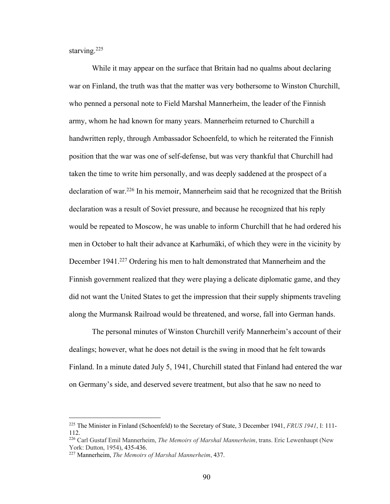starving.<sup>225</sup>

While it may appear on the surface that Britain had no qualms about declaring war on Finland, the truth was that the matter was very bothersome to Winston Churchill, who penned a personal note to Field Marshal Mannerheim, the leader of the Finnish army, whom he had known for many years. Mannerheim returned to Churchill a handwritten reply, through Ambassador Schoenfeld, to which he reiterated the Finnish position that the war was one of self-defense, but was very thankful that Churchill had taken the time to write him personally, and was deeply saddened at the prospect of a declaration of war.<sup>226</sup> In his memoir, Mannerheim said that he recognized that the British declaration was a result of Soviet pressure, and because he recognized that his reply would be repeated to Moscow, he was unable to inform Churchill that he had ordered his men in October to halt their advance at Karhumäki, of which they were in the vicinity by December 1941.<sup>227</sup> Ordering his men to halt demonstrated that Mannerheim and the Finnish government realized that they were playing a delicate diplomatic game, and they did not want the United States to get the impression that their supply shipments traveling along the Murmansk Railroad would be threatened, and worse, fall into German hands.

The personal minutes of Winston Churchill verify Mannerheim's account of their dealings; however, what he does not detail is the swing in mood that he felt towards Finland. In a minute dated July 5, 1941, Churchill stated that Finland had entered the war on Germany's side, and deserved severe treatment, but also that he saw no need to

<sup>225</sup> The Minister in Finland (Schoenfeld) to the Secretary of State, 3 December 1941, *FRUS 1941*, I: 111- 112.

<sup>226</sup> Carl Gustaf Emil Mannerheim, *The Memoirs of Marshal Mannerheim*, trans. Eric Lewenhaupt (New York: Dutton, 1954), 435-436.

<sup>227</sup> Mannerheim, *The Memoirs of Marshal Mannerheim*, 437.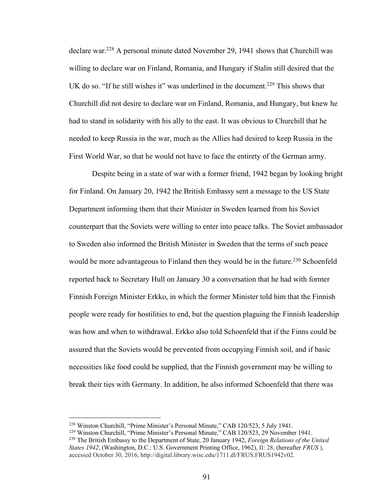declare war.228 A personal minute dated November 29, 1941 shows that Churchill was willing to declare war on Finland, Romania, and Hungary if Stalin still desired that the UK do so. "If he still wishes it" was underlined in the document.<sup>229</sup> This shows that Churchill did not desire to declare war on Finland, Romania, and Hungary, but knew he had to stand in solidarity with his ally to the east. It was obvious to Churchill that he needed to keep Russia in the war, much as the Allies had desired to keep Russia in the First World War, so that he would not have to face the entirety of the German army.

Despite being in a state of war with a former friend, 1942 began by looking bright for Finland. On January 20, 1942 the British Embassy sent a message to the US State Department informing them that their Minister in Sweden learned from his Soviet counterpart that the Soviets were willing to enter into peace talks. The Soviet ambassador to Sweden also informed the British Minister in Sweden that the terms of such peace would be more advantageous to Finland then they would be in the future.<sup>230</sup> Schoenfeld reported back to Secretary Hull on January 30 a conversation that he had with former Finnish Foreign Minister Erkko, in which the former Minister told him that the Finnish people were ready for hostilities to end, but the question plaguing the Finnish leadership was how and when to withdrawal. Erkko also told Schoenfeld that if the Finns could be assured that the Soviets would be prevented from occupying Finnish soil, and if basic necessities like food could be supplied, that the Finnish government may be willing to break their ties with Germany. In addition, he also informed Schoenfeld that there was

<sup>228</sup> Winston Churchill, "Prime Minister's Personal Minute," CAB 120/523, 5 July 1941.

<sup>&</sup>lt;sup>229</sup> Winston Churchill, "Prime Minister's Personal Minute," CAB 120/523, 29 November 1941.<br><sup>230</sup> The British Embassy to the Department of State, 20 January 1942, *Foreign Relations of the United States 1942*, (Washington, D.C.: U.S. Government Printing Office, 1962), II: 28, (hereafter *FRUS* ), accessed October 30, 2016, http://digital.library.wisc.edu/1711.dl/FRUS.FRUS1942v02.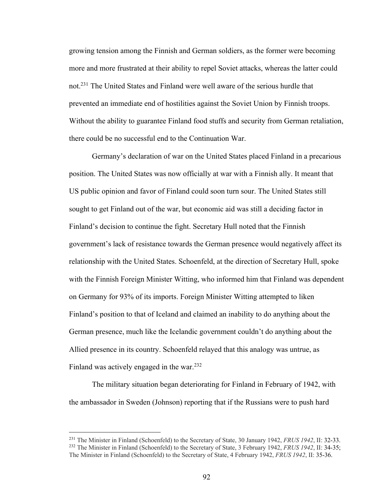growing tension among the Finnish and German soldiers, as the former were becoming more and more frustrated at their ability to repel Soviet attacks, whereas the latter could not.231 The United States and Finland were well aware of the serious hurdle that prevented an immediate end of hostilities against the Soviet Union by Finnish troops. Without the ability to guarantee Finland food stuffs and security from German retaliation, there could be no successful end to the Continuation War.

Germany's declaration of war on the United States placed Finland in a precarious position. The United States was now officially at war with a Finnish ally. It meant that US public opinion and favor of Finland could soon turn sour. The United States still sought to get Finland out of the war, but economic aid was still a deciding factor in Finland's decision to continue the fight. Secretary Hull noted that the Finnish government's lack of resistance towards the German presence would negatively affect its relationship with the United States. Schoenfeld, at the direction of Secretary Hull, spoke with the Finnish Foreign Minister Witting, who informed him that Finland was dependent on Germany for 93% of its imports. Foreign Minister Witting attempted to liken Finland's position to that of Iceland and claimed an inability to do anything about the German presence, much like the Icelandic government couldn't do anything about the Allied presence in its country. Schoenfeld relayed that this analogy was untrue, as Finland was actively engaged in the war.<sup>232</sup>

The military situation began deteriorating for Finland in February of 1942, with the ambassador in Sweden (Johnson) reporting that if the Russians were to push hard

<sup>231</sup> The Minister in Finland (Schoenfeld) to the Secretary of State, 30 January 1942, *FRUS 1942*, II: 32-33. <sup>232</sup> The Minister in Finland (Schoenfeld) to the Secretary of State, 3 February 1942, *FRUS 1942*, II: 34-35; The Minister in Finland (Schoenfeld) to the Secretary of State, 4 February 1942, *FRUS 1942*, II: 35-36.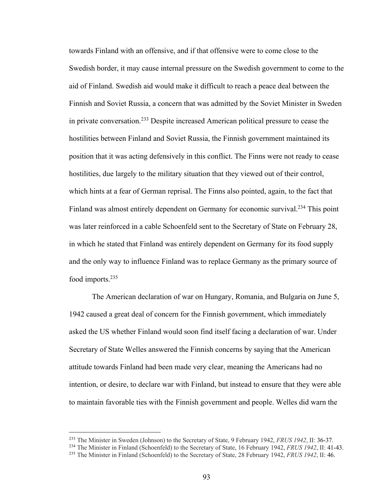towards Finland with an offensive, and if that offensive were to come close to the Swedish border, it may cause internal pressure on the Swedish government to come to the aid of Finland. Swedish aid would make it difficult to reach a peace deal between the Finnish and Soviet Russia, a concern that was admitted by the Soviet Minister in Sweden in private conversation.233 Despite increased American political pressure to cease the hostilities between Finland and Soviet Russia, the Finnish government maintained its position that it was acting defensively in this conflict. The Finns were not ready to cease hostilities, due largely to the military situation that they viewed out of their control, which hints at a fear of German reprisal. The Finns also pointed, again, to the fact that Finland was almost entirely dependent on Germany for economic survival.<sup>234</sup> This point was later reinforced in a cable Schoenfeld sent to the Secretary of State on February 28, in which he stated that Finland was entirely dependent on Germany for its food supply and the only way to influence Finland was to replace Germany as the primary source of food imports.235

The American declaration of war on Hungary, Romania, and Bulgaria on June 5, 1942 caused a great deal of concern for the Finnish government, which immediately asked the US whether Finland would soon find itself facing a declaration of war. Under Secretary of State Welles answered the Finnish concerns by saying that the American attitude towards Finland had been made very clear, meaning the Americans had no intention, or desire, to declare war with Finland, but instead to ensure that they were able to maintain favorable ties with the Finnish government and people. Welles did warn the

<sup>233</sup> The Minister in Sweden (Johnson) to the Secretary of State, 9 February 1942, *FRUS 1942*, II: 36-37.

<sup>234</sup> The Minister in Finland (Schoenfeld) to the Secretary of State, 16 February 1942, *FRUS 1942*, II: 41-43.

<sup>235</sup> The Minister in Finland (Schoenfeld) to the Secretary of State, 28 February 1942, *FRUS 1942*, II: 46.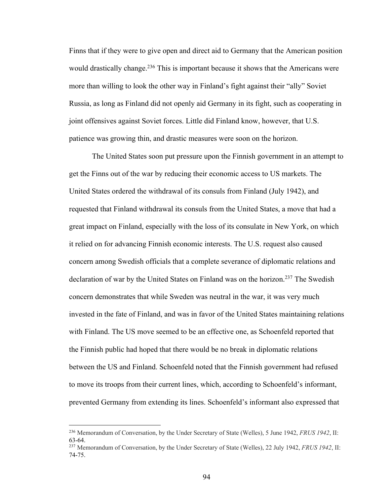Finns that if they were to give open and direct aid to Germany that the American position would drastically change.<sup>236</sup> This is important because it shows that the Americans were more than willing to look the other way in Finland's fight against their "ally" Soviet Russia, as long as Finland did not openly aid Germany in its fight, such as cooperating in joint offensives against Soviet forces. Little did Finland know, however, that U.S. patience was growing thin, and drastic measures were soon on the horizon.

The United States soon put pressure upon the Finnish government in an attempt to get the Finns out of the war by reducing their economic access to US markets. The United States ordered the withdrawal of its consuls from Finland (July 1942), and requested that Finland withdrawal its consuls from the United States, a move that had a great impact on Finland, especially with the loss of its consulate in New York, on which it relied on for advancing Finnish economic interests. The U.S. request also caused concern among Swedish officials that a complete severance of diplomatic relations and declaration of war by the United States on Finland was on the horizon.<sup>237</sup> The Swedish concern demonstrates that while Sweden was neutral in the war, it was very much invested in the fate of Finland, and was in favor of the United States maintaining relations with Finland. The US move seemed to be an effective one, as Schoenfeld reported that the Finnish public had hoped that there would be no break in diplomatic relations between the US and Finland. Schoenfeld noted that the Finnish government had refused to move its troops from their current lines, which, according to Schoenfeld's informant, prevented Germany from extending its lines. Schoenfeld's informant also expressed that

<sup>236</sup> Memorandum of Conversation, by the Under Secretary of State (Welles), 5 June 1942, *FRUS 1942*, II: 63-64.

<sup>237</sup> Memorandum of Conversation, by the Under Secretary of State (Welles), 22 July 1942, *FRUS 1942*, II: 74-75.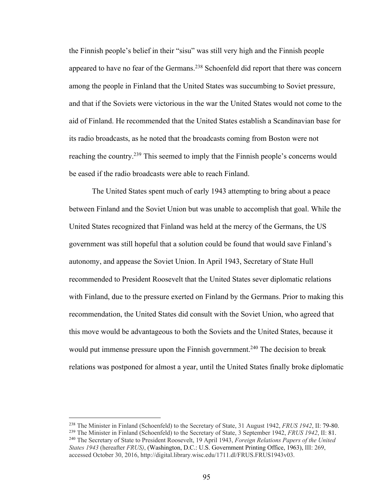the Finnish people's belief in their "sisu" was still very high and the Finnish people appeared to have no fear of the Germans.<sup>238</sup> Schoenfeld did report that there was concern among the people in Finland that the United States was succumbing to Soviet pressure, and that if the Soviets were victorious in the war the United States would not come to the aid of Finland. He recommended that the United States establish a Scandinavian base for its radio broadcasts, as he noted that the broadcasts coming from Boston were not reaching the country.<sup>239</sup> This seemed to imply that the Finnish people's concerns would be eased if the radio broadcasts were able to reach Finland.

The United States spent much of early 1943 attempting to bring about a peace between Finland and the Soviet Union but was unable to accomplish that goal. While the United States recognized that Finland was held at the mercy of the Germans, the US government was still hopeful that a solution could be found that would save Finland's autonomy, and appease the Soviet Union. In April 1943, Secretary of State Hull recommended to President Roosevelt that the United States sever diplomatic relations with Finland, due to the pressure exerted on Finland by the Germans. Prior to making this recommendation, the United States did consult with the Soviet Union, who agreed that this move would be advantageous to both the Soviets and the United States, because it would put immense pressure upon the Finnish government.<sup>240</sup> The decision to break relations was postponed for almost a year, until the United States finally broke diplomatic

<sup>238</sup> The Minister in Finland (Schoenfeld) to the Secretary of State, 31 August 1942, *FRUS 1942*, II: 79-80.

<sup>239</sup> The Minister in Finland (Schoenfeld) to the Secretary of State, 3 September 1942, *FRUS 1942*, II: 81.

<sup>240</sup> The Secretary of State to President Roosevelt, 19 April 1943, *Foreign Relations Papers of the United States 1943* (hereafter *FRUS)*, (Washington, D.C.: U.S. Government Printing Office, 1963), III: 269, accessed October 30, 2016, http://digital.library.wisc.edu/1711.dl/FRUS.FRUS1943v03.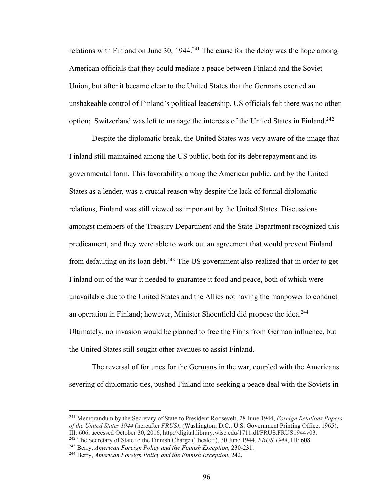relations with Finland on June 30,  $1944.<sup>241</sup>$  The cause for the delay was the hope among American officials that they could mediate a peace between Finland and the Soviet Union, but after it became clear to the United States that the Germans exerted an unshakeable control of Finland's political leadership, US officials felt there was no other option; Switzerland was left to manage the interests of the United States in Finland.<sup>242</sup>

Despite the diplomatic break, the United States was very aware of the image that Finland still maintained among the US public, both for its debt repayment and its governmental form. This favorability among the American public, and by the United States as a lender, was a crucial reason why despite the lack of formal diplomatic relations, Finland was still viewed as important by the United States. Discussions amongst members of the Treasury Department and the State Department recognized this predicament, and they were able to work out an agreement that would prevent Finland from defaulting on its loan debt.<sup>243</sup> The US government also realized that in order to get Finland out of the war it needed to guarantee it food and peace, both of which were unavailable due to the United States and the Allies not having the manpower to conduct an operation in Finland; however, Minister Shoenfield did propose the idea.<sup>244</sup> Ultimately, no invasion would be planned to free the Finns from German influence, but the United States still sought other avenues to assist Finland.

The reversal of fortunes for the Germans in the war, coupled with the Americans severing of diplomatic ties, pushed Finland into seeking a peace deal with the Soviets in

<sup>241</sup> Memorandum by the Secretary of State to President Roosevelt, 28 June 1944, *Foreign Relations Papers of the United States 1944* (hereafter *FRUS)*, (Washington, D.C.: U.S. Government Printing Office, 1965), III: 606, accessed October 30, 2016, http://digital.library.wisc.edu/1711.dl/FRUS.FRUS1944v03.

<sup>242</sup> The Secretary of State to the Finnish Chargé (Thesleff), 30 June 1944, *FRUS 1944*, III: 608.

<sup>243</sup> Berry, *American Foreign Policy and the Finnish Exception*, 230-231. 244 Berry, *American Foreign Policy and the Finnish Exception*, 242.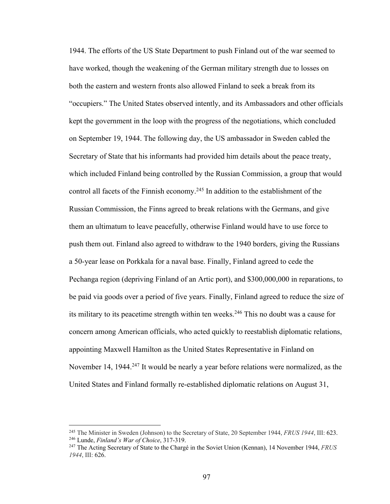1944. The efforts of the US State Department to push Finland out of the war seemed to have worked, though the weakening of the German military strength due to losses on both the eastern and western fronts also allowed Finland to seek a break from its "occupiers." The United States observed intently, and its Ambassadors and other officials kept the government in the loop with the progress of the negotiations, which concluded on September 19, 1944. The following day, the US ambassador in Sweden cabled the Secretary of State that his informants had provided him details about the peace treaty, which included Finland being controlled by the Russian Commission, a group that would control all facets of the Finnish economy.<sup>245</sup> In addition to the establishment of the Russian Commission, the Finns agreed to break relations with the Germans, and give them an ultimatum to leave peacefully, otherwise Finland would have to use force to push them out. Finland also agreed to withdraw to the 1940 borders, giving the Russians a 50-year lease on Porkkala for a naval base. Finally, Finland agreed to cede the Pechanga region (depriving Finland of an Artic port), and \$300,000,000 in reparations, to be paid via goods over a period of five years. Finally, Finland agreed to reduce the size of its military to its peacetime strength within ten weeks.<sup>246</sup> This no doubt was a cause for concern among American officials, who acted quickly to reestablish diplomatic relations, appointing Maxwell Hamilton as the United States Representative in Finland on November 14, 1944.<sup>247</sup> It would be nearly a year before relations were normalized, as the United States and Finland formally re-established diplomatic relations on August 31,

<sup>245</sup> The Minister in Sweden (Johnson) to the Secretary of State, 20 September 1944, *FRUS 1944*, III: 623. <sup>246</sup> Lunde, *Finland's War of Choice*, 317-319.

<sup>247</sup> The Acting Secretary of State to the Chargé in the Soviet Union (Kennan), 14 November 1944, *FRUS 1944*, III: 626.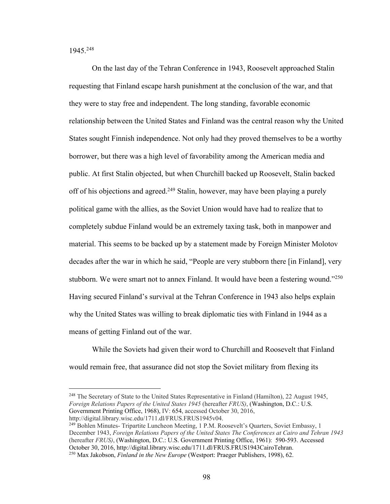1945.248

On the last day of the Tehran Conference in 1943, Roosevelt approached Stalin requesting that Finland escape harsh punishment at the conclusion of the war, and that they were to stay free and independent. The long standing, favorable economic relationship between the United States and Finland was the central reason why the United States sought Finnish independence. Not only had they proved themselves to be a worthy borrower, but there was a high level of favorability among the American media and public. At first Stalin objected, but when Churchill backed up Roosevelt, Stalin backed off of his objections and agreed.<sup>249</sup> Stalin, however, may have been playing a purely political game with the allies, as the Soviet Union would have had to realize that to completely subdue Finland would be an extremely taxing task, both in manpower and material. This seems to be backed up by a statement made by Foreign Minister Molotov decades after the war in which he said, "People are very stubborn there [in Finland], very stubborn. We were smart not to annex Finland. It would have been a festering wound."<sup>250</sup> Having secured Finland's survival at the Tehran Conference in 1943 also helps explain why the United States was willing to break diplomatic ties with Finland in 1944 as a means of getting Finland out of the war.

While the Soviets had given their word to Churchill and Roosevelt that Finland would remain free, that assurance did not stop the Soviet military from flexing its

<sup>248</sup> The Secretary of State to the United States Representative in Finland (Hamilton), 22 August 1945, *Foreign Relations Papers of the United States 1945* (hereafter *FRUS)*, (Washington, D.C.: U.S. Government Printing Office, 1968), IV: 654, accessed October 30, 2016,

http://digital.library.wisc.edu/1711.dl/FRUS.FRUS1945v04.

<sup>249</sup> Bohlen Minutes- Tripartite Luncheon Meeting, 1 P.M. Roosevelt's Quarters, Soviet Embassy, 1 December 1943, *Foreign Relations Papers of the United States The Conferences at Cairo and Tehran 1943*  (hereafter *FRUS)*, (Washington, D.C.: U.S. Government Printing Office, 1961): 590-593. Accessed October 30, 2016, http://digital.library.wisc.edu/1711.dl/FRUS.FRUS1943CairoTehran.

<sup>250</sup> Max Jakobson, *Finland in the New Europe* (Westport: Praeger Publishers, 1998), 62.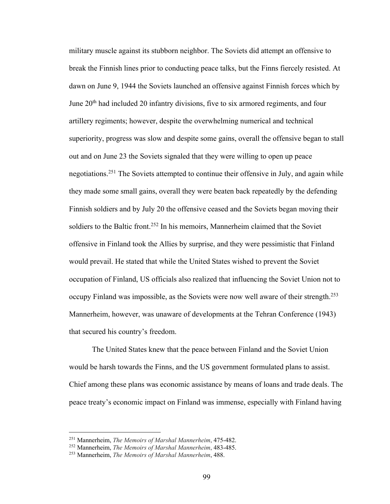military muscle against its stubborn neighbor. The Soviets did attempt an offensive to break the Finnish lines prior to conducting peace talks, but the Finns fiercely resisted. At dawn on June 9, 1944 the Soviets launched an offensive against Finnish forces which by June 20<sup>th</sup> had included 20 infantry divisions, five to six armored regiments, and four artillery regiments; however, despite the overwhelming numerical and technical superiority, progress was slow and despite some gains, overall the offensive began to stall out and on June 23 the Soviets signaled that they were willing to open up peace negotiations.<sup>251</sup> The Soviets attempted to continue their offensive in July, and again while they made some small gains, overall they were beaten back repeatedly by the defending Finnish soldiers and by July 20 the offensive ceased and the Soviets began moving their soldiers to the Baltic front.<sup>252</sup> In his memoirs, Mannerheim claimed that the Soviet offensive in Finland took the Allies by surprise, and they were pessimistic that Finland would prevail. He stated that while the United States wished to prevent the Soviet occupation of Finland, US officials also realized that influencing the Soviet Union not to occupy Finland was impossible, as the Soviets were now well aware of their strength.<sup>253</sup> Mannerheim, however, was unaware of developments at the Tehran Conference (1943) that secured his country's freedom.

The United States knew that the peace between Finland and the Soviet Union would be harsh towards the Finns, and the US government formulated plans to assist. Chief among these plans was economic assistance by means of loans and trade deals. The peace treaty's economic impact on Finland was immense, especially with Finland having

<sup>251</sup> Mannerheim, *The Memoirs of Marshal Mannerheim*, 475-482.

<sup>252</sup> Mannerheim, *The Memoirs of Marshal Mannerheim*, 483-485.

<sup>253</sup> Mannerheim, *The Memoirs of Marshal Mannerheim*, 488.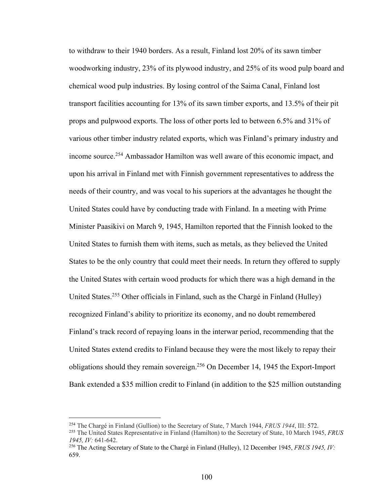to withdraw to their 1940 borders. As a result, Finland lost 20% of its sawn timber woodworking industry, 23% of its plywood industry, and 25% of its wood pulp board and chemical wood pulp industries. By losing control of the Saima Canal, Finland lost transport facilities accounting for 13% of its sawn timber exports, and 13.5% of their pit props and pulpwood exports. The loss of other ports led to between 6.5% and 31% of various other timber industry related exports, which was Finland's primary industry and income source.254 Ambassador Hamilton was well aware of this economic impact, and upon his arrival in Finland met with Finnish government representatives to address the needs of their country, and was vocal to his superiors at the advantages he thought the United States could have by conducting trade with Finland. In a meeting with Prime Minister Paasikivi on March 9, 1945, Hamilton reported that the Finnish looked to the United States to furnish them with items, such as metals, as they believed the United States to be the only country that could meet their needs. In return they offered to supply the United States with certain wood products for which there was a high demand in the United States.255 Other officials in Finland, such as the Chargé in Finland (Hulley) recognized Finland's ability to prioritize its economy, and no doubt remembered Finland's track record of repaying loans in the interwar period, recommending that the United States extend credits to Finland because they were the most likely to repay their obligations should they remain sovereign.256 On December 14, 1945 the Export-Import Bank extended a \$35 million credit to Finland (in addition to the \$25 million outstanding

<sup>254</sup> The Chargé in Finland (Gullion) to the Secretary of State, 7 March 1944, *FRUS 1944*, III: 572.

<sup>255</sup> The United States Representative in Finland (Hamilton) to the Secretary of State, 10 March 1945, *FRUS 1945, IV:* 641-642.

<sup>256</sup> The Acting Secretary of State to the Chargé in Finland (Hulley), 12 December 1945, *FRUS 1945, IV:*  659.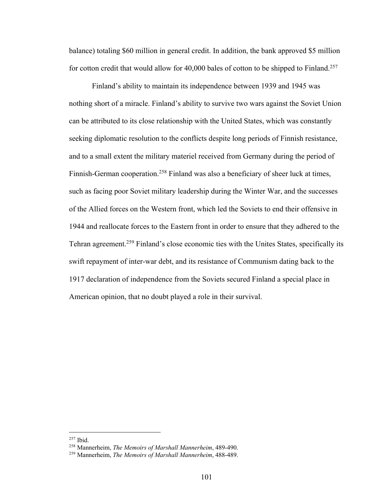balance) totaling \$60 million in general credit. In addition, the bank approved \$5 million for cotton credit that would allow for 40,000 bales of cotton to be shipped to Finland.<sup>257</sup>

Finland's ability to maintain its independence between 1939 and 1945 was nothing short of a miracle. Finland's ability to survive two wars against the Soviet Union can be attributed to its close relationship with the United States, which was constantly seeking diplomatic resolution to the conflicts despite long periods of Finnish resistance, and to a small extent the military materiel received from Germany during the period of Finnish-German cooperation.<sup>258</sup> Finland was also a beneficiary of sheer luck at times, such as facing poor Soviet military leadership during the Winter War, and the successes of the Allied forces on the Western front, which led the Soviets to end their offensive in 1944 and reallocate forces to the Eastern front in order to ensure that they adhered to the Tehran agreement.259 Finland's close economic ties with the Unites States, specifically its swift repayment of inter-war debt, and its resistance of Communism dating back to the 1917 declaration of independence from the Soviets secured Finland a special place in American opinion, that no doubt played a role in their survival.

<sup>257</sup> Ibid.

<sup>258</sup> Mannerheim, *The Memoirs of Marshall Mannerheim*, 489-490.

<sup>259</sup> Mannerheim, *The Memoirs of Marshall Mannerheim*, 488-489.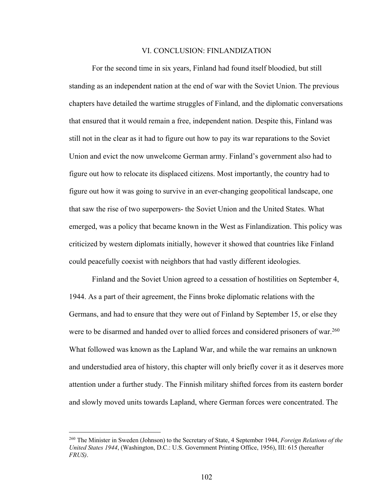## VI. CONCLUSION: FINLANDIZATION

For the second time in six years, Finland had found itself bloodied, but still standing as an independent nation at the end of war with the Soviet Union. The previous chapters have detailed the wartime struggles of Finland, and the diplomatic conversations that ensured that it would remain a free, independent nation. Despite this, Finland was still not in the clear as it had to figure out how to pay its war reparations to the Soviet Union and evict the now unwelcome German army. Finland's government also had to figure out how to relocate its displaced citizens. Most importantly, the country had to figure out how it was going to survive in an ever-changing geopolitical landscape, one that saw the rise of two superpowers- the Soviet Union and the United States. What emerged, was a policy that became known in the West as Finlandization. This policy was criticized by western diplomats initially, however it showed that countries like Finland could peacefully coexist with neighbors that had vastly different ideologies.

Finland and the Soviet Union agreed to a cessation of hostilities on September 4, 1944. As a part of their agreement, the Finns broke diplomatic relations with the Germans, and had to ensure that they were out of Finland by September 15, or else they were to be disarmed and handed over to allied forces and considered prisoners of war.<sup>260</sup> What followed was known as the Lapland War, and while the war remains an unknown and understudied area of history, this chapter will only briefly cover it as it deserves more attention under a further study. The Finnish military shifted forces from its eastern border and slowly moved units towards Lapland, where German forces were concentrated. The

<sup>260</sup> The Minister in Sweden (Johnson) to the Secretary of State, 4 September 1944, *Foreign Relations of the United States 1944*, (Washington, D.C.: U.S. Government Printing Office, 1956), III: 615 (hereafter *FRUS)*.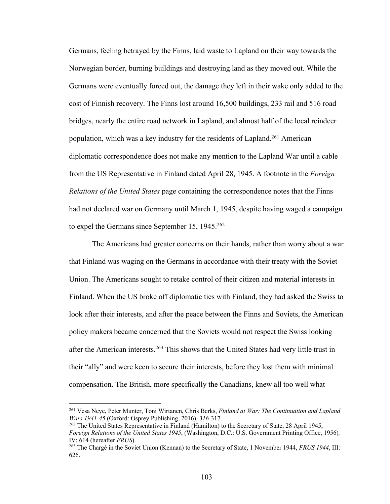Germans, feeling betrayed by the Finns, laid waste to Lapland on their way towards the Norwegian border, burning buildings and destroying land as they moved out. While the Germans were eventually forced out, the damage they left in their wake only added to the cost of Finnish recovery. The Finns lost around 16,500 buildings, 233 rail and 516 road bridges, nearly the entire road network in Lapland, and almost half of the local reindeer population, which was a key industry for the residents of Lapland.<sup>261</sup> American diplomatic correspondence does not make any mention to the Lapland War until a cable from the US Representative in Finland dated April 28, 1945. A footnote in the *Foreign Relations of the United States* page containing the correspondence notes that the Finns had not declared war on Germany until March 1, 1945, despite having waged a campaign to expel the Germans since September 15,  $1945.^{262}$ 

The Americans had greater concerns on their hands, rather than worry about a war that Finland was waging on the Germans in accordance with their treaty with the Soviet Union. The Americans sought to retake control of their citizen and material interests in Finland. When the US broke off diplomatic ties with Finland, they had asked the Swiss to look after their interests, and after the peace between the Finns and Soviets, the American policy makers became concerned that the Soviets would not respect the Swiss looking after the American interests.<sup>263</sup> This shows that the United States had very little trust in their "ally" and were keen to secure their interests, before they lost them with minimal compensation. The British, more specifically the Canadians, knew all too well what

<sup>261</sup> Vesa Neye, Peter Munter, Toni Wirtanen, Chris Berks, *Finland at War: The Continuation and Lapland Wars 1941-45* (Oxford: Osprey Publishing, 2016), *316*-317.

<sup>&</sup>lt;sup>262</sup> The United States Representative in Finland (Hamilton) to the Secretary of State, 28 April 1945, *Foreign Relations of the United States 1945*, (Washington, D.C.: U.S. Government Printing Office, 1956)*,*  IV: 614 (hereafter *FRUS*).

<sup>263</sup> The Chargé in the Soviet Union (Kennan) to the Secretary of State, 1 November 1944, *FRUS 1944*, III: 626.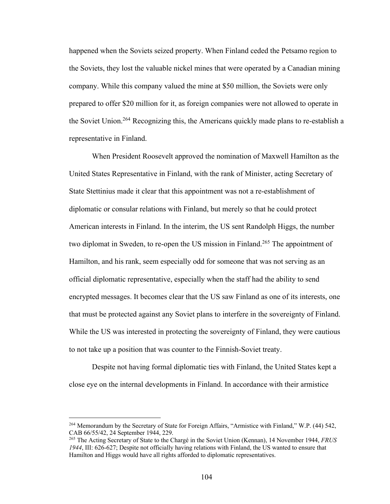happened when the Soviets seized property. When Finland ceded the Petsamo region to the Soviets, they lost the valuable nickel mines that were operated by a Canadian mining company. While this company valued the mine at \$50 million, the Soviets were only prepared to offer \$20 million for it, as foreign companies were not allowed to operate in the Soviet Union.264 Recognizing this, the Americans quickly made plans to re-establish a representative in Finland.

When President Roosevelt approved the nomination of Maxwell Hamilton as the United States Representative in Finland, with the rank of Minister, acting Secretary of State Stettinius made it clear that this appointment was not a re-establishment of diplomatic or consular relations with Finland, but merely so that he could protect American interests in Finland. In the interim, the US sent Randolph Higgs, the number two diplomat in Sweden, to re-open the US mission in Finland.<sup>265</sup> The appointment of Hamilton, and his rank, seem especially odd for someone that was not serving as an official diplomatic representative, especially when the staff had the ability to send encrypted messages. It becomes clear that the US saw Finland as one of its interests, one that must be protected against any Soviet plans to interfere in the sovereignty of Finland. While the US was interested in protecting the sovereignty of Finland, they were cautious to not take up a position that was counter to the Finnish-Soviet treaty.

Despite not having formal diplomatic ties with Finland, the United States kept a close eye on the internal developments in Finland. In accordance with their armistice

<sup>264</sup> Memorandum by the Secretary of State for Foreign Affairs, "Armistice with Finland," W.P. (44) 542, CAB 66/55/42, 24 September 1944, 229.

<sup>265</sup> The Acting Secretary of State to the Chargé in the Soviet Union (Kennan), 14 November 1944, *FRUS 1944*, III: 626-627; Despite not officially having relations with Finland, the US wanted to ensure that Hamilton and Higgs would have all rights afforded to diplomatic representatives.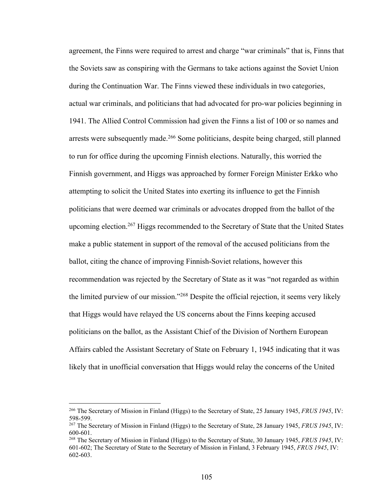agreement, the Finns were required to arrest and charge "war criminals" that is, Finns that the Soviets saw as conspiring with the Germans to take actions against the Soviet Union during the Continuation War. The Finns viewed these individuals in two categories, actual war criminals, and politicians that had advocated for pro-war policies beginning in 1941. The Allied Control Commission had given the Finns a list of 100 or so names and arrests were subsequently made.<sup>266</sup> Some politicians, despite being charged, still planned to run for office during the upcoming Finnish elections. Naturally, this worried the Finnish government, and Higgs was approached by former Foreign Minister Erkko who attempting to solicit the United States into exerting its influence to get the Finnish politicians that were deemed war criminals or advocates dropped from the ballot of the upcoming election.<sup>267</sup> Higgs recommended to the Secretary of State that the United States make a public statement in support of the removal of the accused politicians from the ballot, citing the chance of improving Finnish-Soviet relations, however this recommendation was rejected by the Secretary of State as it was "not regarded as within the limited purview of our mission."268 Despite the official rejection, it seems very likely that Higgs would have relayed the US concerns about the Finns keeping accused politicians on the ballot, as the Assistant Chief of the Division of Northern European Affairs cabled the Assistant Secretary of State on February 1, 1945 indicating that it was likely that in unofficial conversation that Higgs would relay the concerns of the United

<sup>266</sup> The Secretary of Mission in Finland (Higgs) to the Secretary of State, 25 January 1945, *FRUS 1945*, IV: 598-599.

<sup>267</sup> The Secretary of Mission in Finland (Higgs) to the Secretary of State, 28 January 1945, *FRUS 1945*, IV: 600-601.

<sup>268</sup> The Secretary of Mission in Finland (Higgs) to the Secretary of State, 30 January 1945, *FRUS 1945*, IV: 601-602; The Secretary of State to the Secretary of Mission in Finland, 3 February 1945, *FRUS 1945*, IV: 602-603.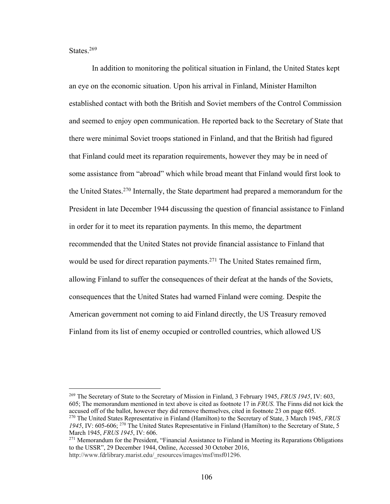States.<sup>269</sup>

In addition to monitoring the political situation in Finland, the United States kept an eye on the economic situation. Upon his arrival in Finland, Minister Hamilton established contact with both the British and Soviet members of the Control Commission and seemed to enjoy open communication. He reported back to the Secretary of State that there were minimal Soviet troops stationed in Finland, and that the British had figured that Finland could meet its reparation requirements, however they may be in need of some assistance from "abroad" which while broad meant that Finland would first look to the United States.270 Internally, the State department had prepared a memorandum for the President in late December 1944 discussing the question of financial assistance to Finland in order for it to meet its reparation payments. In this memo, the department recommended that the United States not provide financial assistance to Finland that would be used for direct reparation payments.<sup>271</sup> The United States remained firm, allowing Finland to suffer the consequences of their defeat at the hands of the Soviets, consequences that the United States had warned Finland were coming. Despite the American government not coming to aid Finland directly, the US Treasury removed Finland from its list of enemy occupied or controlled countries, which allowed US

<sup>269</sup> The Secretary of State to the Secretary of Mission in Finland, 3 February 1945, *FRUS 1945*, IV: 603, 605; The memorandum mentioned in text above is cited as footnote 17 in *FRUS*. The Finns did not kick the accused off of the ballot, however they did remove themselves, cited in footnote 23 on page 605. <sup>270</sup> The United States Representative in Finland (Hamilton) to the Secretary of State, 3 March 1945, *FRUS* 

<sup>1945,</sup> IV: 605-606; <sup>270</sup> The United States Representative in Finland (Hamilton) to the Secretary of State, 5 March 1945, *FRUS 1945*, IV: 606.

<sup>&</sup>lt;sup>271</sup> Memorandum for the President, "Financial Assistance to Finland in Meeting its Reparations Obligations to the USSR", 29 December 1944, Online, Accessed 30 October 2016, http://www.fdrlibrary.marist.edu/\_resources/images/msf/msf01296.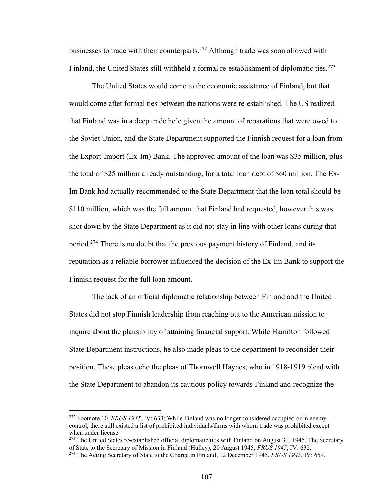businesses to trade with their counterparts.272 Although trade was soon allowed with Finland, the United States still withheld a formal re-establishment of diplomatic ties.<sup>273</sup>

The United States would come to the economic assistance of Finland, but that would come after formal ties between the nations were re-established. The US realized that Finland was in a deep trade hole given the amount of reparations that were owed to the Soviet Union, and the State Department supported the Finnish request for a loan from the Export-Import (Ex-Im) Bank. The approved amount of the loan was \$35 million, plus the total of \$25 million already outstanding, for a total loan debt of \$60 million. The Ex-Im Bank had actually recommended to the State Department that the loan total should be \$110 million, which was the full amount that Finland had requested, however this was shot down by the State Department as it did not stay in line with other loans during that period.274 There is no doubt that the previous payment history of Finland, and its reputation as a reliable borrower influenced the decision of the Ex-Im Bank to support the Finnish request for the full loan amount.

The lack of an official diplomatic relationship between Finland and the United States did not stop Finnish leadership from reaching out to the American mission to inquire about the plausibility of attaining financial support. While Hamilton followed State Department instructions, he also made pleas to the department to reconsider their position. These pleas echo the pleas of Thornwell Haynes, who in 1918-1919 plead with the State Department to abandon its cautious policy towards Finland and recognize the

<sup>272</sup> Footnote 10, *FRUS 1945*, IV: 633; While Finland was no longer considered occupied or in enemy control, there still existed a list of prohibited individuals/firms with whom trade was prohibited except when under license.

<sup>&</sup>lt;sup>273</sup> The United States re-established official diplomatic ties with Finland on August 31, 1945. The Secretary of State to the Secretary of Mission in Finland (Hulley), 20 August 1945, *FRUS 1945*, IV: 632.

<sup>274</sup> The Acting Secretary of State to the Chargé in Finland, 12 December 1945, *FRUS 1945*, IV: 659.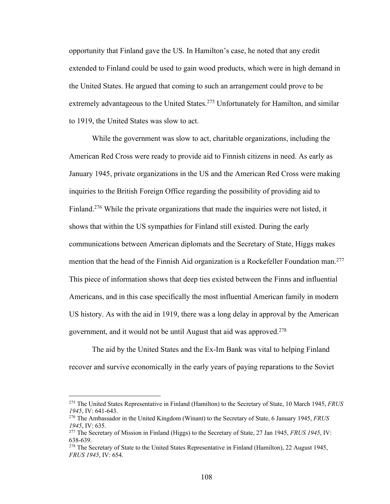opportunity that Finland gave the US. In Hamilton's case, he noted that any credit extended to Finland could be used to gain wood products, which were in high demand in the United States. He argued that coming to such an arrangement could prove to be extremely advantageous to the United States.<sup>275</sup> Unfortunately for Hamilton, and similar to 1919, the United States was slow to act.

While the government was slow to act, charitable organizations, including the American Red Cross were ready to provide aid to Finnish citizens in need. As early as January 1945, private organizations in the US and the American Red Cross were making inquiries to the British Foreign Office regarding the possibility of providing aid to Finland.<sup>276</sup> While the private organizations that made the inquiries were not listed, it shows that within the US sympathies for Finland still existed. During the early communications between American diplomats and the Secretary of State, Higgs makes mention that the head of the Finnish Aid organization is a Rockefeller Foundation man.<sup>277</sup> This piece of information shows that deep ties existed between the Finns and influential Americans, and in this case specifically the most influential American family in modern US history. As with the aid in 1919, there was a long delay in approval by the American government, and it would not be until August that aid was approved.278

The aid by the United States and the Ex-Im Bank was vital to helping Finland recover and survive economically in the early years of paying reparations to the Soviet

<sup>275</sup> The United States Representative in Finland (Hamilton) to the Secretary of State, 10 March 1945, *FRUS 1945*, IV: 641-643.

<sup>276</sup> The Ambassador in the United Kingdom (Winant) to the Secretary of State, 6 January 1945, *FRUS 1945*, IV: 635.

<sup>277</sup> The Secretary of Mission in Finland (Higgs) to the Secretary of State, 27 Jan 1945, *FRUS 1945*, IV: 638-639.

<sup>278</sup> The Secretary of State to the United States Representative in Finland (Hamilton), 22 August 1945, *FRUS 1945*, IV: 654.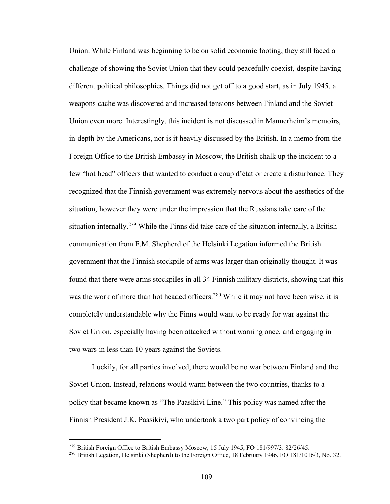Union. While Finland was beginning to be on solid economic footing, they still faced a challenge of showing the Soviet Union that they could peacefully coexist, despite having different political philosophies. Things did not get off to a good start, as in July 1945, a weapons cache was discovered and increased tensions between Finland and the Soviet Union even more. Interestingly, this incident is not discussed in Mannerheim's memoirs, in-depth by the Americans, nor is it heavily discussed by the British. In a memo from the Foreign Office to the British Embassy in Moscow, the British chalk up the incident to a few "hot head" officers that wanted to conduct a coup d'état or create a disturbance. They recognized that the Finnish government was extremely nervous about the aesthetics of the situation, however they were under the impression that the Russians take care of the situation internally.<sup>279</sup> While the Finns did take care of the situation internally, a British communication from F.M. Shepherd of the Helsinki Legation informed the British government that the Finnish stockpile of arms was larger than originally thought. It was found that there were arms stockpiles in all 34 Finnish military districts, showing that this was the work of more than hot headed officers.<sup>280</sup> While it may not have been wise, it is completely understandable why the Finns would want to be ready for war against the Soviet Union, especially having been attacked without warning once, and engaging in two wars in less than 10 years against the Soviets.

Luckily, for all parties involved, there would be no war between Finland and the Soviet Union. Instead, relations would warm between the two countries, thanks to a policy that became known as "The Paasikivi Line." This policy was named after the Finnish President J.K. Paasikivi, who undertook a two part policy of convincing the

<sup>&</sup>lt;sup>279</sup> British Foreign Office to British Embassy Moscow, 15 July 1945, FO 181/997/3: 82/26/45.

<sup>&</sup>lt;sup>280</sup> British Legation, Helsinki (Shepherd) to the Foreign Office, 18 February 1946, FO 181/1016/3, No. 32.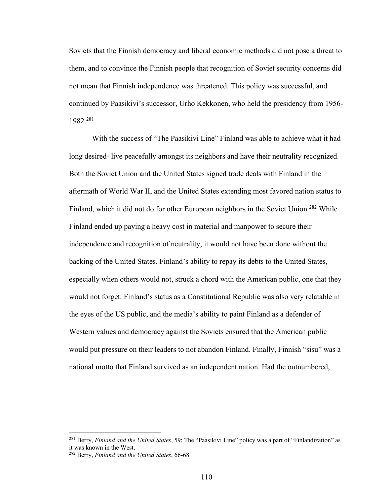Soviets that the Finnish democracy and liberal economic methods did not pose a threat to them, and to convince the Finnish people that recognition of Soviet security concerns did not mean that Finnish independence was threatened. This policy was successful, and continued by Paasikivi's successor, Urho Kekkonen, who held the presidency from 1956- 1982.281

With the success of "The Paasikivi Line" Finland was able to achieve what it had long desired- live peacefully amongst its neighbors and have their neutrality recognized. Both the Soviet Union and the United States signed trade deals with Finland in the aftermath of World War II, and the United States extending most favored nation status to Finland, which it did not do for other European neighbors in the Soviet Union.<sup>282</sup> While Finland ended up paying a heavy cost in material and manpower to secure their independence and recognition of neutrality, it would not have been done without the backing of the United States. Finland's ability to repay its debts to the United States, especially when others would not, struck a chord with the American public, one that they would not forget. Finland's status as a Constitutional Republic was also very relatable in the eyes of the US public, and the media's ability to paint Finland as a defender of Western values and democracy against the Soviets ensured that the American public would put pressure on their leaders to not abandon Finland. Finally, Finnish "sisu" was a national motto that Finland survived as an independent nation. Had the outnumbered,

<sup>281</sup> Berry, *Finland and the United States*, 59; The "Paasikivi Line" policy was a part of "Finlandization" as it was known in the West.

<sup>282</sup> Berry, *Finland and the United States*, 66-68.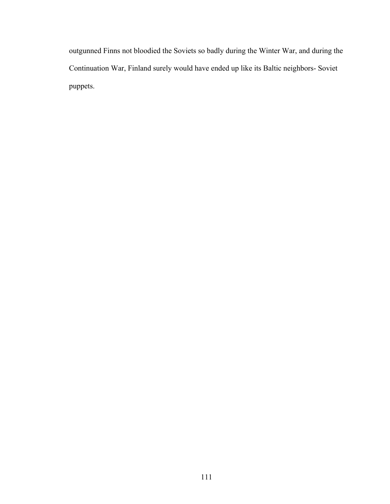outgunned Finns not bloodied the Soviets so badly during the Winter War, and during the Continuation War, Finland surely would have ended up like its Baltic neighbors- Soviet puppets.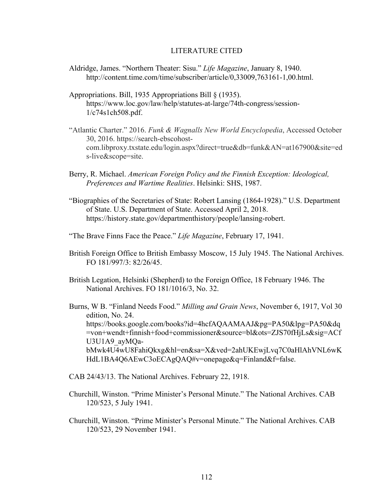## LITERATURE CITED

- Aldridge, James. "Northern Theater: Sisu." *Life Magazine*, January 8, 1940. http://content.time.com/time/subscriber/article/0,33009,763161-1,00.html.
- Appropriations. Bill, 1935 Appropriations Bill § (1935). https://www.loc.gov/law/help/statutes-at-large/74th-congress/session-1/c74s1ch508.pdf.
- "Atlantic Charter." 2016. *Funk & Wagnalls New World Encyclopedia*, Accessed October 30, 2016. https://search-ebscohostcom.libproxy.txstate.edu/login.aspx?direct=true&db=funk&AN=at167900&site=ed s-live&scope=site.
- Berry, R. Michael. *American Foreign Policy and the Finnish Exception: Ideological, Preferences and Wartime Realities*. Helsinki: SHS, 1987.
- "Biographies of the Secretaries of State: Robert Lansing (1864-1928)." U.S. Department of State. U.S. Department of State. Accessed April 2, 2018. https://history.state.gov/departmenthistory/people/lansing-robert.
- "The Brave Finns Face the Peace." *Life Magazine*, February 17, 1941.
- British Foreign Office to British Embassy Moscow, 15 July 1945. The National Archives. FO 181/997/3: 82/26/45.
- British Legation, Helsinki (Shepherd) to the Foreign Office, 18 February 1946. The National Archives. FO 181/1016/3, No. 32.
- Burns, W B. "Finland Needs Food." *Milling and Grain News*, November 6, 1917, Vol 30 edition, No. 24. https://books.google.com/books?id=4hcfAQAAMAAJ&pg=PA50&lpg=PA50&dq =von+wendt+finnish+food+commissioner&source=bl&ots=ZJS70fHjLs&sig=ACf U3U1A9\_ayMQabMwk4U4wU8FahiQkxg&hl=en&sa=X&ved=2ahUKEwjLvq7C0aHlAhVNL6wK HdL1BA4Q6AEwC3oECAgQAQ#v=onepage&q=Finland&f=false.
- CAB 24/43/13. The National Archives. February 22, 1918.
- Churchill, Winston. "Prime Minister's Personal Minute." The National Archives. CAB 120/523, 5 July 1941.
- Churchill, Winston. "Prime Minister's Personal Minute." The National Archives. CAB 120/523, 29 November 1941.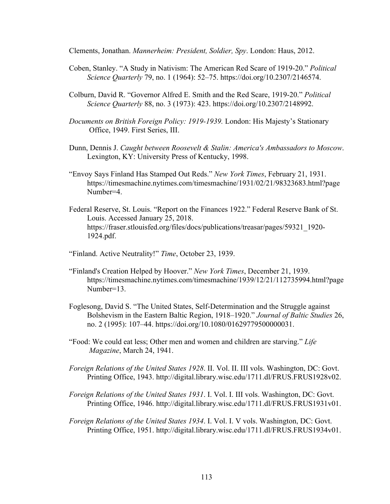Clements, Jonathan. *Mannerheim: President, Soldier, Spy*. London: Haus, 2012.

- Coben, Stanley. "A Study in Nativism: The American Red Scare of 1919-20." *Political Science Quarterly* 79, no. 1 (1964): 52–75. https://doi.org/10.2307/2146574.
- Colburn, David R. "Governor Alfred E. Smith and the Red Scare, 1919-20." *Political Science Quarterly* 88, no. 3 (1973): 423. https://doi.org/10.2307/2148992.
- *Documents on British Foreign Policy: 1919-1939.* London: His Majesty's Stationary Office, 1949. First Series, III.
- Dunn, Dennis J. *Caught between Roosevelt & Stalin: America's Ambassadors to Moscow*. Lexington, KY: University Press of Kentucky, 1998.
- "Envoy Says Finland Has Stamped Out Reds." *New York Times*, February 21, 1931. https://timesmachine.nytimes.com/timesmachine/1931/02/21/98323683.html?page Number=4.
- Federal Reserve, St. Louis. "Report on the Finances 1922." Federal Reserve Bank of St. Louis. Accessed January 25, 2018. https://fraser.stlouisfed.org/files/docs/publications/treasar/pages/59321\_1920- 1924.pdf.

"Finland. Active Neutrality!" *Time*, October 23, 1939.

- "Finland's Creation Helped by Hoover." *New York Times*, December 21, 1939. https://timesmachine.nytimes.com/timesmachine/1939/12/21/112735994.html?page Number=13.
- Foglesong, David S. "The United States, Self-Determination and the Struggle against Bolshevism in the Eastern Baltic Region, 1918–1920." *Journal of Baltic Studies* 26, no. 2 (1995): 107–44. https://doi.org/10.1080/01629779500000031.
- "Food: We could eat less; Other men and women and children are starving." *Life Magazine*, March 24, 1941.
- *Foreign Relations of the United States 1928*. II. Vol. II. III vols. Washington, DC: Govt. Printing Office, 1943. http://digital.library.wisc.edu/1711.dl/FRUS.FRUS1928v02.
- *Foreign Relations of the United States 1931*. I. Vol. I. III vols. Washington, DC: Govt. Printing Office, 1946. http://digital.library.wisc.edu/1711.dl/FRUS.FRUS1931v01.
- *Foreign Relations of the United States 1934. I. Vol. I. V vols. Washington, DC: Govt.* Printing Office, 1951. http://digital.library.wisc.edu/1711.dl/FRUS.FRUS1934v01.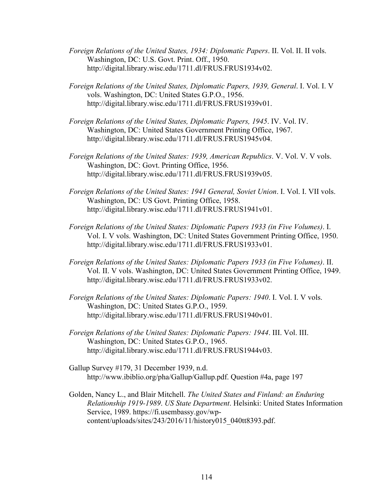- *Foreign Relations of the United States, 1934: Diplomatic Papers*. II. Vol. II. II vols. Washington, DC: U.S. Govt. Print. Off., 1950. http://digital.library.wisc.edu/1711.dl/FRUS.FRUS1934v02.
- *Foreign Relations of the United States, Diplomatic Papers, 1939, General*. I. Vol. I. V vols. Washington, DC: United States G.P.O., 1956. http://digital.library.wisc.edu/1711.dl/FRUS.FRUS1939v01.
- *Foreign Relations of the United States, Diplomatic Papers, 1945*. IV. Vol. IV. Washington, DC: United States Government Printing Office, 1967. http://digital.library.wisc.edu/1711.dl/FRUS.FRUS1945v04.
- *Foreign Relations of the United States: 1939, American Republics. V. Vol. V. V vols.* Washington, DC: Govt. Printing Office, 1956. http://digital.library.wisc.edu/1711.dl/FRUS.FRUS1939v05.
- *Foreign Relations of the United States: 1941 General, Soviet Union*. I. Vol. I. VII vols. Washington, DC: US Govt. Printing Office, 1958. http://digital.library.wisc.edu/1711.dl/FRUS.FRUS1941v01.
- *Foreign Relations of the United States: Diplomatic Papers 1933 (in Five Volumes)*. I. Vol. I. V vols. Washington, DC: United States Government Printing Office, 1950. http://digital.library.wisc.edu/1711.dl/FRUS.FRUS1933v01.
- *Foreign Relations of the United States: Diplomatic Papers 1933 (in Five Volumes)*. II. Vol. II. V vols. Washington, DC: United States Government Printing Office, 1949. http://digital.library.wisc.edu/1711.dl/FRUS.FRUS1933v02.
- *Foreign Relations of the United States: Diplomatic Papers: 1940*. I. Vol. I. V vols. Washington, DC: United States G.P.O., 1959. http://digital.library.wisc.edu/1711.dl/FRUS.FRUS1940v01.
- *Foreign Relations of the United States: Diplomatic Papers: 1944*. III. Vol. III. Washington, DC: United States G.P.O., 1965. http://digital.library.wisc.edu/1711.dl/FRUS.FRUS1944v03.
- Gallup Survey #179, 31 December 1939, n.d. http://www.ibiblio.org/pha/Gallup/Gallup.pdf. Question #4a, page 197
- Golden, Nancy L., and Blair Mitchell. *The United States and Finland: an Enduring Relationship 1919-1989*. *US State Department*. Helsinki: United States Information Service, 1989. https://fi.usembassy.gov/wpcontent/uploads/sites/243/2016/11/history015\_040tt8393.pdf.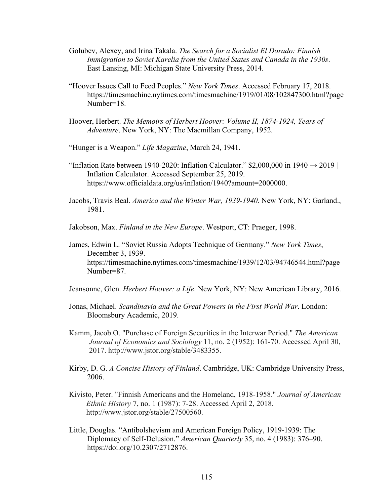- Golubev, Alexey, and Irina Takala. *The Search for a Socialist El Dorado: Finnish Immigration to Soviet Karelia from the United States and Canada in the 1930s*. East Lansing, MI: Michigan State University Press, 2014.
- "Hoover Issues Call to Feed Peoples." *New York Times*. Accessed February 17, 2018. https://timesmachine.nytimes.com/timesmachine/1919/01/08/102847300.html?page Number=18.
- Hoover, Herbert. *The Memoirs of Herbert Hoover: Volume II, 1874-1924, Years of Adventure*. New York, NY: The Macmillan Company, 1952.
- "Hunger is a Weapon." *Life Magazine*, March 24, 1941.
- "Inflation Rate between 1940-2020: Inflation Calculator."  $$2,000,000$  in 1940  $\rightarrow$  2019 | Inflation Calculator. Accessed September 25, 2019. https://www.officialdata.org/us/inflation/1940?amount=2000000.
- Jacobs, Travis Beal. *America and the Winter War, 1939-1940*. New York, NY: Garland., 1981.
- Jakobson, Max. *Finland in the New Europe*. Westport, CT: Praeger, 1998.
- James, Edwin L. "Soviet Russia Adopts Technique of Germany." *New York Times*, December 3, 1939. https://timesmachine.nytimes.com/timesmachine/1939/12/03/94746544.html?page Number=87.
- Jeansonne, Glen. *Herbert Hoover: a Life*. New York, NY: New American Library, 2016.
- Jonas, Michael. *Scandinavia and the Great Powers in the First World War*. London: Bloomsbury Academic, 2019.
- Kamm, Jacob O. "Purchase of Foreign Securities in the Interwar Period." *The American Journal of Economics and Sociology* 11, no. 2 (1952): 161-70. Accessed April 30, 2017. http://www.jstor.org/stable/3483355.
- Kirby, D. G. *A Concise History of Finland*. Cambridge, UK: Cambridge University Press, 2006.
- Kivisto, Peter. "Finnish Americans and the Homeland, 1918-1958." *Journal of American Ethnic History* 7, no. 1 (1987): 7-28. Accessed April 2, 2018. http://www.jstor.org/stable/27500560.
- Little, Douglas. "Antibolshevism and American Foreign Policy, 1919-1939: The Diplomacy of Self-Delusion." *American Quarterly* 35, no. 4 (1983): 376–90. https://doi.org/10.2307/2712876.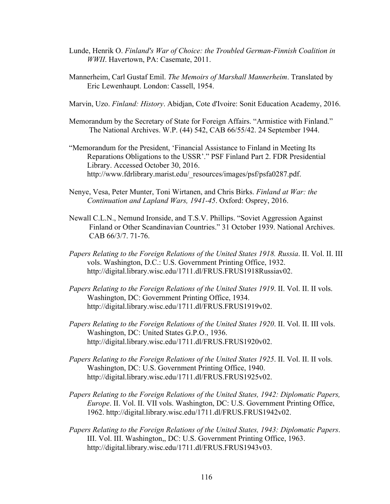- Lunde, Henrik O. *Finland's War of Choice: the Troubled German-Finnish Coalition in WWII*. Havertown, PA: Casemate, 2011.
- Mannerheim, Carl Gustaf Emil. *The Memoirs of Marshall Mannerheim*. Translated by Eric Lewenhaupt. London: Cassell, 1954.
- Marvin, Uzo. *Finland: History*. Abidjan, Cote d'Ivoire: Sonit Education Academy, 2016.
- Memorandum by the Secretary of State for Foreign Affairs. "Armistice with Finland." The National Archives. W.P. (44) 542, CAB 66/55/42. 24 September 1944.
- "Memorandum for the President, 'Financial Assistance to Finland in Meeting Its Reparations Obligations to the USSR'." PSF Finland Part 2. FDR Presidential Library. Accessed October 30, 2016. http://www.fdrlibrary.marist.edu/\_resources/images/psf/psfa0287.pdf.
- Nenye, Vesa, Peter Munter, Toni Wirtanen, and Chris Birks. *Finland at War: the Continuation and Lapland Wars, 1941-45*. Oxford: Osprey, 2016.
- Newall C.L.N., Nemund Ironside, and T.S.V. Phillips. "Soviet Aggression Against Finland or Other Scandinavian Countries." 31 October 1939. National Archives. CAB 66/3/7. 71-76.
- *Papers Relating to the Foreign Relations of the United States 1918. Russia*. II. Vol. II. III vols. Washington, D.C.: U.S. Government Printing Office, 1932. http://digital.library.wisc.edu/1711.dl/FRUS.FRUS1918Russiav02.
- *Papers Relating to the Foreign Relations of the United States 1919*. II. Vol. II. II vols. Washington, DC: Government Printing Office, 1934. http://digital.library.wisc.edu/1711.dl/FRUS.FRUS1919v02.
- *Papers Relating to the Foreign Relations of the United States 1920*. II. Vol. II. III vols. Washington, DC: United States G.P.O., 1936. http://digital.library.wisc.edu/1711.dl/FRUS.FRUS1920v02.
- *Papers Relating to the Foreign Relations of the United States 1925*. II. Vol. II. II vols. Washington, DC: U.S. Government Printing Office, 1940. http://digital.library.wisc.edu/1711.dl/FRUS.FRUS1925v02.
- *Papers Relating to the Foreign Relations of the United States, 1942: Diplomatic Papers, Europe*. II. Vol. II. VII vols. Washington, DC: U.S. Government Printing Office, 1962. http://digital.library.wisc.edu/1711.dl/FRUS.FRUS1942v02.
- *Papers Relating to the Foreign Relations of the United States, 1943: Diplomatic Papers*. III. Vol. III. Washington,, DC: U.S. Government Printing Office, 1963. http://digital.library.wisc.edu/1711.dl/FRUS.FRUS1943v03.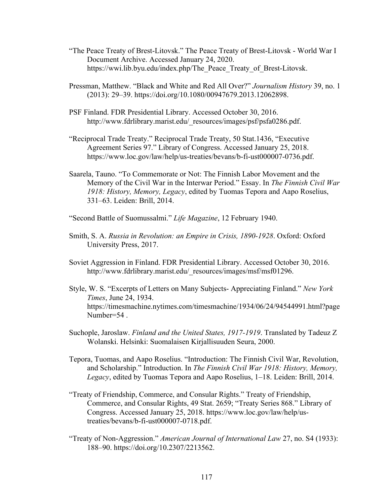- "The Peace Treaty of Brest-Litovsk." The Peace Treaty of Brest-Litovsk World War I Document Archive. Accessed January 24, 2020. https://wwi.lib.byu.edu/index.php/The\_Peace\_Treaty\_of\_Brest-Litovsk.
- Pressman, Matthew. "Black and White and Red All Over?" *Journalism History* 39, no. 1 (2013): 29–39. https://doi.org/10.1080/00947679.2013.12062898.
- PSF Finland. FDR Presidential Library. Accessed October 30, 2016. http://www.fdrlibrary.marist.edu/ resources/images/psf/psfa0286.pdf.
- "Reciprocal Trade Treaty." Reciprocal Trade Treaty, 50 Stat.1436, "Executive Agreement Series 97." Library of Congress. Accessed January 25, 2018. https://www.loc.gov/law/help/us-treaties/bevans/b-fi-ust000007-0736.pdf.
- Saarela, Tauno. "To Commemorate or Not: The Finnish Labor Movement and the Memory of the Civil War in the Interwar Period." Essay. In *The Finnish Civil War 1918: History, Memory, Legacy*, edited by Tuomas Tepora and Aapo Roselius, 331–63. Leiden: Brill, 2014.
- "Second Battle of Suomussalmi." *Life Magazine*, 12 February 1940.
- Smith, S. A. *Russia in Revolution: an Empire in Crisis, 1890-1928*. Oxford: Oxford University Press, 2017.
- Soviet Aggression in Finland. FDR Presidential Library. Accessed October 30, 2016. http://www.fdrlibrary.marist.edu/\_resources/images/msf/msf01296.
- Style, W. S. "Excerpts of Letters on Many Subjects- Appreciating Finland." *New York Times*, June 24, 1934. https://timesmachine.nytimes.com/timesmachine/1934/06/24/94544991.html?page Number=54 .
- Suchople, Jaroslaw. *Finland and the United States, 1917-1919*. Translated by Tadeuz Z Wolanski. Helsinki: Suomalaisen Kirjallisuuden Seura, 2000.
- Tepora, Tuomas, and Aapo Roselius. "Introduction: The Finnish Civil War, Revolution, and Scholarship." Introduction. In *The Finnish Civil War 1918: History, Memory, Legacy*, edited by Tuomas Tepora and Aapo Roselius, 1–18. Leiden: Brill, 2014.
- "Treaty of Friendship, Commerce, and Consular Rights." Treaty of Friendship, Commerce, and Consular Rights, 49 Stat. 2659; "Treaty Series 868." Library of Congress. Accessed January 25, 2018. https://www.loc.gov/law/help/ustreaties/bevans/b-fi-ust000007-0718.pdf.
- "Treaty of Non-Aggression." *American Journal of International Law* 27, no. S4 (1933): 188–90. https://doi.org/10.2307/2213562.